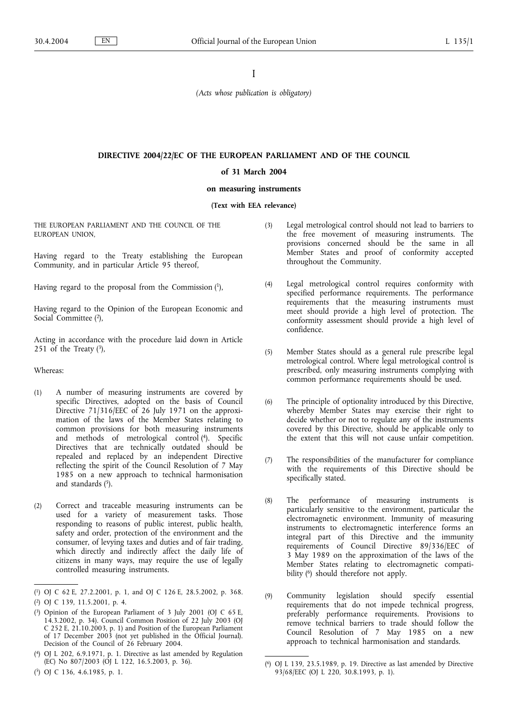I

*(Acts whose publication is obligatory)*

# **DIRECTIVE 2004/22/EC OF THE EUROPEAN PARLIAMENT AND OF THE COUNCIL**

### **of 31 March 2004**

# **on measuring instruments**

**(Text with EEA relevance)**

THE EUROPEAN PARLIAMENT AND THE COUNCIL OF THE EUROPEAN UNION,

Having regard to the Treaty establishing the European Community, and in particular Article 95 thereof,

Having regard to the proposal from the Commission  $(1)$ ,

Having regard to the Opinion of the European Economic and Social Committee (2),

Acting in accordance with the procedure laid down in Article 251 of the Treaty  $(3)$ ,

Whereas:

- (1) A number of measuring instruments are covered by specific Directives, adopted on the basis of Council Directive 71/316/EEC of 26 July 1971 on the approximation of the laws of the Member States relating to common provisions for both measuring instruments and methods of metrological control (4). Specific Directives that are technically outdated should be repealed and replaced by an independent Directive reflecting the spirit of the Council Resolution of 7 May 1985 on a new approach to technical harmonisation and standards  $(5)$ .
- (2) Correct and traceable measuring instruments can be used for a variety of measurement tasks. Those responding to reasons of public interest, public health, safety and order, protection of the environment and the consumer, of levying taxes and duties and of fair trading, which directly and indirectly affect the daily life of citizens in many ways, may require the use of legally controlled measuring instruments.
- (3) Legal metrological control should not lead to barriers to the free movement of measuring instruments. The provisions concerned should be the same in all Member States and proof of conformity accepted throughout the Community.
- (4) Legal metrological control requires conformity with specified performance requirements. The performance requirements that the measuring instruments must meet should provide a high level of protection. The conformity assessment should provide a high level of confidence.
- (5) Member States should as a general rule prescribe legal metrological control. Where legal metrological control is prescribed, only measuring instruments complying with common performance requirements should be used.
- (6) The principle of optionality introduced by this Directive, whereby Member States may exercise their right to decide whether or not to regulate any of the instruments covered by this Directive, should be applicable only to the extent that this will not cause unfair competition.
- (7) The responsibilities of the manufacturer for compliance with the requirements of this Directive should be specifically stated.
- (8) The performance of measuring instruments is particularly sensitive to the environment, particular the electromagnetic environment. Immunity of measuring instruments to electromagnetic interference forms an integral part of this Directive and the immunity requirements of Council Directive 89/336/EEC of 3 May 1989 on the approximation of the laws of the Member States relating to electromagnetic compatibility (6) should therefore not apply.
- (9) Community legislation should specify essential requirements that do not impede technical progress, preferably performance requirements. Provisions to remove technical barriers to trade should follow the Council Resolution of 7 May 1985 on a new approach to technical harmonisation and standards.

<sup>(</sup> 1) OJ C 62 E, 27.2.2001, p. 1, and OJ C 126 E, 28.5.2002, p. 368.

<sup>(</sup> 2) OJ C 139, 11.5.2001, p. 4.

<sup>(</sup> 3) Opinion of the European Parliament of 3 July 2001 (OJ C 65 E, 14.3.2002, p. 34). Council Common Position of 22 July 2003 (OJ C 252 E, 21.10.2003, p. 1) and Position of the European Parliament of 17 December 2003 (not yet published in the Official Journal). Decision of the Council of 26 February 2004.

<sup>(</sup> 4) OJ L 202, 6.9.1971, p. 1. Directive as last amended by Regulation (EC) No 807/2003 (OJ L 122, 16.5.2003, p. 36).

<sup>(</sup> 5) OJ C 136, 4.6.1985, p. 1.

<sup>(</sup> 6) OJ L 139, 23.5.1989, p. 19. Directive as last amended by Directive 93/68/EEC (OJ L 220, 30.8.1993, p. 1).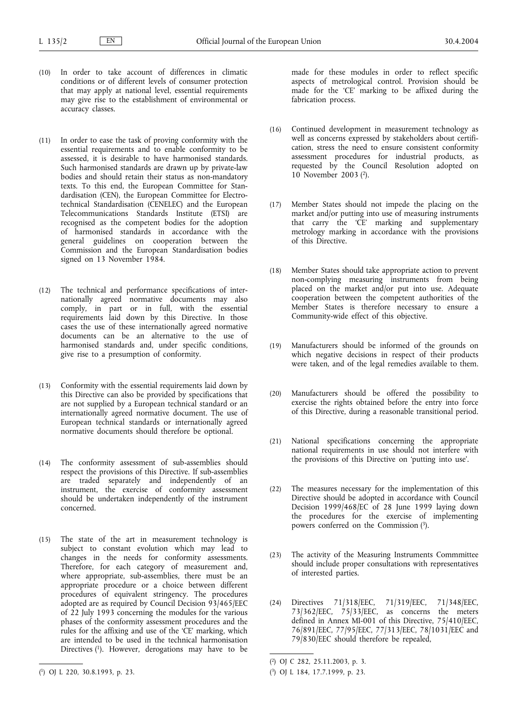- (10) In order to take account of differences in climatic conditions or of different levels of consumer protection that may apply at national level, essential requirements may give rise to the establishment of environmental or accuracy classes.
- (11) In order to ease the task of proving conformity with the essential requirements and to enable conformity to be assessed, it is desirable to have harmonised standards. Such harmonised standards are drawn up by private-law bodies and should retain their status as non-mandatory texts. To this end, the European Committee for Standardisation (CEN), the European Committee for Electrotechnical Standardisation (CENELEC) and the European Telecommunications Standards Institute (ETSI) are recognised as the competent bodies for the adoption of harmonised standards in accordance with the general guidelines on cooperation between the Commission and the European Standardisation bodies signed on 13 November 1984.
- (12) The technical and performance specifications of internationally agreed normative documents may also comply, in part or in full, with the essential requirements laid down by this Directive. In those cases the use of these internationally agreed normative documents can be an alternative to the use of harmonised standards and, under specific conditions, give rise to a presumption of conformity.
- (13) Conformity with the essential requirements laid down by this Directive can also be provided by specifications that are not supplied by a European technical standard or an internationally agreed normative document. The use of European technical standards or internationally agreed normative documents should therefore be optional.
- (14) The conformity assessment of sub-assemblies should respect the provisions of this Directive. If sub-assemblies are traded separately and independently of an instrument, the exercise of conformity assessment should be undertaken independently of the instrument concerned.
- (15) The state of the art in measurement technology is subject to constant evolution which may lead to changes in the needs for conformity assessments. Therefore, for each category of measurement and, where appropriate, sub-assemblies, there must be an appropriate procedure or a choice between different procedures of equivalent stringency. The procedures adopted are as required by Council Decision 93/465/EEC of 22 July 1993 concerning the modules for the various phases of the conformity assessment procedures and the rules for the affixing and use of the 'CE' marking, which are intended to be used in the technical harmonisation Directives (1). However, derogations may have to be

made for these modules in order to reflect specific aspects of metrological control. Provision should be made for the 'CE' marking to be affixed during the fabrication process.

- (16) Continued development in measurement technology as well as concerns expressed by stakeholders about certification, stress the need to ensure consistent conformity assessment procedures for industrial products, as requested by the Council Resolution adopted on 10 November 2003 (2).
- (17) Member States should not impede the placing on the market and/or putting into use of measuring instruments that carry the 'CE' marking and supplementary metrology marking in accordance with the provisions of this Directive.
- (18) Member States should take appropriate action to prevent non-complying measuring instruments from being placed on the market and/or put into use. Adequate cooperation between the competent authorities of the Member States is therefore necessary to ensure a Community-wide effect of this objective.
- (19) Manufacturers should be informed of the grounds on which negative decisions in respect of their products were taken, and of the legal remedies available to them.
- (20) Manufacturers should be offered the possibility to exercise the rights obtained before the entry into force of this Directive, during a reasonable transitional period.
- (21) National specifications concerning the appropriate national requirements in use should not interfere with the provisions of this Directive on 'putting into use'.
- (22) The measures necessary for the implementation of this Directive should be adopted in accordance with Council Decision 1999/468/EC of 28 June 1999 laying down the procedures for the exercise of implementing powers conferred on the Commission (3).
- (23) The activity of the Measuring Instruments Commmittee should include proper consultations with representatives of interested parties.
- (24) Directives 71/318/EEC, 71/319/EEC, 71/348/EEC, 73/362/EEC, 75/33/EEC, as concerns the meters defined in Annex MI-001 of this Directive, 75/410/EEC, 76/891/EEC, 77/95/EEC, 77/313/EEC, 78/1031/EEC and 79/830/EEC should therefore be repealed,

<sup>(</sup> 1) OJ L 220, 30.8.1993, p. 23.

<sup>(</sup> 2) OJ C 282, 25.11.2003, p. 3.

<sup>(</sup> 3) OJ L 184, 17.7.1999, p. 23.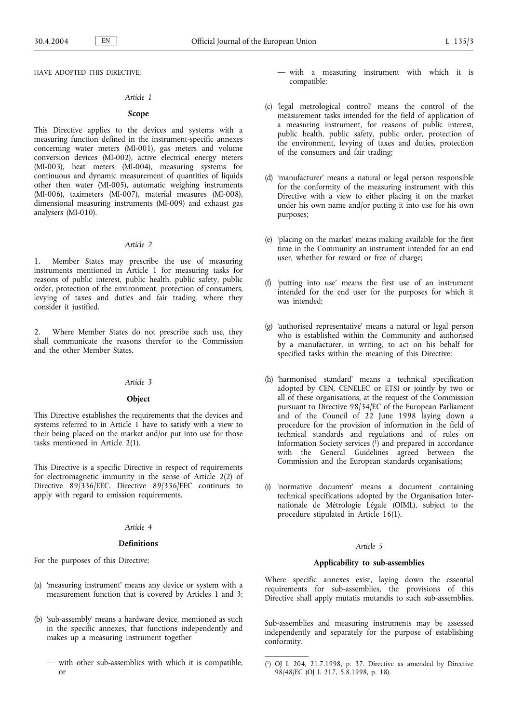HAVE ADOPTED THIS DIRECTIVE:

### *Article 1*

# **Scope**

This Directive applies to the devices and systems with a measuring function defined in the instrument-specific annexes concerning water meters (MI-001), gas meters and volume conversion devices (MI-002), active electrical energy meters (MI-003), heat meters (MI-004), measuring systems for continuous and dynamic measurement of quantities of liquids other then water (MI-005), automatic weighing instruments (MI-006), taximeters (MI-007), material measures (MI-008), dimensional measuring instruments (MI-009) and exhaust gas analysers (MI-010).

# *Article 2*

1. Member States may prescribe the use of measuring instruments mentioned in Article 1 for measuring tasks for reasons of public interest, public health, public safety, public order, protection of the environment, protection of consumers, levying of taxes and duties and fair trading, where they consider it justified.

Where Member States do not prescribe such use, they shall communicate the reasons therefor to the Commission and the other Member States.

# *Article 3*

# **Object**

This Directive establishes the requirements that the devices and systems referred to in Article 1 have to satisfy with a view to their being placed on the market and/or put into use for those tasks mentioned in Article 2(1).

This Directive is a specific Directive in respect of requirements for electromagnetic immunity in the sense of Article 2(2) of Directive 89/336/EEC. Directive 89/336/EEC continues to apply with regard to emission requirements.

# *Article 4*

#### **Definitions**

For the purposes of this Directive:

- (a) 'measuring instrument' means any device or system with a measurement function that is covered by Articles 1 and 3;
- (b) 'sub-assembly' means a hardware device, mentioned as such in the specific annexes, that functions independently and makes up a measuring instrument together
	- with other sub-assemblies with which it is compatible, or
- with a measuring instrument with which it is compatible;
- (c) 'legal metrological control' means the control of the measurement tasks intended for the field of application of a measuring instrument, for reasons of public interest, public health, public safety, public order, protection of the environment, levying of taxes and duties, protection of the consumers and fair trading;
- (d) 'manufacturer' means a natural or legal person responsible for the conformity of the measuring instrument with this Directive with a view to either placing it on the market under his own name and/or putting it into use for his own purposes;
- (e) 'placing on the market' means making available for the first time in the Community an instrument intended for an end user, whether for reward or free of charge;
- (f) 'putting into use' means the first use of an instrument intended for the end user for the purposes for which it was intended;
- (g) 'authorised representative' means a natural or legal person who is established within the Community and authorised by a manufacturer, in writing, to act on his behalf for specified tasks within the meaning of this Directive;
- (h) 'harmonised standard' means a technical specification adopted by CEN, CENELEC or ETSI or jointly by two or all of these organisations, at the request of the Commission pursuant to Directive 98/34/EC of the European Parliament and of the Council of 22 June 1998 laying down a procedure for the provision of information in the field of technical standards and regulations and of rules on Information Society services  $(1)$  and prepared in accordance with the General Guidelines agreed between the Commission and the European standards organisations;
- (i) 'normative document' means a document containing technical specifications adopted by the Organisation Internationale de Métrologie Légale (OIML), subject to the procedure stipulated in Article 16(1).

### *Article 5*

### **Applicability to sub-assemblies**

Where specific annexes exist, laying down the essential requirements for sub-assemblies, the provisions of this Directive shall apply mutatis mutandis to such sub-assemblies.

Sub-assemblies and measuring instruments may be assessed independently and separately for the purpose of establishing conformity.

<sup>(</sup> 1) OJ L 204, 21.7.1998, p. 37. Directive as amended by Directive 98/48/EC (OJ L 217, 5.8.1998, p. 18).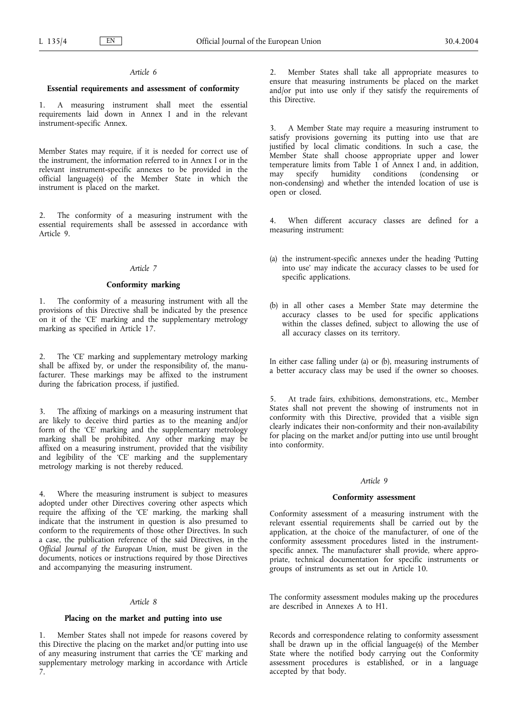### **Essential requirements and assessment of conformity**

1. A measuring instrument shall meet the essential requirements laid down in Annex I and in the relevant instrument-specific Annex.

Member States may require, if it is needed for correct use of the instrument, the information referred to in Annex I or in the relevant instrument-specific annexes to be provided in the official language(s) of the Member State in which the instrument is placed on the market.

2. The conformity of a measuring instrument with the essential requirements shall be assessed in accordance with Article 9.

# *Article 7*

### **Conformity marking**

1. The conformity of a measuring instrument with all the provisions of this Directive shall be indicated by the presence on it of the 'CE' marking and the supplementary metrology marking as specified in Article 17.

2. The 'CE' marking and supplementary metrology marking shall be affixed by, or under the responsibility of, the manufacturer. These markings may be affixed to the instrument during the fabrication process, if justified.

3. The affixing of markings on a measuring instrument that are likely to deceive third parties as to the meaning and/or form of the 'CE' marking and the supplementary metrology marking shall be prohibited. Any other marking may be affixed on a measuring instrument, provided that the visibility and legibility of the 'CE' marking and the supplementary metrology marking is not thereby reduced.

Where the measuring instrument is subject to measures adopted under other Directives covering other aspects which require the affixing of the 'CE' marking, the marking shall indicate that the instrument in question is also presumed to conform to the requirements of those other Directives. In such a case, the publication reference of the said Directives, in the *Official Journal of the European Union*, must be given in the documents, notices or instructions required by those Directives and accompanying the measuring instrument.

# *Article 8*

### **Placing on the market and putting into use**

Member States shall not impede for reasons covered by this Directive the placing on the market and/or putting into use of any measuring instrument that carries the 'CE' marking and supplementary metrology marking in accordance with Article 7.

2. Member States shall take all appropriate measures to ensure that measuring instruments be placed on the market and/or put into use only if they satisfy the requirements of this Directive.

3. A Member State may require a measuring instrument to satisfy provisions governing its putting into use that are justified by local climatic conditions. In such a case, the Member State shall choose appropriate upper and lower temperature limits from Table 1 of Annex 1 and, in addition, may specify humidity conditions (condensing or may specify humidity conditions (condensing or non-condensing) and whether the intended location of use is open or closed.

4. When different accuracy classes are defined for a measuring instrument:

- (a) the instrument-specific annexes under the heading 'Putting into use' may indicate the accuracy classes to be used for specific applications.
- (b) in all other cases a Member State may determine the accuracy classes to be used for specific applications within the classes defined, subject to allowing the use of all accuracy classes on its territory.

In either case falling under (a) or (b), measuring instruments of a better accuracy class may be used if the owner so chooses.

5. At trade fairs, exhibitions, demonstrations, etc., Member States shall not prevent the showing of instruments not in conformity with this Directive, provided that a visible sign clearly indicates their non-conformity and their non-availability for placing on the market and/or putting into use until brought into conformity.

### *Article 9*

### **Conformity assessment**

Conformity assessment of a measuring instrument with the relevant essential requirements shall be carried out by the application, at the choice of the manufacturer, of one of the conformity assessment procedures listed in the instrumentspecific annex. The manufacturer shall provide, where appropriate, technical documentation for specific instruments or groups of instruments as set out in Article 10.

The conformity assessment modules making up the procedures are described in Annexes A to H1.

Records and correspondence relating to conformity assessment shall be drawn up in the official language(s) of the Member State where the notified body carrying out the Conformity assessment procedures is established, or in a language accepted by that body.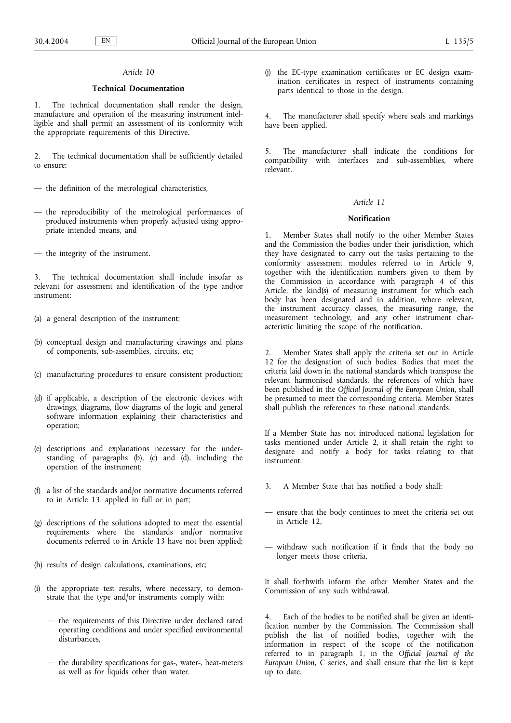# **Technical Documentation**

1. The technical documentation shall render the design, manufacture and operation of the measuring instrument intelligible and shall permit an assessment of its conformity with the appropriate requirements of this Directive.

2. The technical documentation shall be sufficiently detailed to ensure:

- the definition of the metrological characteristics,
- the reproducibility of the metrological performances of produced instruments when properly adjusted using appropriate intended means, and
- the integrity of the instrument.

The technical documentation shall include insofar as relevant for assessment and identification of the type and/or instrument:

- (a) a general description of the instrument;
- (b) conceptual design and manufacturing drawings and plans of components, sub-assemblies, circuits, etc;
- (c) manufacturing procedures to ensure consistent production;
- (d) if applicable, a description of the electronic devices with drawings, diagrams, flow diagrams of the logic and general software information explaining their characteristics and operation;
- (e) descriptions and explanations necessary for the understanding of paragraphs (b), (c) and (d), including the operation of the instrument;
- (f) a list of the standards and/or normative documents referred to in Article 13, applied in full or in part;
- (g) descriptions of the solutions adopted to meet the essential requirements where the standards and/or normative documents referred to in Article 13 have not been applied;
- (h) results of design calculations, examinations, etc;
- (i) the appropriate test results, where necessary, to demonstrate that the type and/or instruments comply with:
	- the requirements of this Directive under declared rated operating conditions and under specified environmental disturbances,
	- the durability specifications for gas-, water-, heat-meters as well as for liquids other than water.

(j) the EC-type examination certificates or EC design examination certificates in respect of instruments containing parts identical to those in the design.

4. The manufacturer shall specify where seals and markings have been applied.

The manufacturer shall indicate the conditions for compatibility with interfaces and sub-assemblies, where relevant.

### *Article 11*

#### **Notification**

1. Member States shall notify to the other Member States and the Commission the bodies under their jurisdiction, which they have designated to carry out the tasks pertaining to the conformity assessment modules referred to in Article 9, together with the identification numbers given to them by the Commission in accordance with paragraph 4 of this Article, the kind(s) of measuring instrument for which each body has been designated and in addition, where relevant, the instrument accuracy classes, the measuring range, the measurement technology, and any other instrument characteristic limiting the scope of the notification.

2. Member States shall apply the criteria set out in Article 12 for the designation of such bodies. Bodies that meet the criteria laid down in the national standards which transpose the relevant harmonised standards, the references of which have been published in the *Official Journal of the European Union*, shall be presumed to meet the corresponding criteria. Member States shall publish the references to these national standards.

If a Member State has not introduced national legislation for tasks mentioned under Article 2, it shall retain the right to designate and notify a body for tasks relating to that instrument.

- 3. A Member State that has notified a body shall:
- ensure that the body continues to meet the criteria set out in Article 12,
- withdraw such notification if it finds that the body no longer meets those criteria.

It shall forthwith inform the other Member States and the Commission of any such withdrawal.

4. Each of the bodies to be notified shall be given an identification number by the Commission. The Commission shall publish the list of notified bodies, together with the information in respect of the scope of the notification referred to in paragraph 1, in the *Official Journal of the European Union*, C series, and shall ensure that the list is kept up to date.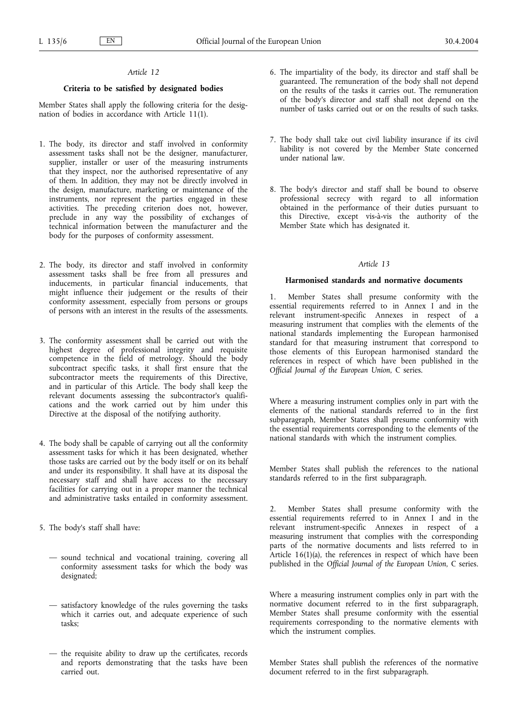# **Criteria to be satisfied by designated bodies**

Member States shall apply the following criteria for the designation of bodies in accordance with Article 11(1).

- 1. The body, its director and staff involved in conformity assessment tasks shall not be the designer, manufacturer, supplier, installer or user of the measuring instruments that they inspect, nor the authorised representative of any of them. In addition, they may not be directly involved in the design, manufacture, marketing or maintenance of the instruments, nor represent the parties engaged in these activities. The preceding criterion does not, however, preclude in any way the possibility of exchanges of technical information between the manufacturer and the body for the purposes of conformity assessment.
- 2. The body, its director and staff involved in conformity assessment tasks shall be free from all pressures and inducements, in particular financial inducements, that might influence their judgement or the results of their conformity assessment, especially from persons or groups of persons with an interest in the results of the assessments.
- 3. The conformity assessment shall be carried out with the highest degree of professional integrity and requisite competence in the field of metrology. Should the body subcontract specific tasks, it shall first ensure that the subcontractor meets the requirements of this Directive, and in particular of this Article. The body shall keep the relevant documents assessing the subcontractor's qualifications and the work carried out by him under this Directive at the disposal of the notifying authority.
- 4. The body shall be capable of carrying out all the conformity assessment tasks for which it has been designated, whether those tasks are carried out by the body itself or on its behalf and under its responsibility. It shall have at its disposal the necessary staff and shall have access to the necessary facilities for carrying out in a proper manner the technical and administrative tasks entailed in conformity assessment.
- 5. The body's staff shall have:
	- sound technical and vocational training, covering all conformity assessment tasks for which the body was designated;
	- satisfactory knowledge of the rules governing the tasks which it carries out, and adequate experience of such tasks;
	- the requisite ability to draw up the certificates, records and reports demonstrating that the tasks have been carried out.
- 6. The impartiality of the body, its director and staff shall be guaranteed. The remuneration of the body shall not depend on the results of the tasks it carries out. The remuneration of the body's director and staff shall not depend on the number of tasks carried out or on the results of such tasks.
- 7. The body shall take out civil liability insurance if its civil liability is not covered by the Member State concerned under national law.
- 8. The body's director and staff shall be bound to observe professional secrecy with regard to all information obtained in the performance of their duties pursuant to this Directive, except vis-à-vis the authority of the Member State which has designated it.

# *Article 13*

# **Harmonised standards and normative documents**

1. Member States shall presume conformity with the essential requirements referred to in Annex I and in the relevant instrument-specific Annexes in respect of a measuring instrument that complies with the elements of the national standards implementing the European harmonised standard for that measuring instrument that correspond to those elements of this European harmonised standard the references in respect of which have been published in the *Official Journal of the European Union*, C series.

Where a measuring instrument complies only in part with the elements of the national standards referred to in the first subparagraph, Member States shall presume conformity with the essential requirements corresponding to the elements of the national standards with which the instrument complies.

Member States shall publish the references to the national standards referred to in the first subparagraph.

2. Member States shall presume conformity with the essential requirements referred to in Annex I and in the relevant instrument-specific Annexes in respect of a measuring instrument that complies with the corresponding parts of the normative documents and lists referred to in Article  $16(1)(a)$ , the references in respect of which have been published in the *Official Journal of the European Union*, C series.

Where a measuring instrument complies only in part with the normative document referred to in the first subparagraph, Member States shall presume conformity with the essential requirements corresponding to the normative elements with which the instrument complies.

Member States shall publish the references of the normative document referred to in the first subparagraph.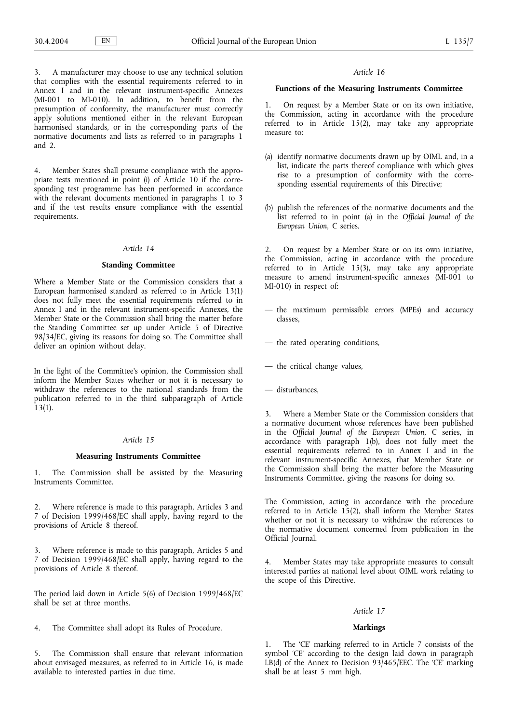3. A manufacturer may choose to use any technical solution that complies with the essential requirements referred to in Annex I and in the relevant instrument-specific Annexes (MI-001 to MI-010). In addition, to benefit from the presumption of conformity, the manufacturer must correctly apply solutions mentioned either in the relevant European harmonised standards, or in the corresponding parts of the normative documents and lists as referred to in paragraphs 1 and 2.

4. Member States shall presume compliance with the appropriate tests mentioned in point (i) of Article 10 if the corresponding test programme has been performed in accordance with the relevant documents mentioned in paragraphs 1 to 3 and if the test results ensure compliance with the essential requirements.

### *Article 14*

### **Standing Committee**

Where a Member State or the Commission considers that a European harmonised standard as referred to in Article 13(1) does not fully meet the essential requirements referred to in Annex I and in the relevant instrument-specific Annexes, the Member State or the Commission shall bring the matter before the Standing Committee set up under Article 5 of Directive 98/34/EC, giving its reasons for doing so. The Committee shall deliver an opinion without delay.

In the light of the Committee's opinion, the Commission shall inform the Member States whether or not it is necessary to withdraw the references to the national standards from the publication referred to in the third subparagraph of Article 13(1).

### *Article 15*

### **Measuring Instruments Committee**

1. The Commission shall be assisted by the Measuring Instruments Committee.

2. Where reference is made to this paragraph, Articles 3 and 7 of Decision 1999/468/EC shall apply, having regard to the provisions of Article 8 thereof.

3. Where reference is made to this paragraph, Articles 5 and 7 of Decision 1999/468/EC shall apply, having regard to the provisions of Article 8 thereof.

The period laid down in Article 5(6) of Decision 1999/468/EC shall be set at three months.

4. The Committee shall adopt its Rules of Procedure.

The Commission shall ensure that relevant information about envisaged measures, as referred to in Article 16, is made available to interested parties in due time.

#### *Article 16*

### **Functions of the Measuring Instruments Committee**

1. On request by a Member State or on its own initiative, the Commission, acting in accordance with the procedure referred to in Article 15(2), may take any appropriate measure to:

- (a) identify normative documents drawn up by OIML and, in a list, indicate the parts thereof compliance with which gives rise to a presumption of conformity with the corresponding essential requirements of this Directive;
- (b) publish the references of the normative documents and the list referred to in point (a) in the *Official Journal of the European Union*, C series.

2. On request by a Member State or on its own initiative, the Commission, acting in accordance with the procedure referred to in Article 15(3), may take any appropriate measure to amend instrument-specific annexes (MI-001 to MI-010) in respect of:

- the maximum permissible errors (MPEs) and accuracy classes,
- the rated operating conditions,
- the critical change values,
- disturbances,

3. Where a Member State or the Commission considers that a normative document whose references have been published in the *Official Journal of the European Union*, C series, in accordance with paragraph 1(b), does not fully meet the essential requirements referred to in Annex I and in the relevant instrument-specific Annexes, that Member State or the Commission shall bring the matter before the Measuring Instruments Committee, giving the reasons for doing so.

The Commission, acting in accordance with the procedure referred to in Article 15(2), shall inform the Member States whether or not it is necessary to withdraw the references to the normative document concerned from publication in the Official Journal.

4. Member States may take appropriate measures to consult interested parties at national level about OIML work relating to the scope of this Directive.

# *Article 17*

# **Markings**

1. The 'CE' marking referred to in Article 7 consists of the symbol 'CE' according to the design laid down in paragraph I.B(d) of the Annex to Decision 93/465/EEC. The 'CE' marking shall be at least 5 mm high.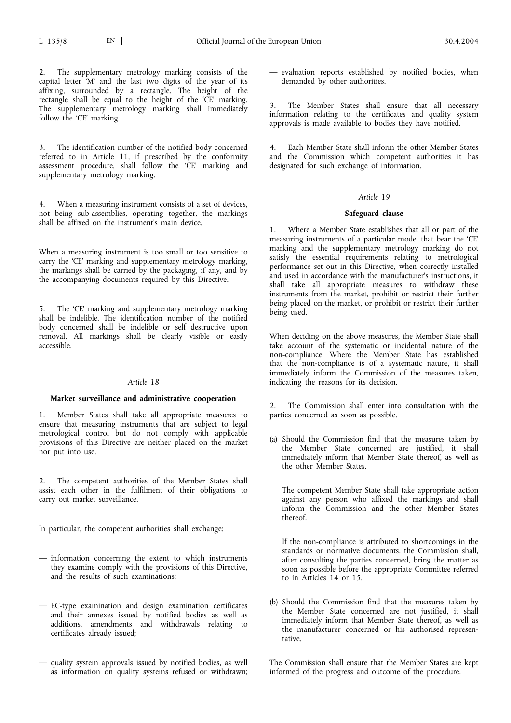The supplementary metrology marking consists of the capital letter 'M' and the last two digits of the year of its affixing, surrounded by a rectangle. The height of the rectangle shall be equal to the height of the 'CE' marking. The supplementary metrology marking shall immediately follow the 'CE' marking.

3. The identification number of the notified body concerned referred to in Article 11, if prescribed by the conformity assessment procedure, shall follow the 'CE' marking and supplementary metrology marking.

4. When a measuring instrument consists of a set of devices, not being sub-assemblies, operating together, the markings shall be affixed on the instrument's main device.

When a measuring instrument is too small or too sensitive to carry the 'CE' marking and supplementary metrology marking, the markings shall be carried by the packaging, if any, and by the accompanying documents required by this Directive.

5. The 'CE' marking and supplementary metrology marking shall be indelible. The identification number of the notified body concerned shall be indelible or self destructive upon removal. All markings shall be clearly visible or easily accessible.

### *Article 18*

# **Market surveillance and administrative cooperation**

1. Member States shall take all appropriate measures to ensure that measuring instruments that are subject to legal metrological control but do not comply with applicable provisions of this Directive are neither placed on the market nor put into use.

2. The competent authorities of the Member States shall assist each other in the fulfilment of their obligations to carry out market surveillance.

In particular, the competent authorities shall exchange:

- information concerning the extent to which instruments they examine comply with the provisions of this Directive, and the results of such examinations;
- EC-type examination and design examination certificates and their annexes issued by notified bodies as well as additions, amendments and withdrawals relating to certificates already issued;
- quality system approvals issued by notified bodies, as well as information on quality systems refused or withdrawn;

— evaluation reports established by notified bodies, when demanded by other authorities.

The Member States shall ensure that all necessary information relating to the certificates and quality system approvals is made available to bodies they have notified.

4. Each Member State shall inform the other Member States and the Commission which competent authorities it has designated for such exchange of information.

### *Article 19*

### **Safeguard clause**

1. Where a Member State establishes that all or part of the measuring instruments of a particular model that bear the 'CE' marking and the supplementary metrology marking do not satisfy the essential requirements relating to metrological performance set out in this Directive, when correctly installed and used in accordance with the manufacturer's instructions, it shall take all appropriate measures to withdraw these instruments from the market, prohibit or restrict their further being placed on the market, or prohibit or restrict their further being used.

When deciding on the above measures, the Member State shall take account of the systematic or incidental nature of the non-compliance. Where the Member State has established that the non-compliance is of a systematic nature, it shall immediately inform the Commission of the measures taken, indicating the reasons for its decision.

2. The Commission shall enter into consultation with the parties concerned as soon as possible.

(a) Should the Commission find that the measures taken by the Member State concerned are justified, it shall immediately inform that Member State thereof, as well as the other Member States.

The competent Member State shall take appropriate action against any person who affixed the markings and shall inform the Commission and the other Member States thereof.

If the non-compliance is attributed to shortcomings in the standards or normative documents, the Commission shall, after consulting the parties concerned, bring the matter as soon as possible before the appropriate Committee referred to in Articles 14 or 15.

(b) Should the Commission find that the measures taken by the Member State concerned are not justified, it shall immediately inform that Member State thereof, as well as the manufacturer concerned or his authorised representative.

The Commission shall ensure that the Member States are kept informed of the progress and outcome of the procedure.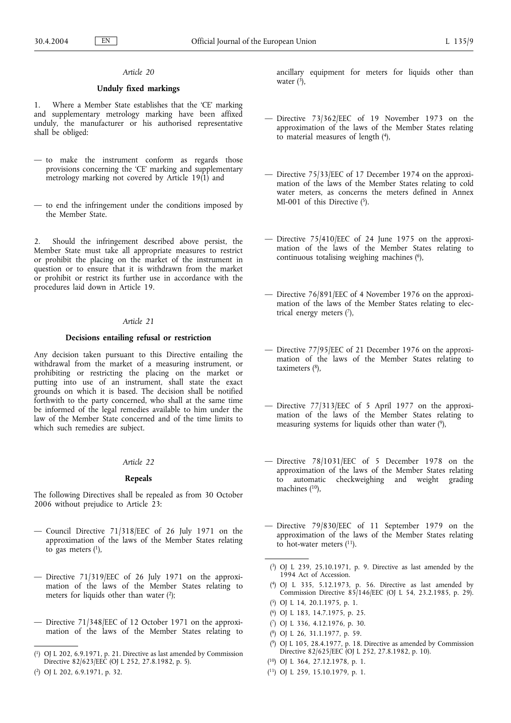# **Unduly fixed markings**

1. Where a Member State establishes that the 'CE' marking and supplementary metrology marking have been affixed unduly, the manufacturer or his authorised representative shall be obliged:

- to make the instrument conform as regards those provisions concerning the 'CE' marking and supplementary metrology marking not covered by Article 19(1) and
- to end the infringement under the conditions imposed by the Member State.

2. Should the infringement described above persist, the Member State must take all appropriate measures to restrict or prohibit the placing on the market of the instrument in question or to ensure that it is withdrawn from the market or prohibit or restrict its further use in accordance with the procedures laid down in Article 19.

### *Article 21*

### **Decisions entailing refusal or restriction**

Any decision taken pursuant to this Directive entailing the withdrawal from the market of a measuring instrument, or prohibiting or restricting the placing on the market or putting into use of an instrument, shall state the exact grounds on which it is based. The decision shall be notified forthwith to the party concerned, who shall at the same time be informed of the legal remedies available to him under the law of the Member State concerned and of the time limits to which such remedies are subject.

#### *Article 22*

### **Repeals**

The following Directives shall be repealed as from 30 October 2006 without prejudice to Article 23:

- Council Directive 71/318/EEC of 26 July 1971 on the approximation of the laws of the Member States relating to gas meters  $(1)$ ,
- Directive 71/319/EEC of 26 July 1971 on the approximation of the laws of the Member States relating to meters for liquids other than water  $(2)$ ;
- Directive 71/348/EEC of 12 October 1971 on the approximation of the laws of the Member States relating to

ancillary equipment for meters for liquids other than water  $(\frac{3}{2})$ ,

- Directive 73/362/EEC of 19 November 1973 on the approximation of the laws of the Member States relating to material measures of length (4),
- Directive 75/33/EEC of 17 December 1974 on the approximation of the laws of the Member States relating to cold water meters, as concerns the meters defined in Annex MI-001 of this Directive  $(5)$ .
- Directive 75/410/EEC of 24 June 1975 on the approximation of the laws of the Member States relating to continuous totalising weighing machines (6),
- Directive 76/891/EEC of 4 November 1976 on the approximation of the laws of the Member States relating to electrical energy meters  $(7)$ ,
- Directive 77/95/EEC of 21 December 1976 on the approximation of the laws of the Member States relating to taximeters (8),
- Directive 77/313/EEC of 5 April 1977 on the approximation of the laws of the Member States relating to measuring systems for liquids other than water (9),
- Directive 78/1031/EEC of 5 December 1978 on the approximation of the laws of the Member States relating to automatic checkweighing and weight grading machines (10),
- Directive 79/830/EEC of 11 September 1979 on the approximation of the laws of the Member States relating to hot-water meters  $(11)$ .
- ( 3) OJ L 239, 25.10.1971, p. 9. Directive as last amended by the 1994 Act of Accession.
- ( 4) OJ L 335, 5.12.1973, p. 56. Directive as last amended by Commission Directive 85/146/EEC (OJ L 54, 23.2.1985, p. 29).
- ( 5) OJ L 14, 20.1.1975, p. 1.
- ( 6) OJ L 183, 14.7.1975, p. 25.
- ( 7) OJ L 336, 4.12.1976, p. 30.
- ( 8) OJ L 26, 31.1.1977, p. 59.
- ( 9) OJ L 105, 28.4.1977, p. 18. Directive as amended by Commission Directive 82/625/EEC (OJ L 252, 27.8.1982, p. 10).
- ( 10) OJ L 364, 27.12.1978, p. 1.
- ( 11) OJ L 259, 15.10.1979, p. 1.

<sup>(</sup> 1) OJ L 202, 6.9.1971, p. 21. Directive as last amended by Commission Directive 82/623/EEC (OJ L 252, 27.8.1982, p. 5).

<sup>(</sup> 2) OJ L 202, 6.9.1971, p. 32.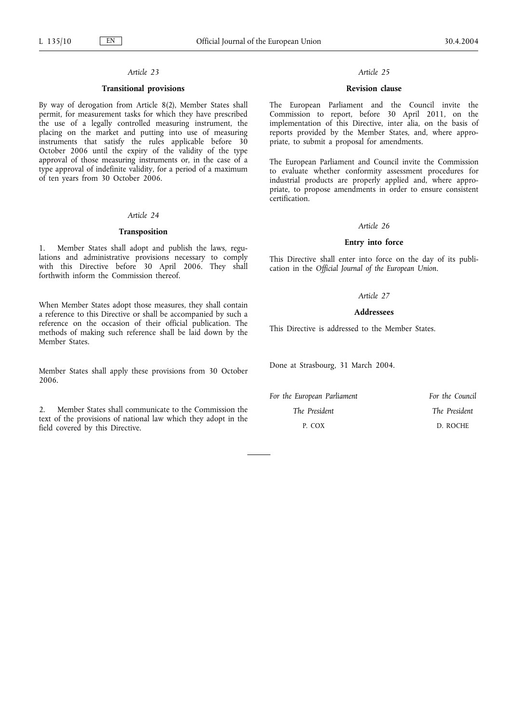### **Transitional provisions**

By way of derogation from Article 8(2), Member States shall permit, for measurement tasks for which they have prescribed the use of a legally controlled measuring instrument, the placing on the market and putting into use of measuring instruments that satisfy the rules applicable before 30 October 2006 until the expiry of the validity of the type approval of those measuring instruments or, in the case of a type approval of indefinite validity, for a period of a maximum of ten years from 30 October 2006.

### *Article 24*

# **Transposition**

1. Member States shall adopt and publish the laws, regulations and administrative provisions necessary to comply with this Directive before 30 April 2006. They shall forthwith inform the Commission thereof.

When Member States adopt those measures, they shall contain a reference to this Directive or shall be accompanied by such a reference on the occasion of their official publication. The methods of making such reference shall be laid down by the Member States.

Member States shall apply these provisions from 30 October 2006.

2. Member States shall communicate to the Commission the text of the provisions of national law which they adopt in the field covered by this Directive.

# *Article 25*

### **Revision clause**

The European Parliament and the Council invite the Commission to report, before 30 April 2011, on the implementation of this Directive, inter alia, on the basis of reports provided by the Member States, and, where appropriate, to submit a proposal for amendments.

The European Parliament and Council invite the Commission to evaluate whether conformity assessment procedures for industrial products are properly applied and, where appropriate, to propose amendments in order to ensure consistent certification.

#### *Article 26*

### **Entry into force**

This Directive shall enter into force on the day of its publication in the *Official Journal of the European Union*.

### *Article 27*

### **Addressees**

This Directive is addressed to the Member States.

Done at Strasbourg, 31 March 2004.

| For the European Parliament | For the Council |
|-----------------------------|-----------------|
| The President               | The President   |
| P. COX                      | D. ROCHE        |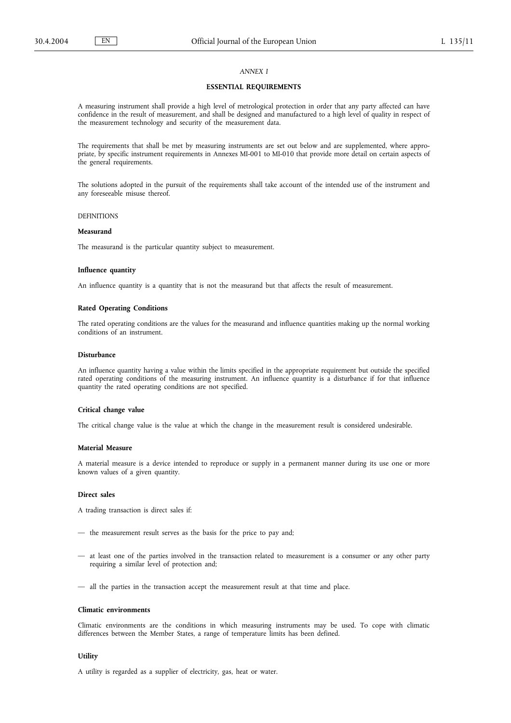# *ANNEX I*

# **ESSENTIAL REQUIREMENTS**

A measuring instrument shall provide a high level of metrological protection in order that any party affected can have confidence in the result of measurement, and shall be designed and manufactured to a high level of quality in respect of the measurement technology and security of the measurement data.

The requirements that shall be met by measuring instruments are set out below and are supplemented, where appropriate, by specific instrument requirements in Annexes MI-001 to MI-010 that provide more detail on certain aspects of the general requirements.

The solutions adopted in the pursuit of the requirements shall take account of the intended use of the instrument and any foreseeable misuse thereof.

### DEFINITIONS

### **Measurand**

The measurand is the particular quantity subject to measurement.

#### **Influence quantity**

An influence quantity is a quantity that is not the measurand but that affects the result of measurement.

#### **Rated Operating Conditions**

The rated operating conditions are the values for the measurand and influence quantities making up the normal working conditions of an instrument.

#### **Disturbance**

An influence quantity having a value within the limits specified in the appropriate requirement but outside the specified rated operating conditions of the measuring instrument. An influence quantity is a disturbance if for that influence quantity the rated operating conditions are not specified.

### **Critical change value**

The critical change value is the value at which the change in the measurement result is considered undesirable.

### **Material Measure**

A material measure is a device intended to reproduce or supply in a permanent manner during its use one or more known values of a given quantity.

### **Direct sales**

A trading transaction is direct sales if:

- the measurement result serves as the basis for the price to pay and;
- at least one of the parties involved in the transaction related to measurement is a consumer or any other party requiring a similar level of protection and;
- all the parties in the transaction accept the measurement result at that time and place.

#### **Climatic environments**

Climatic environments are the conditions in which measuring instruments may be used. To cope with climatic differences between the Member States, a range of temperature limits has been defined.

### **Utility**

A utility is regarded as a supplier of electricity, gas, heat or water.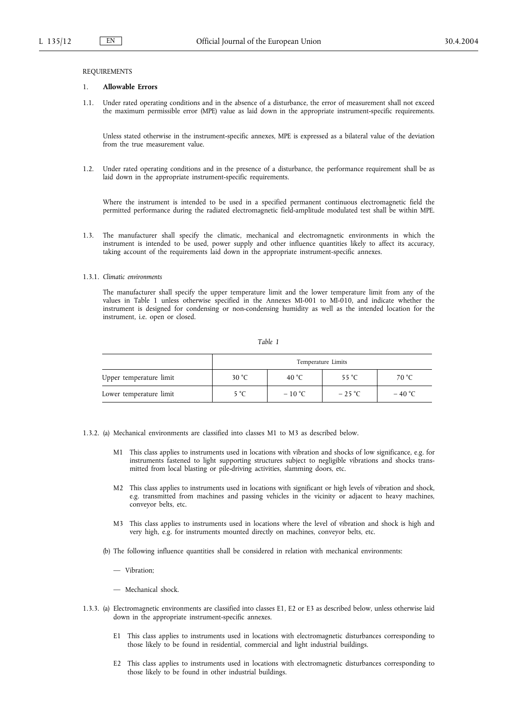#### REQUIREMENTS

#### 1. **Allowable Errors**

1.1. Under rated operating conditions and in the absence of a disturbance, the error of measurement shall not exceed the maximum permissible error (MPE) value as laid down in the appropriate instrument-specific requirements.

Unless stated otherwise in the instrument-specific annexes, MPE is expressed as a bilateral value of the deviation from the true measurement value.

1.2. Under rated operating conditions and in the presence of a disturbance, the performance requirement shall be as laid down in the appropriate instrument-specific requirements.

Where the instrument is intended to be used in a specified permanent continuous electromagnetic field the permitted performance during the radiated electromagnetic field-amplitude modulated test shall be within MPE.

1.3. The manufacturer shall specify the climatic, mechanical and electromagnetic environments in which the instrument is intended to be used, power supply and other influence quantities likely to affect its accuracy, taking account of the requirements laid down in the appropriate instrument-specific annexes.

### 1.3.1. *Climatic environments*

The manufacturer shall specify the upper temperature limit and the lower temperature limit from any of the values in Table 1 unless otherwise specified in the Annexes MI-001 to MI-010, and indicate whether the instrument is designed for condensing or non-condensing humidity as well as the intended location for the instrument, i.e. open or closed.

#### *Table 1*

|                         | Temperature Limits |          |                 |          |
|-------------------------|--------------------|----------|-----------------|----------|
| Upper temperature limit | 30 °C              | 40 °C    | 55 $^{\circ}$ C | 70 °C    |
| Lower temperature limit | 5 °C               | $-10 °C$ | $-25$ °C        | $-40 °C$ |

1.3.2. (a) Mechanical environments are classified into classes M1 to M3 as described below.

- M1 This class applies to instruments used in locations with vibration and shocks of low significance, e.g. for instruments fastened to light supporting structures subject to negligible vibrations and shocks transmitted from local blasting or pile-driving activities, slamming doors, etc.
- M2 This class applies to instruments used in locations with significant or high levels of vibration and shock, e.g. transmitted from machines and passing vehicles in the vicinity or adjacent to heavy machines, conveyor belts, etc.
- M3 This class applies to instruments used in locations where the level of vibration and shock is high and very high, e.g. for instruments mounted directly on machines, conveyor belts, etc.
- (b) The following influence quantities shall be considered in relation with mechanical environments:
	- Vibration;
	- Mechanical shock.
- 1.3.3. (a) Electromagnetic environments are classified into classes E1, E2 or E3 as described below, unless otherwise laid down in the appropriate instrument-specific annexes.
	- E1 This class applies to instruments used in locations with electromagnetic disturbances corresponding to those likely to be found in residential, commercial and light industrial buildings.
	- E2 This class applies to instruments used in locations with electromagnetic disturbances corresponding to those likely to be found in other industrial buildings.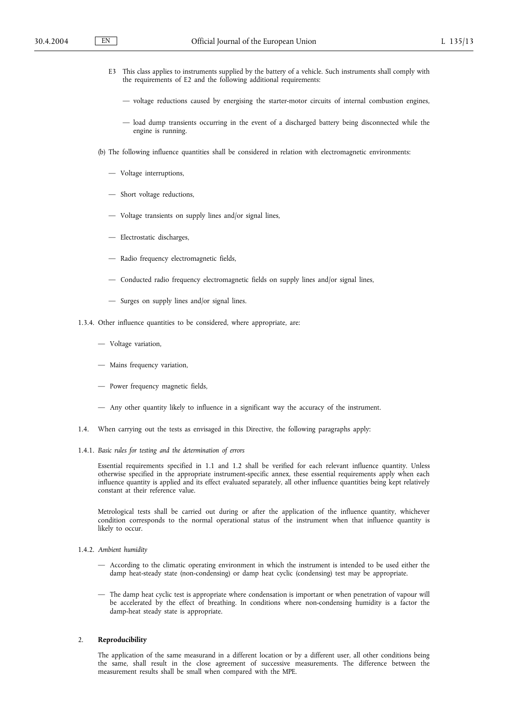- E3 This class applies to instruments supplied by the battery of a vehicle. Such instruments shall comply with the requirements of E2 and the following additional requirements:
	- voltage reductions caused by energising the starter-motor circuits of internal combustion engines,
	- load dump transients occurring in the event of a discharged battery being disconnected while the engine is running.
- (b) The following influence quantities shall be considered in relation with electromagnetic environments:
	- Voltage interruptions,
	- Short voltage reductions,
	- Voltage transients on supply lines and/or signal lines,
	- Electrostatic discharges,
	- Radio frequency electromagnetic fields,
	- Conducted radio frequency electromagnetic fields on supply lines and/or signal lines,
	- Surges on supply lines and/or signal lines.
- 1.3.4. Other influence quantities to be considered, where appropriate, are:
	- Voltage variation,
	- Mains frequency variation,
	- Power frequency magnetic fields,
	- Any other quantity likely to influence in a significant way the accuracy of the instrument.
- 1.4. When carrying out the tests as envisaged in this Directive, the following paragraphs apply:
- 1.4.1. *Basic rules for testing and the determination of errors*

Essential requirements specified in 1.1 and 1.2 shall be verified for each relevant influence quantity. Unless otherwise specified in the appropriate instrument-specific annex, these essential requirements apply when each influence quantity is applied and its effect evaluated separately, all other influence quantities being kept relatively constant at their reference value.

Metrological tests shall be carried out during or after the application of the influence quantity, whichever condition corresponds to the normal operational status of the instrument when that influence quantity is likely to occur.

- 1.4.2. *Ambient humidity*
	- According to the climatic operating environment in which the instrument is intended to be used either the damp heat-steady state (non-condensing) or damp heat cyclic (condensing) test may be appropriate.
	- The damp heat cyclic test is appropriate where condensation is important or when penetration of vapour will be accelerated by the effect of breathing. In conditions where non-condensing humidity is a factor the damp-heat steady state is appropriate.

#### 2. **Reproducibility**

The application of the same measurand in a different location or by a different user, all other conditions being the same, shall result in the close agreement of successive measurements. The difference between the measurement results shall be small when compared with the MPE.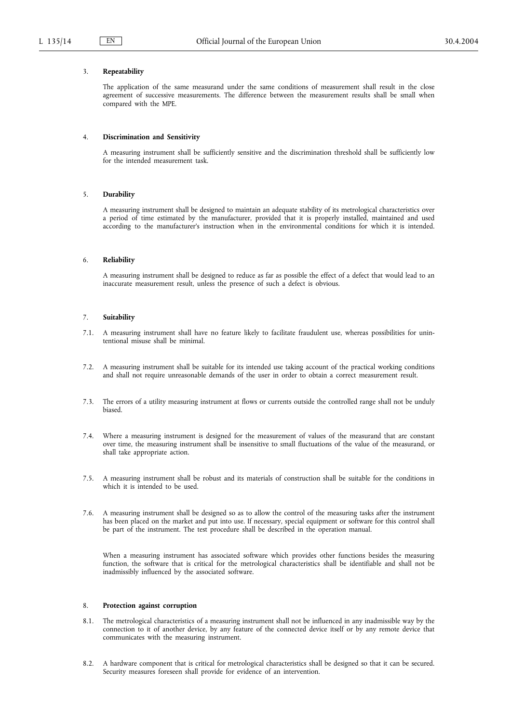### 3. **Repeatability**

The application of the same measurand under the same conditions of measurement shall result in the close agreement of successive measurements. The difference between the measurement results shall be small when compared with the MPE.

#### 4. **Discrimination and Sensitivity**

A measuring instrument shall be sufficiently sensitive and the discrimination threshold shall be sufficiently low for the intended measurement task.

#### 5. **Durability**

A measuring instrument shall be designed to maintain an adequate stability of its metrological characteristics over a period of time estimated by the manufacturer, provided that it is properly installed, maintained and used according to the manufacturer's instruction when in the environmental conditions for which it is intended.

### 6. **Reliability**

A measuring instrument shall be designed to reduce as far as possible the effect of a defect that would lead to an inaccurate measurement result, unless the presence of such a defect is obvious.

#### 7. **Suitability**

- 7.1. A measuring instrument shall have no feature likely to facilitate fraudulent use, whereas possibilities for unintentional misuse shall be minimal.
- 7.2. A measuring instrument shall be suitable for its intended use taking account of the practical working conditions and shall not require unreasonable demands of the user in order to obtain a correct measurement result.
- 7.3. The errors of a utility measuring instrument at flows or currents outside the controlled range shall not be unduly biased.
- 7.4. Where a measuring instrument is designed for the measurement of values of the measurand that are constant over time, the measuring instrument shall be insensitive to small fluctuations of the value of the measurand, or shall take appropriate action.
- 7.5. A measuring instrument shall be robust and its materials of construction shall be suitable for the conditions in which it is intended to be used.
- 7.6. A measuring instrument shall be designed so as to allow the control of the measuring tasks after the instrument has been placed on the market and put into use. If necessary, special equipment or software for this control shall be part of the instrument. The test procedure shall be described in the operation manual.

When a measuring instrument has associated software which provides other functions besides the measuring function, the software that is critical for the metrological characteristics shall be identifiable and shall not be inadmissibly influenced by the associated software.

# 8. **Protection against corruption**

- 8.1. The metrological characteristics of a measuring instrument shall not be influenced in any inadmissible way by the connection to it of another device, by any feature of the connected device itself or by any remote device that communicates with the measuring instrument.
- 8.2. A hardware component that is critical for metrological characteristics shall be designed so that it can be secured. Security measures foreseen shall provide for evidence of an intervention.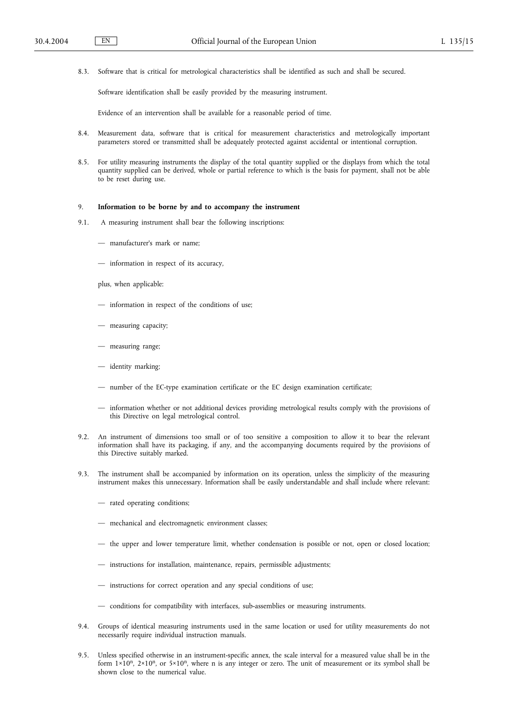8.3. Software that is critical for metrological characteristics shall be identified as such and shall be secured.

Software identification shall be easily provided by the measuring instrument.

Evidence of an intervention shall be available for a reasonable period of time.

- 8.4. Measurement data, software that is critical for measurement characteristics and metrologically important parameters stored or transmitted shall be adequately protected against accidental or intentional corruption.
- 8.5. For utility measuring instruments the display of the total quantity supplied or the displays from which the total quantity supplied can be derived, whole or partial reference to which is the basis for payment, shall not be able to be reset during use.

#### 9. **Information to be borne by and to accompany the instrument**

- 9.1. A measuring instrument shall bear the following inscriptions:
	- manufacturer's mark or name;
	- information in respect of its accuracy,
	- plus, when applicable:
	- information in respect of the conditions of use;
	- measuring capacity;
	- measuring range;
	- identity marking;
	- number of the EC-type examination certificate or the EC design examination certificate;
	- information whether or not additional devices providing metrological results comply with the provisions of this Directive on legal metrological control.
- 9.2. An instrument of dimensions too small or of too sensitive a composition to allow it to bear the relevant information shall have its packaging, if any, and the accompanying documents required by the provisions of this Directive suitably marked.
- 9.3. The instrument shall be accompanied by information on its operation, unless the simplicity of the measuring instrument makes this unnecessary. Information shall be easily understandable and shall include where relevant:
	- rated operating conditions;
	- mechanical and electromagnetic environment classes;
	- the upper and lower temperature limit, whether condensation is possible or not, open or closed location;
	- instructions for installation, maintenance, repairs, permissible adjustments;
	- instructions for correct operation and any special conditions of use;
	- conditions for compatibility with interfaces, sub-assemblies or measuring instruments.
- 9.4. Groups of identical measuring instruments used in the same location or used for utility measurements do not necessarily require individual instruction manuals.
- 9.5. Unless specified otherwise in an instrument-specific annex, the scale interval for a measured value shall be in the form  $1 \times 10^n$ ,  $2 \times 10^n$ , or  $5 \times 10^n$ , where n is any integer or zero. The unit of measurement or its symbol shall be shown close to the numerical value.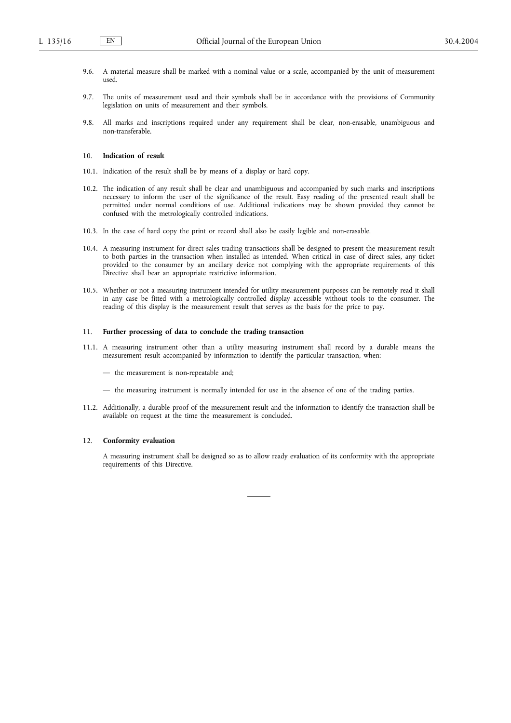- 9.6. A material measure shall be marked with a nominal value or a scale, accompanied by the unit of measurement used.
- 9.7. The units of measurement used and their symbols shall be in accordance with the provisions of Community legislation on units of measurement and their symbols.
- 9.8. All marks and inscriptions required under any requirement shall be clear, non-erasable, unambiguous and non-transferable.

### 10. **Indication of result**

- 10.1. Indication of the result shall be by means of a display or hard copy.
- 10.2. The indication of any result shall be clear and unambiguous and accompanied by such marks and inscriptions necessary to inform the user of the significance of the result. Easy reading of the presented result shall be permitted under normal conditions of use. Additional indications may be shown provided they cannot be confused with the metrologically controlled indications.
- 10.3. In the case of hard copy the print or record shall also be easily legible and non-erasable.
- 10.4. A measuring instrument for direct sales trading transactions shall be designed to present the measurement result to both parties in the transaction when installed as intended. When critical in case of direct sales, any ticket provided to the consumer by an ancillary device not complying with the appropriate requirements of this Directive shall bear an appropriate restrictive information.
- 10.5. Whether or not a measuring instrument intended for utility measurement purposes can be remotely read it shall in any case be fitted with a metrologically controlled display accessible without tools to the consumer. The reading of this display is the measurement result that serves as the basis for the price to pay.

#### 11. **Further processing of data to conclude the trading transaction**

- 11.1. A measuring instrument other than a utility measuring instrument shall record by a durable means the measurement result accompanied by information to identify the particular transaction, when:
	- the measurement is non-repeatable and;
	- the measuring instrument is normally intended for use in the absence of one of the trading parties.
- 11.2. Additionally, a durable proof of the measurement result and the information to identify the transaction shall be available on request at the time the measurement is concluded.

#### 12. **Conformity evaluation**

A measuring instrument shall be designed so as to allow ready evaluation of its conformity with the appropriate requirements of this Directive.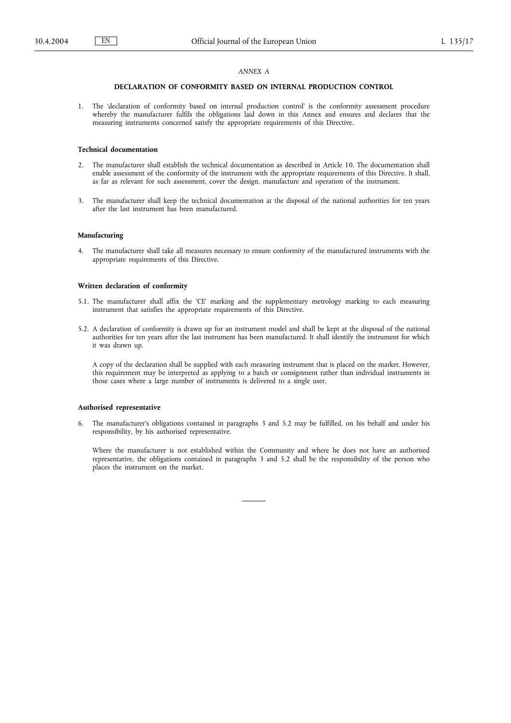### *ANNEX A*

### **DECLARATION OF CONFORMITY BASED ON INTERNAL PRODUCTION CONTROL**

1. The 'declaration of conformity based on internal production control' is the conformity assessment procedure whereby the manufacturer fulfils the obligations laid down in this Annex and ensures and declares that the measuring instruments concerned satisfy the appropriate requirements of this Directive.

# **Technical documentation**

- 2. The manufacturer shall establish the technical documentation as described in Article 10. The documentation shall enable assessment of the conformity of the instrument with the appropriate requirements of this Directive. It shall, as far as relevant for such assessment, cover the design, manufacture and operation of the instrument.
- 3. The manufacturer shall keep the technical documentation at the disposal of the national authorities for ten years after the last instrument has been manufactured.

#### **Manufacturing**

4. The manufacturer shall take all measures necessary to ensure conformity of the manufactured instruments with the appropriate requirements of this Directive.

### **Written declaration of conformity**

- 5.1. The manufacturer shall affix the 'CE' marking and the supplementary metrology marking to each measuring instrument that satisfies the appropriate requirements of this Directive.
- 5.2. A declaration of conformity is drawn up for an instrument model and shall be kept at the disposal of the national authorities for ten years after the last instrument has been manufactured. It shall identify the instrument for which it was drawn up.

A copy of the declaration shall be supplied with each measuring instrument that is placed on the market. However, this requirement may be interpreted as applying to a batch or consignment rather than individual instruments in those cases where a large number of instruments is delivered to a single user.

### **Authorised representative**

6. The manufacturer's obligations contained in paragraphs 3 and 5.2 may be fulfilled, on his behalf and under his responsibility, by his authorised representative.

Where the manufacturer is not established within the Community and where he does not have an authorised representative, the obligations contained in paragraphs 3 and 5.2 shall be the responsibility of the person who places the instrument on the market.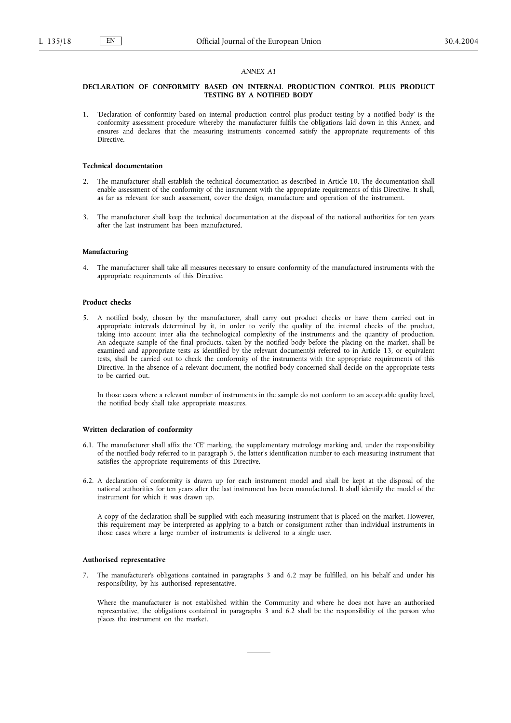#### *ANNEX A1*

### **DECLARATION OF CONFORMITY BASED ON INTERNAL PRODUCTION CONTROL PLUS PRODUCT TESTING BY A NOTIFIED BODY**

1. 'Declaration of conformity based on internal production control plus product testing by a notified body' is the conformity assessment procedure whereby the manufacturer fulfils the obligations laid down in this Annex, and ensures and declares that the measuring instruments concerned satisfy the appropriate requirements of this Directive.

### **Technical documentation**

- 2. The manufacturer shall establish the technical documentation as described in Article 10. The documentation shall enable assessment of the conformity of the instrument with the appropriate requirements of this Directive. It shall, as far as relevant for such assessment, cover the design, manufacture and operation of the instrument.
- 3. The manufacturer shall keep the technical documentation at the disposal of the national authorities for ten years after the last instrument has been manufactured.

#### **Manufacturing**

4. The manufacturer shall take all measures necessary to ensure conformity of the manufactured instruments with the appropriate requirements of this Directive.

### **Product checks**

5. A notified body, chosen by the manufacturer, shall carry out product checks or have them carried out in appropriate intervals determined by it, in order to verify the quality of the internal checks of the product, taking into account inter alia the technological complexity of the instruments and the quantity of production. An adequate sample of the final products, taken by the notified body before the placing on the market, shall be examined and appropriate tests as identified by the relevant document(s) referred to in Article 13, or equivalent tests, shall be carried out to check the conformity of the instruments with the appropriate requirements of this Directive. In the absence of a relevant document, the notified body concerned shall decide on the appropriate tests to be carried out.

In those cases where a relevant number of instruments in the sample do not conform to an acceptable quality level, the notified body shall take appropriate measures.

### **Written declaration of conformity**

- 6.1. The manufacturer shall affix the 'CE' marking, the supplementary metrology marking and, under the responsibility of the notified body referred to in paragraph 5, the latter's identification number to each measuring instrument that satisfies the appropriate requirements of this Directive.
- 6.2. A declaration of conformity is drawn up for each instrument model and shall be kept at the disposal of the national authorities for ten years after the last instrument has been manufactured. It shall identify the model of the instrument for which it was drawn up.

A copy of the declaration shall be supplied with each measuring instrument that is placed on the market. However, this requirement may be interpreted as applying to a batch or consignment rather than individual instruments in those cases where a large number of instruments is delivered to a single user.

# **Authorised representative**

7. The manufacturer's obligations contained in paragraphs 3 and 6.2 may be fulfilled, on his behalf and under his responsibility, by his authorised representative.

Where the manufacturer is not established within the Community and where he does not have an authorised representative, the obligations contained in paragraphs 3 and 6.2 shall be the responsibility of the person who places the instrument on the market.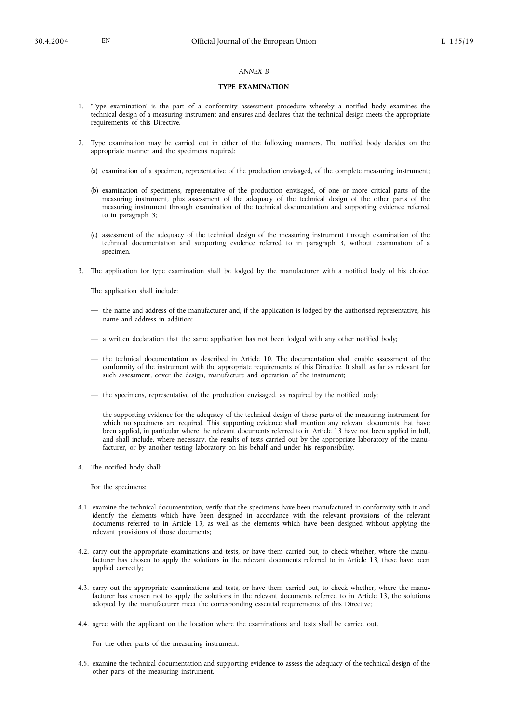### *ANNEX B*

### **TYPE EXAMINATION**

- 1. 'Type examination' is the part of a conformity assessment procedure whereby a notified body examines the technical design of a measuring instrument and ensures and declares that the technical design meets the appropriate requirements of this Directive.
- 2. Type examination may be carried out in either of the following manners. The notified body decides on the appropriate manner and the specimens required:
	- (a) examination of a specimen, representative of the production envisaged, of the complete measuring instrument;
	- (b) examination of specimens, representative of the production envisaged, of one or more critical parts of the measuring instrument, plus assessment of the adequacy of the technical design of the other parts of the measuring instrument through examination of the technical documentation and supporting evidence referred to in paragraph 3;
	- (c) assessment of the adequacy of the technical design of the measuring instrument through examination of the technical documentation and supporting evidence referred to in paragraph 3, without examination of a specimen.
- 3. The application for type examination shall be lodged by the manufacturer with a notified body of his choice.

The application shall include:

- the name and address of the manufacturer and, if the application is lodged by the authorised representative, his name and address in addition;
- a written declaration that the same application has not been lodged with any other notified body;
- the technical documentation as described in Article 10. The documentation shall enable assessment of the conformity of the instrument with the appropriate requirements of this Directive. It shall, as far as relevant for such assessment, cover the design, manufacture and operation of the instrument;
- the specimens, representative of the production envisaged, as required by the notified body;
- the supporting evidence for the adequacy of the technical design of those parts of the measuring instrument for which no specimens are required. This supporting evidence shall mention any relevant documents that have been applied, in particular where the relevant documents referred to in Article 13 have not been applied in full, and shall include, where necessary, the results of tests carried out by the appropriate laboratory of the manufacturer, or by another testing laboratory on his behalf and under his responsibility.
- 4. The notified body shall:

For the specimens:

- 4.1. examine the technical documentation, verify that the specimens have been manufactured in conformity with it and identify the elements which have been designed in accordance with the relevant provisions of the relevant documents referred to in Article 13, as well as the elements which have been designed without applying the relevant provisions of those documents;
- 4.2. carry out the appropriate examinations and tests, or have them carried out, to check whether, where the manufacturer has chosen to apply the solutions in the relevant documents referred to in Article 13, these have been applied correctly;
- 4.3. carry out the appropriate examinations and tests, or have them carried out, to check whether, where the manufacturer has chosen not to apply the solutions in the relevant documents referred to in Article 13, the solutions adopted by the manufacturer meet the corresponding essential requirements of this Directive;
- 4.4. agree with the applicant on the location where the examinations and tests shall be carried out.

For the other parts of the measuring instrument:

4.5. examine the technical documentation and supporting evidence to assess the adequacy of the technical design of the other parts of the measuring instrument.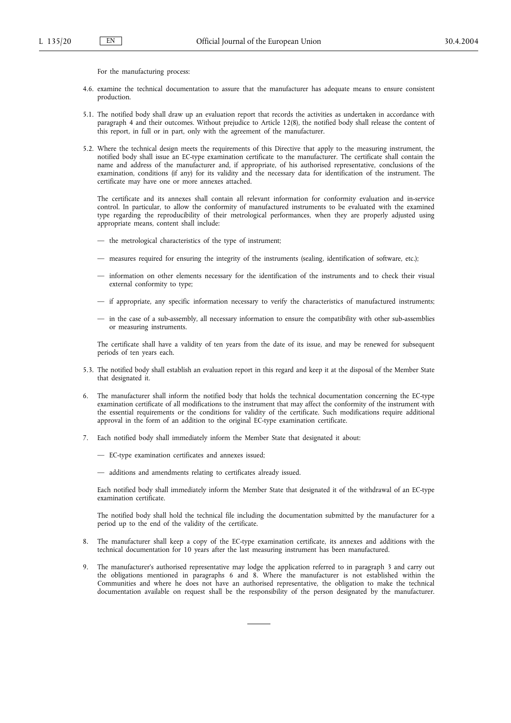For the manufacturing process:

- 4.6. examine the technical documentation to assure that the manufacturer has adequate means to ensure consistent production.
- 5.1. The notified body shall draw up an evaluation report that records the activities as undertaken in accordance with paragraph 4 and their outcomes. Without prejudice to Article 12(8), the notified body shall release the content of this report, in full or in part, only with the agreement of the manufacturer.
- 5.2. Where the technical design meets the requirements of this Directive that apply to the measuring instrument, the notified body shall issue an EC-type examination certificate to the manufacturer. The certificate shall contain the name and address of the manufacturer and, if appropriate, of his authorised representative, conclusions of the examination, conditions (if any) for its validity and the necessary data for identification of the instrument. The certificate may have one or more annexes attached.

The certificate and its annexes shall contain all relevant information for conformity evaluation and in-service control. In particular, to allow the conformity of manufactured instruments to be evaluated with the examined type regarding the reproducibility of their metrological performances, when they are properly adjusted using appropriate means, content shall include:

- the metrological characteristics of the type of instrument;
- measures required for ensuring the integrity of the instruments (sealing, identification of software, etc.);
- information on other elements necessary for the identification of the instruments and to check their visual external conformity to type;
- if appropriate, any specific information necessary to verify the characteristics of manufactured instruments;
- in the case of a sub-assembly, all necessary information to ensure the compatibility with other sub-assemblies or measuring instruments.

The certificate shall have a validity of ten years from the date of its issue, and may be renewed for subsequent periods of ten years each.

- 5.3. The notified body shall establish an evaluation report in this regard and keep it at the disposal of the Member State that designated it.
- 6. The manufacturer shall inform the notified body that holds the technical documentation concerning the EC-type examination certificate of all modifications to the instrument that may affect the conformity of the instrument with the essential requirements or the conditions for validity of the certificate. Such modifications require additional approval in the form of an addition to the original EC-type examination certificate.
- 7. Each notified body shall immediately inform the Member State that designated it about:
	- EC-type examination certificates and annexes issued;
	- additions and amendments relating to certificates already issued.

Each notified body shall immediately inform the Member State that designated it of the withdrawal of an EC-type examination certificate.

The notified body shall hold the technical file including the documentation submitted by the manufacturer for a period up to the end of the validity of the certificate.

- 8. The manufacturer shall keep a copy of the EC-type examination certificate, its annexes and additions with the technical documentation for 10 years after the last measuring instrument has been manufactured.
- 9. The manufacturer's authorised representative may lodge the application referred to in paragraph 3 and carry out the obligations mentioned in paragraphs 6 and 8. Where the manufacturer is not established within the Communities and where he does not have an authorised representative, the obligation to make the technical documentation available on request shall be the responsibility of the person designated by the manufacturer.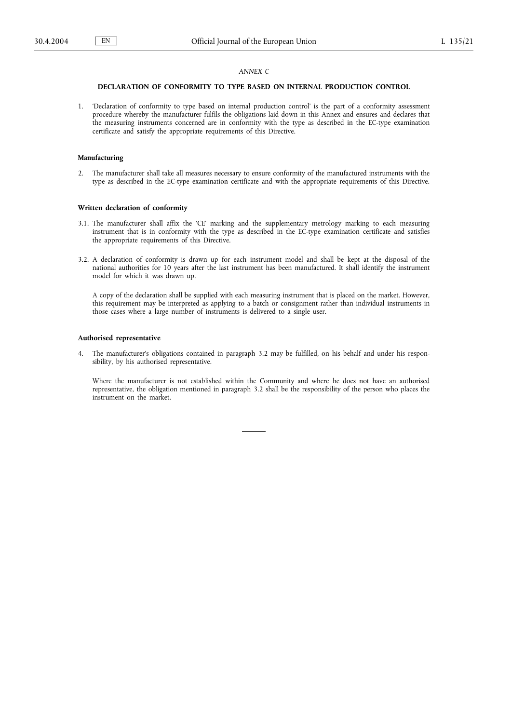# *ANNEX C*

# **DECLARATION OF CONFORMITY TO TYPE BASED ON INTERNAL PRODUCTION CONTROL**

1. 'Declaration of conformity to type based on internal production control' is the part of a conformity assessment procedure whereby the manufacturer fulfils the obligations laid down in this Annex and ensures and declares that the measuring instruments concerned are in conformity with the type as described in the EC-type examination certificate and satisfy the appropriate requirements of this Directive.

#### **Manufacturing**

2. The manufacturer shall take all measures necessary to ensure conformity of the manufactured instruments with the type as described in the EC-type examination certificate and with the appropriate requirements of this Directive.

#### **Written declaration of conformity**

- 3.1. The manufacturer shall affix the 'CE' marking and the supplementary metrology marking to each measuring instrument that is in conformity with the type as described in the EC-type examination certificate and satisfies the appropriate requirements of this Directive.
- 3.2. A declaration of conformity is drawn up for each instrument model and shall be kept at the disposal of the national authorities for 10 years after the last instrument has been manufactured. It shall identify the instrument model for which it was drawn up.

A copy of the declaration shall be supplied with each measuring instrument that is placed on the market. However, this requirement may be interpreted as applying to a batch or consignment rather than individual instruments in those cases where a large number of instruments is delivered to a single user.

### **Authorised representative**

4. The manufacturer's obligations contained in paragraph 3.2 may be fulfilled, on his behalf and under his responsibility, by his authorised representative.

Where the manufacturer is not established within the Community and where he does not have an authorised representative, the obligation mentioned in paragraph 3.2 shall be the responsibility of the person who places the instrument on the market.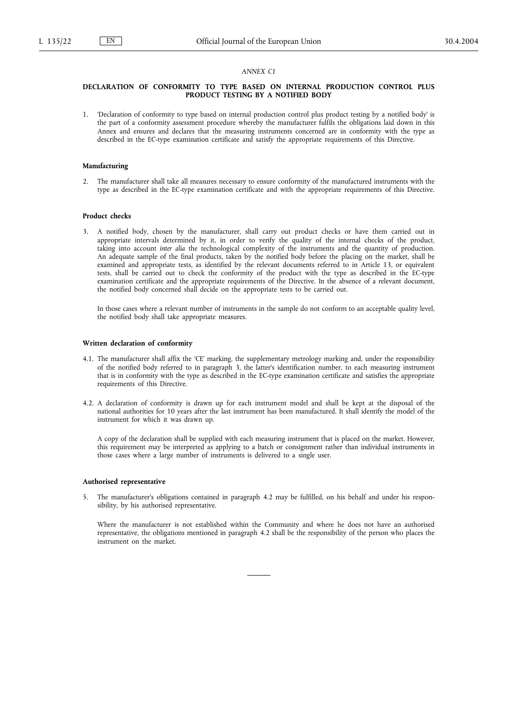#### *ANNEX C1*

### **DECLARATION OF CONFORMITY TO TYPE BASED ON INTERNAL PRODUCTION CONTROL PLUS PRODUCT TESTING BY A NOTIFIED BODY**

1. 'Declaration of conformity to type based on internal production control plus product testing by a notified body' is the part of a conformity assessment procedure whereby the manufacturer fulfils the obligations laid down in this Annex and ensures and declares that the measuring instruments concerned are in conformity with the type as described in the EC-type examination certificate and satisfy the appropriate requirements of this Directive.

### **Manufacturing**

2. The manufacturer shall take all measures necessary to ensure conformity of the manufactured instruments with the type as described in the EC-type examination certificate and with the appropriate requirements of this Directive.

#### **Product checks**

3. A notified body, chosen by the manufacturer, shall carry out product checks or have them carried out in appropriate intervals determined by it, in order to verify the quality of the internal checks of the product, taking into account *inter alia* the technological complexity of the instruments and the quantity of production. An adequate sample of the final products, taken by the notified body before the placing on the market, shall be examined and appropriate tests, as identified by the relevant documents referred to in Article 13, or equivalent tests, shall be carried out to check the conformity of the product with the type as described in the EC-type examination certificate and the appropriate requirements of the Directive. In the absence of a relevant document, the notified body concerned shall decide on the appropriate tests to be carried out.

In those cases where a relevant number of instruments in the sample do not conform to an acceptable quality level, the notified body shall take appropriate measures.

### **Written declaration of conformity**

- 4.1. The manufacturer shall affix the 'CE' marking, the supplementary metrology marking and, under the responsibility of the notified body referred to in paragraph 3, the latter's identification number, to each measuring instrument that is in conformity with the type as described in the EC-type examination certificate and satisfies the appropriate requirements of this Directive.
- 4.2. A declaration of conformity is drawn up for each instrument model and shall be kept at the disposal of the national authorities for 10 years after the last instrument has been manufactured. It shall identify the model of the instrument for which it was drawn up.

A copy of the declaration shall be supplied with each measuring instrument that is placed on the market. However, this requirement may be interpreted as applying to a batch or consignment rather than individual instruments in those cases where a large number of instruments is delivered to a single user.

#### **Authorised representative**

5. The manufacturer's obligations contained in paragraph 4.2 may be fulfilled, on his behalf and under his responsibility, by his authorised representative.

Where the manufacturer is not established within the Community and where he does not have an authorised representative, the obligations mentioned in paragraph 4.2 shall be the responsibility of the person who places the instrument on the market.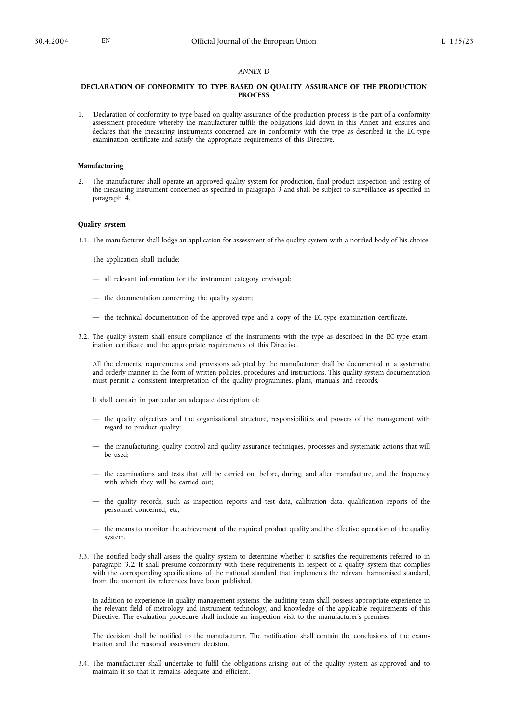### *ANNEX D*

### **DECLARATION OF CONFORMITY TO TYPE BASED ON QUALITY ASSURANCE OF THE PRODUCTION PROCESS**

1. 'Declaration of conformity to type based on quality assurance of the production process' is the part of a conformity assessment procedure whereby the manufacturer fulfils the obligations laid down in this Annex and ensures and declares that the measuring instruments concerned are in conformity with the type as described in the EC-type examination certificate and satisfy the appropriate requirements of this Directive.

### **Manufacturing**

2. The manufacturer shall operate an approved quality system for production, final product inspection and testing of the measuring instrument concerned as specified in paragraph 3 and shall be subject to surveillance as specified in paragraph 4.

### **Quality system**

3.1. The manufacturer shall lodge an application for assessment of the quality system with a notified body of his choice.

The application shall include:

- all relevant information for the instrument category envisaged;
- the documentation concerning the quality system;
- the technical documentation of the approved type and a copy of the EC-type examination certificate.
- 3.2. The quality system shall ensure compliance of the instruments with the type as described in the EC-type examination certificate and the appropriate requirements of this Directive.

All the elements, requirements and provisions adopted by the manufacturer shall be documented in a systematic and orderly manner in the form of written policies, procedures and instructions. This quality system documentation must permit a consistent interpretation of the quality programmes, plans, manuals and records.

It shall contain in particular an adequate description of:

- the quality objectives and the organisational structure, responsibilities and powers of the management with regard to product quality;
- the manufacturing, quality control and quality assurance techniques, processes and systematic actions that will be used;
- the examinations and tests that will be carried out before, during, and after manufacture, and the frequency with which they will be carried out;
- the quality records, such as inspection reports and test data, calibration data, qualification reports of the personnel concerned, etc;
- the means to monitor the achievement of the required product quality and the effective operation of the quality system.
- 3.3. The notified body shall assess the quality system to determine whether it satisfies the requirements referred to in paragraph 3.2. It shall presume conformity with these requirements in respect of a quality system that complies with the corresponding specifications of the national standard that implements the relevant harmonised standard, from the moment its references have been published.

In addition to experience in quality management systems, the auditing team shall possess appropriate experience in the relevant field of metrology and instrument technology, and knowledge of the applicable requirements of this Directive. The evaluation procedure shall include an inspection visit to the manufacturer's premises.

The decision shall be notified to the manufacturer. The notification shall contain the conclusions of the examination and the reasoned assessment decision.

3.4. The manufacturer shall undertake to fulfil the obligations arising out of the quality system as approved and to maintain it so that it remains adequate and efficient.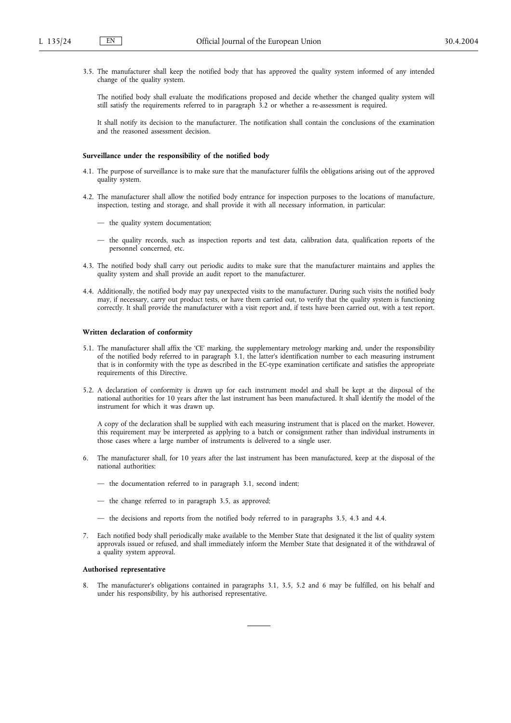3.5. The manufacturer shall keep the notified body that has approved the quality system informed of any intended change of the quality system.

The notified body shall evaluate the modifications proposed and decide whether the changed quality system will still satisfy the requirements referred to in paragraph 3.2 or whether a re-assessment is required.

It shall notify its decision to the manufacturer. The notification shall contain the conclusions of the examination and the reasoned assessment decision.

### **Surveillance under the responsibility of the notified body**

- 4.1. The purpose of surveillance is to make sure that the manufacturer fulfils the obligations arising out of the approved quality system.
- 4.2. The manufacturer shall allow the notified body entrance for inspection purposes to the locations of manufacture, inspection, testing and storage, and shall provide it with all necessary information, in particular:
	- the quality system documentation;
	- the quality records, such as inspection reports and test data, calibration data, qualification reports of the personnel concerned, etc.
- 4.3. The notified body shall carry out periodic audits to make sure that the manufacturer maintains and applies the quality system and shall provide an audit report to the manufacturer.
- 4.4. Additionally, the notified body may pay unexpected visits to the manufacturer. During such visits the notified body may, if necessary, carry out product tests, or have them carried out, to verify that the quality system is functioning correctly. It shall provide the manufacturer with a visit report and, if tests have been carried out, with a test report.

### **Written declaration of conformity**

- 5.1. The manufacturer shall affix the 'CE' marking, the supplementary metrology marking and, under the responsibility of the notified body referred to in paragraph 3.1, the latter's identification number to each measuring instrument that is in conformity with the type as described in the EC-type examination certificate and satisfies the appropriate requirements of this Directive.
- 5.2. A declaration of conformity is drawn up for each instrument model and shall be kept at the disposal of the national authorities for 10 years after the last instrument has been manufactured. It shall identify the model of the instrument for which it was drawn up.

A copy of the declaration shall be supplied with each measuring instrument that is placed on the market. However, this requirement may be interpreted as applying to a batch or consignment rather than individual instruments in those cases where a large number of instruments is delivered to a single user.

- 6. The manufacturer shall, for 10 years after the last instrument has been manufactured, keep at the disposal of the national authorities:
	- the documentation referred to in paragraph 3.1, second indent;
	- the change referred to in paragraph 3.5, as approved;
	- the decisions and reports from the notified body referred to in paragraphs 3.5, 4.3 and 4.4.
- 7. Each notified body shall periodically make available to the Member State that designated it the list of quality system approvals issued or refused, and shall immediately inform the Member State that designated it of the withdrawal of a quality system approval.

# **Authorised representative**

8. The manufacturer's obligations contained in paragraphs 3.1, 3.5, 5.2 and 6 may be fulfilled, on his behalf and under his responsibility, by his authorised representative.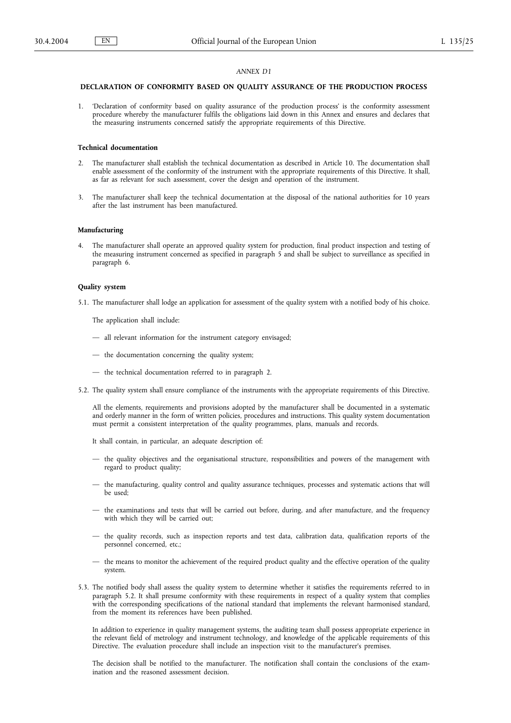# *ANNEX D1*

# **DECLARATION OF CONFORMITY BASED ON QUALITY ASSURANCE OF THE PRODUCTION PROCESS**

1. 'Declaration of conformity based on quality assurance of the production process' is the conformity assessment procedure whereby the manufacturer fulfils the obligations laid down in this Annex and ensures and declares that the measuring instruments concerned satisfy the appropriate requirements of this Directive.

### **Technical documentation**

- 2. The manufacturer shall establish the technical documentation as described in Article 10. The documentation shall enable assessment of the conformity of the instrument with the appropriate requirements of this Directive. It shall, as far as relevant for such assessment, cover the design and operation of the instrument.
- 3. The manufacturer shall keep the technical documentation at the disposal of the national authorities for 10 years after the last instrument has been manufactured.

#### **Manufacturing**

4. The manufacturer shall operate an approved quality system for production, final product inspection and testing of the measuring instrument concerned as specified in paragraph 5 and shall be subject to surveillance as specified in paragraph 6.

### **Quality system**

5.1. The manufacturer shall lodge an application for assessment of the quality system with a notified body of his choice.

The application shall include:

- all relevant information for the instrument category envisaged;
- the documentation concerning the quality system;
- the technical documentation referred to in paragraph 2.
- 5.2. The quality system shall ensure compliance of the instruments with the appropriate requirements of this Directive.

All the elements, requirements and provisions adopted by the manufacturer shall be documented in a systematic and orderly manner in the form of written policies, procedures and instructions. This quality system documentation must permit a consistent interpretation of the quality programmes, plans, manuals and records.

It shall contain, in particular, an adequate description of:

- the quality objectives and the organisational structure, responsibilities and powers of the management with regard to product quality;
- the manufacturing, quality control and quality assurance techniques, processes and systematic actions that will be used;
- the examinations and tests that will be carried out before, during, and after manufacture, and the frequency with which they will be carried out;
- the quality records, such as inspection reports and test data, calibration data, qualification reports of the personnel concerned, etc.;
- the means to monitor the achievement of the required product quality and the effective operation of the quality system.
- 5.3. The notified body shall assess the quality system to determine whether it satisfies the requirements referred to in paragraph 5.2. It shall presume conformity with these requirements in respect of a quality system that complies with the corresponding specifications of the national standard that implements the relevant harmonised standard, from the moment its references have been published.

In addition to experience in quality management systems, the auditing team shall possess appropriate experience in the relevant field of metrology and instrument technology, and knowledge of the applicable requirements of this Directive. The evaluation procedure shall include an inspection visit to the manufacturer's premises.

The decision shall be notified to the manufacturer. The notification shall contain the conclusions of the examination and the reasoned assessment decision.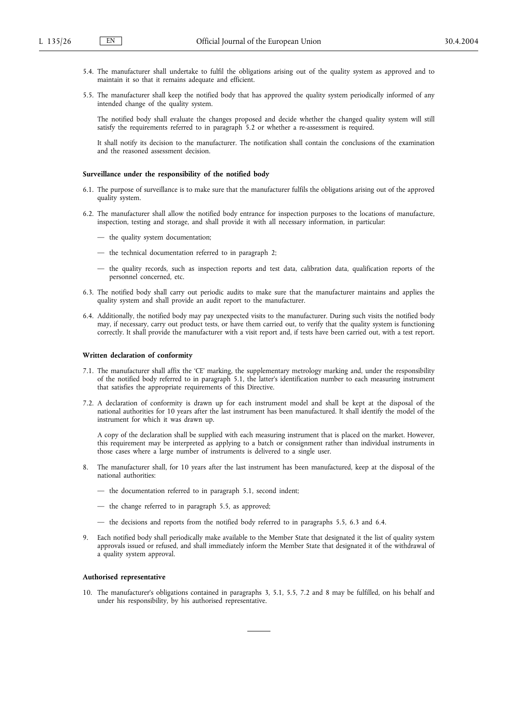- 5.4. The manufacturer shall undertake to fulfil the obligations arising out of the quality system as approved and to maintain it so that it remains adequate and efficient.
- 5.5. The manufacturer shall keep the notified body that has approved the quality system periodically informed of any intended change of the quality system.

The notified body shall evaluate the changes proposed and decide whether the changed quality system will still satisfy the requirements referred to in paragraph 5.2 or whether a re-assessment is required.

It shall notify its decision to the manufacturer. The notification shall contain the conclusions of the examination and the reasoned assessment decision.

### **Surveillance under the responsibility of the notified body**

- 6.1. The purpose of surveillance is to make sure that the manufacturer fulfils the obligations arising out of the approved quality system.
- 6.2. The manufacturer shall allow the notified body entrance for inspection purposes to the locations of manufacture, inspection, testing and storage, and shall provide it with all necessary information, in particular:
	- the quality system documentation;
	- the technical documentation referred to in paragraph 2;
	- the quality records, such as inspection reports and test data, calibration data, qualification reports of the personnel concerned, etc.
- 6.3. The notified body shall carry out periodic audits to make sure that the manufacturer maintains and applies the quality system and shall provide an audit report to the manufacturer.
- 6.4. Additionally, the notified body may pay unexpected visits to the manufacturer. During such visits the notified body may, if necessary, carry out product tests, or have them carried out, to verify that the quality system is functioning correctly. It shall provide the manufacturer with a visit report and, if tests have been carried out, with a test report.

#### **Written declaration of conformity**

- 7.1. The manufacturer shall affix the 'CE' marking, the supplementary metrology marking and, under the responsibility of the notified body referred to in paragraph 5.1, the latter's identification number to each measuring instrument that satisfies the appropriate requirements of this Directive.
- 7.2. A declaration of conformity is drawn up for each instrument model and shall be kept at the disposal of the national authorities for 10 years after the last instrument has been manufactured. It shall identify the model of the instrument for which it was drawn up.

A copy of the declaration shall be supplied with each measuring instrument that is placed on the market. However, this requirement may be interpreted as applying to a batch or consignment rather than individual instruments in those cases where a large number of instruments is delivered to a single user.

- 8. The manufacturer shall, for 10 years after the last instrument has been manufactured, keep at the disposal of the national authorities:
	- the documentation referred to in paragraph 5.1, second indent;
	- the change referred to in paragraph 5.5, as approved;
	- the decisions and reports from the notified body referred to in paragraphs 5.5, 6.3 and 6.4.
- 9. Each notified body shall periodically make available to the Member State that designated it the list of quality system approvals issued or refused, and shall immediately inform the Member State that designated it of the withdrawal of a quality system approval.

#### **Authorised representative**

10. The manufacturer's obligations contained in paragraphs 3, 5.1, 5.5, 7.2 and 8 may be fulfilled, on his behalf and under his responsibility, by his authorised representative.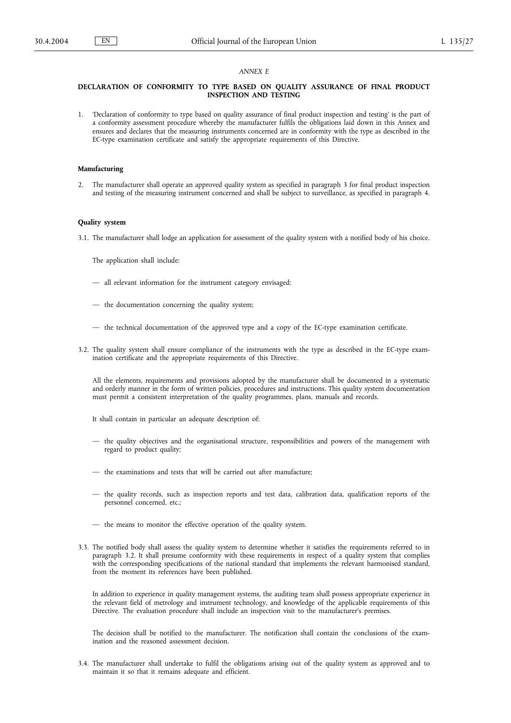### *ANNEX E*

### **DECLARATION OF CONFORMITY TO TYPE BASED ON QUALITY ASSURANCE OF FINAL PRODUCT INSPECTION AND TESTING**

1. 'Declaration of conformity to type based on quality assurance of final product inspection and testing' is the part of a conformity assessment procedure whereby the manufacturer fulfils the obligations laid down in this Annex and ensures and declares that the measuring instruments concerned are in conformity with the type as described in the EC-type examination certificate and satisfy the appropriate requirements of this Directive.

### **Manufacturing**

2. The manufacturer shall operate an approved quality system as specified in paragraph 3 for final product inspection and testing of the measuring instrument concerned and shall be subject to surveillance, as specified in paragraph 4.

# **Quality system**

3.1. The manufacturer shall lodge an application for assessment of the quality system with a notified body of his choice.

The application shall include:

- all relevant information for the instrument category envisaged;
- the documentation concerning the quality system;
- the technical documentation of the approved type and a copy of the EC-type examination certificate.
- 3.2. The quality system shall ensure compliance of the instruments with the type as described in the EC-type examination certificate and the appropriate requirements of this Directive.

All the elements, requirements and provisions adopted by the manufacturer shall be documented in a systematic and orderly manner in the form of written policies, procedures and instructions. This quality system documentation must permit a consistent interpretation of the quality programmes, plans, manuals and records.

It shall contain in particular an adequate description of:

- the quality objectives and the organisational structure, responsibilities and powers of the management with regard to product quality;
- the examinations and tests that will be carried out after manufacture;
- the quality records, such as inspection reports and test data, calibration data, qualification reports of the personnel concerned, etc.;
- the means to monitor the effective operation of the quality system.
- 3.3. The notified body shall assess the quality system to determine whether it satisfies the requirements referred to in paragraph 3.2. It shall presume conformity with these requirements in respect of a quality system that complies with the corresponding specifications of the national standard that implements the relevant harmonised standard, from the moment its references have been published.

In addition to experience in quality management systems, the auditing team shall possess appropriate experience in the relevant field of metrology and instrument technology, and knowledge of the applicable requirements of this Directive. The evaluation procedure shall include an inspection visit to the manufacturer's premises.

The decision shall be notified to the manufacturer. The notification shall contain the conclusions of the examination and the reasoned assessment decision.

3.4. The manufacturer shall undertake to fulfil the obligations arising out of the quality system as approved and to maintain it so that it remains adequate and efficient.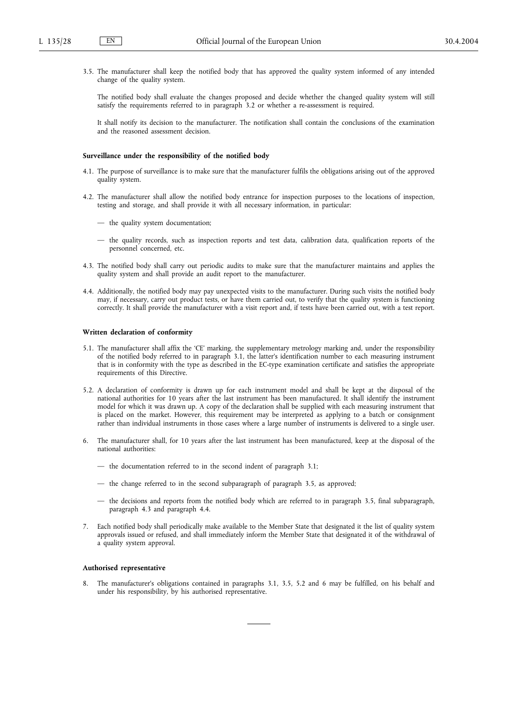3.5. The manufacturer shall keep the notified body that has approved the quality system informed of any intended change of the quality system.

The notified body shall evaluate the changes proposed and decide whether the changed quality system will still satisfy the requirements referred to in paragraph 3.2 or whether a re-assessment is required.

It shall notify its decision to the manufacturer. The notification shall contain the conclusions of the examination and the reasoned assessment decision.

### **Surveillance under the responsibility of the notified body**

- 4.1. The purpose of surveillance is to make sure that the manufacturer fulfils the obligations arising out of the approved quality system.
- 4.2. The manufacturer shall allow the notified body entrance for inspection purposes to the locations of inspection, testing and storage, and shall provide it with all necessary information, in particular:
	- the quality system documentation;
	- the quality records, such as inspection reports and test data, calibration data, qualification reports of the personnel concerned, etc.
- 4.3. The notified body shall carry out periodic audits to make sure that the manufacturer maintains and applies the quality system and shall provide an audit report to the manufacturer.
- 4.4. Additionally, the notified body may pay unexpected visits to the manufacturer. During such visits the notified body may, if necessary, carry out product tests, or have them carried out, to verify that the quality system is functioning correctly. It shall provide the manufacturer with a visit report and, if tests have been carried out, with a test report.

### **Written declaration of conformity**

- 5.1. The manufacturer shall affix the 'CE' marking, the supplementary metrology marking and, under the responsibility of the notified body referred to in paragraph 3.1, the latter's identification number to each measuring instrument that is in conformity with the type as described in the EC-type examination certificate and satisfies the appropriate requirements of this Directive.
- 5.2. A declaration of conformity is drawn up for each instrument model and shall be kept at the disposal of the national authorities for 10 years after the last instrument has been manufactured. It shall identify the instrument model for which it was drawn up. A copy of the declaration shall be supplied with each measuring instrument that is placed on the market. However, this requirement may be interpreted as applying to a batch or consignment rather than individual instruments in those cases where a large number of instruments is delivered to a single user.
- 6. The manufacturer shall, for 10 years after the last instrument has been manufactured, keep at the disposal of the national authorities:
	- the documentation referred to in the second indent of paragraph 3.1;
	- the change referred to in the second subparagraph of paragraph 3.5, as approved;
	- the decisions and reports from the notified body which are referred to in paragraph 3.5, final subparagraph, paragraph 4.3 and paragraph 4.4.
- 7. Each notified body shall periodically make available to the Member State that designated it the list of quality system approvals issued or refused, and shall immediately inform the Member State that designated it of the withdrawal of a quality system approval.

### **Authorised representative**

8. The manufacturer's obligations contained in paragraphs 3.1, 3.5, 5.2 and 6 may be fulfilled, on his behalf and under his responsibility, by his authorised representative.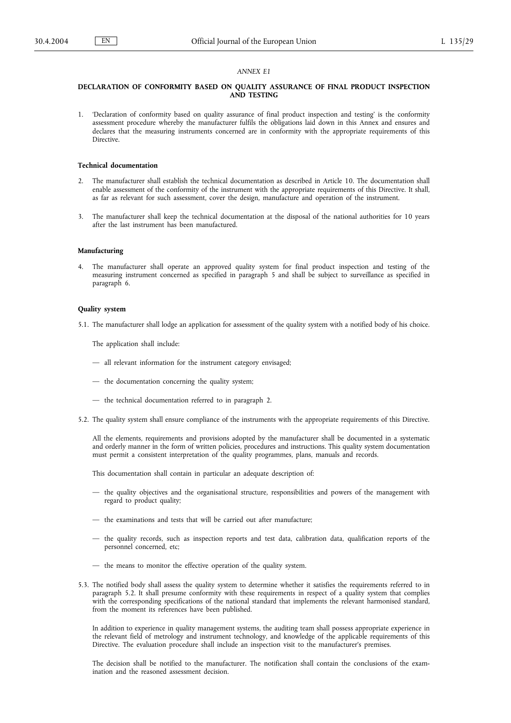# *ANNEX E1*

## **DECLARATION OF CONFORMITY BASED ON QUALITY ASSURANCE OF FINAL PRODUCT INSPECTION AND TESTING**

1. 'Declaration of conformity based on quality assurance of final product inspection and testing' is the conformity assessment procedure whereby the manufacturer fulfils the obligations laid down in this Annex and ensures and declares that the measuring instruments concerned are in conformity with the appropriate requirements of this **Directive** 

### **Technical documentation**

- 2. The manufacturer shall establish the technical documentation as described in Article 10. The documentation shall enable assessment of the conformity of the instrument with the appropriate requirements of this Directive. It shall, as far as relevant for such assessment, cover the design, manufacture and operation of the instrument.
- 3. The manufacturer shall keep the technical documentation at the disposal of the national authorities for 10 years after the last instrument has been manufactured.

### **Manufacturing**

4. The manufacturer shall operate an approved quality system for final product inspection and testing of the measuring instrument concerned as specified in paragraph 5 and shall be subject to surveillance as specified in paragraph 6.

#### **Quality system**

5.1. The manufacturer shall lodge an application for assessment of the quality system with a notified body of his choice.

The application shall include:

- all relevant information for the instrument category envisaged;
- the documentation concerning the quality system;
- the technical documentation referred to in paragraph 2.
- 5.2. The quality system shall ensure compliance of the instruments with the appropriate requirements of this Directive.

All the elements, requirements and provisions adopted by the manufacturer shall be documented in a systematic and orderly manner in the form of written policies, procedures and instructions. This quality system documentation must permit a consistent interpretation of the quality programmes, plans, manuals and records.

This documentation shall contain in particular an adequate description of:

- the quality objectives and the organisational structure, responsibilities and powers of the management with regard to product quality;
- the examinations and tests that will be carried out after manufacture;
- the quality records, such as inspection reports and test data, calibration data, qualification reports of the personnel concerned, etc;
- the means to monitor the effective operation of the quality system.
- 5.3. The notified body shall assess the quality system to determine whether it satisfies the requirements referred to in paragraph 5.2. It shall presume conformity with these requirements in respect of a quality system that complies with the corresponding specifications of the national standard that implements the relevant harmonised standard, from the moment its references have been published.

In addition to experience in quality management systems, the auditing team shall possess appropriate experience in the relevant field of metrology and instrument technology, and knowledge of the applicable requirements of this Directive. The evaluation procedure shall include an inspection visit to the manufacturer's premises.

The decision shall be notified to the manufacturer. The notification shall contain the conclusions of the examination and the reasoned assessment decision.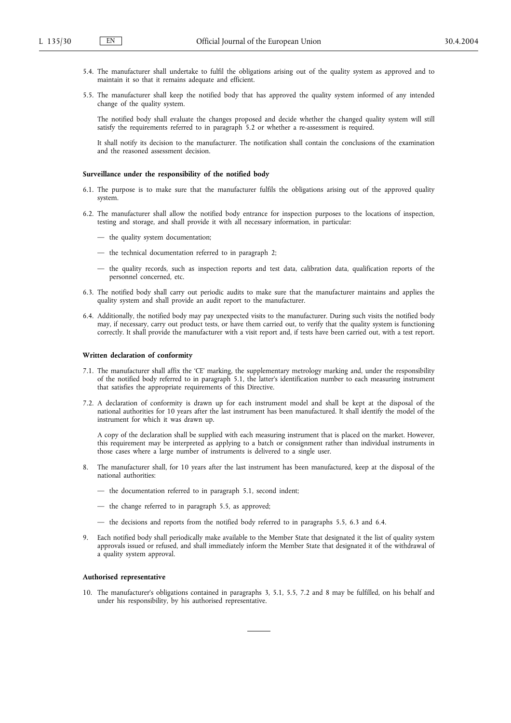- 5.4. The manufacturer shall undertake to fulfil the obligations arising out of the quality system as approved and to maintain it so that it remains adequate and efficient.
- 5.5. The manufacturer shall keep the notified body that has approved the quality system informed of any intended change of the quality system.

The notified body shall evaluate the changes proposed and decide whether the changed quality system will still satisfy the requirements referred to in paragraph 5.2 or whether a re-assessment is required.

It shall notify its decision to the manufacturer. The notification shall contain the conclusions of the examination and the reasoned assessment decision.

### **Surveillance under the responsibility of the notified body**

- 6.1. The purpose is to make sure that the manufacturer fulfils the obligations arising out of the approved quality system.
- 6.2. The manufacturer shall allow the notified body entrance for inspection purposes to the locations of inspection, testing and storage, and shall provide it with all necessary information, in particular:
	- the quality system documentation;
	- the technical documentation referred to in paragraph 2;
	- the quality records, such as inspection reports and test data, calibration data, qualification reports of the personnel concerned, etc.
- 6.3. The notified body shall carry out periodic audits to make sure that the manufacturer maintains and applies the quality system and shall provide an audit report to the manufacturer.
- 6.4. Additionally, the notified body may pay unexpected visits to the manufacturer. During such visits the notified body may, if necessary, carry out product tests, or have them carried out, to verify that the quality system is functioning correctly. It shall provide the manufacturer with a visit report and, if tests have been carried out, with a test report.

#### **Written declaration of conformity**

- 7.1. The manufacturer shall affix the 'CE' marking, the supplementary metrology marking and, under the responsibility of the notified body referred to in paragraph 5.1, the latter's identification number to each measuring instrument that satisfies the appropriate requirements of this Directive.
- 7.2. A declaration of conformity is drawn up for each instrument model and shall be kept at the disposal of the national authorities for 10 years after the last instrument has been manufactured. It shall identify the model of the instrument for which it was drawn up.

A copy of the declaration shall be supplied with each measuring instrument that is placed on the market. However, this requirement may be interpreted as applying to a batch or consignment rather than individual instruments in those cases where a large number of instruments is delivered to a single user.

- 8. The manufacturer shall, for 10 years after the last instrument has been manufactured, keep at the disposal of the national authorities:
	- the documentation referred to in paragraph 5.1, second indent;
	- the change referred to in paragraph 5.5, as approved;
	- the decisions and reports from the notified body referred to in paragraphs 5.5, 6.3 and 6.4.
- 9. Each notified body shall periodically make available to the Member State that designated it the list of quality system approvals issued or refused, and shall immediately inform the Member State that designated it of the withdrawal of a quality system approval.

#### **Authorised representative**

10. The manufacturer's obligations contained in paragraphs 3, 5.1, 5.5, 7.2 and 8 may be fulfilled, on his behalf and under his responsibility, by his authorised representative.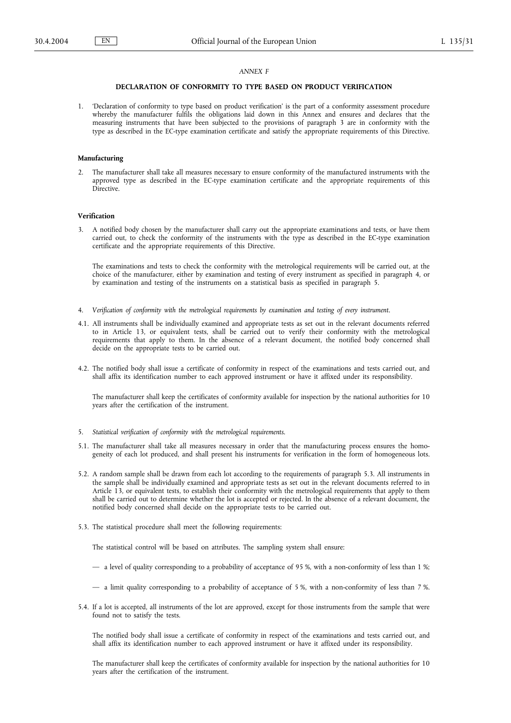### *ANNEX F*

# **DECLARATION OF CONFORMITY TO TYPE BASED ON PRODUCT VERIFICATION**

1. 'Declaration of conformity to type based on product verification' is the part of a conformity assessment procedure whereby the manufacturer fulfils the obligations laid down in this Annex and ensures and declares that the measuring instruments that have been subjected to the provisions of paragraph 3 are in conformity with the type as described in the EC-type examination certificate and satisfy the appropriate requirements of this Directive.

### **Manufacturing**

2. The manufacturer shall take all measures necessary to ensure conformity of the manufactured instruments with the approved type as described in the EC-type examination certificate and the appropriate requirements of this **Directive** 

### **Verification**

3. A notified body chosen by the manufacturer shall carry out the appropriate examinations and tests, or have them carried out, to check the conformity of the instruments with the type as described in the EC-type examination certificate and the appropriate requirements of this Directive.

The examinations and tests to check the conformity with the metrological requirements will be carried out, at the choice of the manufacturer, either by examination and testing of every instrument as specified in paragraph 4, or by examination and testing of the instruments on a statistical basis as specified in paragraph 5.

- 4. *Verification of conformity with the metrological requirements by examination and testing of every instrument.*
- 4.1. All instruments shall be individually examined and appropriate tests as set out in the relevant documents referred to in Article 13, or equivalent tests, shall be carried out to verify their conformity with the metrological requirements that apply to them. In the absence of a relevant document, the notified body concerned shall decide on the appropriate tests to be carried out.
- 4.2. The notified body shall issue a certificate of conformity in respect of the examinations and tests carried out, and shall affix its identification number to each approved instrument or have it affixed under its responsibility.

The manufacturer shall keep the certificates of conformity available for inspection by the national authorities for 10 years after the certification of the instrument.

- 5. *Statistical verification of conformity with the metrological requirements.*
- 5.1. The manufacturer shall take all measures necessary in order that the manufacturing process ensures the homogeneity of each lot produced, and shall present his instruments for verification in the form of homogeneous lots.
- 5.2. A random sample shall be drawn from each lot according to the requirements of paragraph 5.3. All instruments in the sample shall be individually examined and appropriate tests as set out in the relevant documents referred to in Article 13, or equivalent tests, to establish their conformity with the metrological requirements that apply to them shall be carried out to determine whether the lot is accepted or rejected. In the absence of a relevant document, the notified body concerned shall decide on the appropriate tests to be carried out.
- 5.3. The statistical procedure shall meet the following requirements:

The statistical control will be based on attributes. The sampling system shall ensure:

- a level of quality corresponding to a probability of acceptance of 95 %, with a non-conformity of less than 1 %;
- a limit quality corresponding to a probability of acceptance of 5 %, with a non-conformity of less than 7 %.
- 5.4. If a lot is accepted, all instruments of the lot are approved, except for those instruments from the sample that were found not to satisfy the tests.

The notified body shall issue a certificate of conformity in respect of the examinations and tests carried out, and shall affix its identification number to each approved instrument or have it affixed under its responsibility.

The manufacturer shall keep the certificates of conformity available for inspection by the national authorities for 10 years after the certification of the instrument.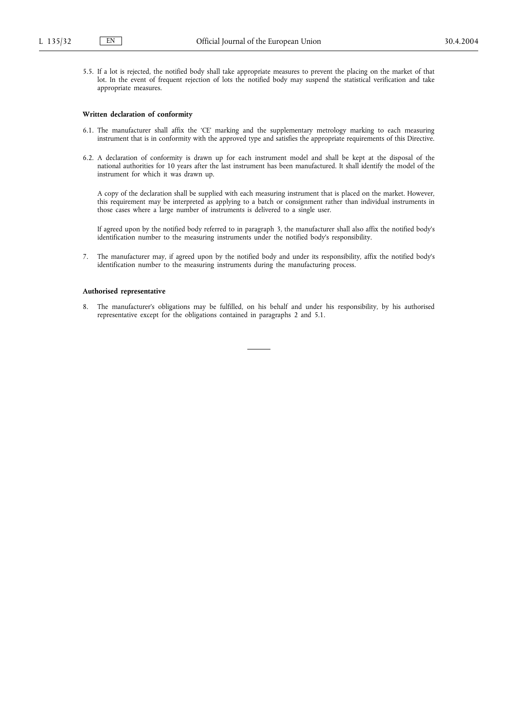5.5. If a lot is rejected, the notified body shall take appropriate measures to prevent the placing on the market of that lot. In the event of frequent rejection of lots the notified body may suspend the statistical verification and take appropriate measures.

#### **Written declaration of conformity**

- 6.1. The manufacturer shall affix the 'CE' marking and the supplementary metrology marking to each measuring instrument that is in conformity with the approved type and satisfies the appropriate requirements of this Directive.
- 6.2. A declaration of conformity is drawn up for each instrument model and shall be kept at the disposal of the national authorities for 10 years after the last instrument has been manufactured. It shall identify the model of the instrument for which it was drawn up.

A copy of the declaration shall be supplied with each measuring instrument that is placed on the market. However, this requirement may be interpreted as applying to a batch or consignment rather than individual instruments in those cases where a large number of instruments is delivered to a single user.

If agreed upon by the notified body referred to in paragraph 3, the manufacturer shall also affix the notified body's identification number to the measuring instruments under the notified body's responsibility.

7. The manufacturer may, if agreed upon by the notified body and under its responsibility, affix the notified body's identification number to the measuring instruments during the manufacturing process.

#### **Authorised representative**

8. The manufacturer's obligations may be fulfilled, on his behalf and under his responsibility, by his authorised representative except for the obligations contained in paragraphs 2 and 5.1.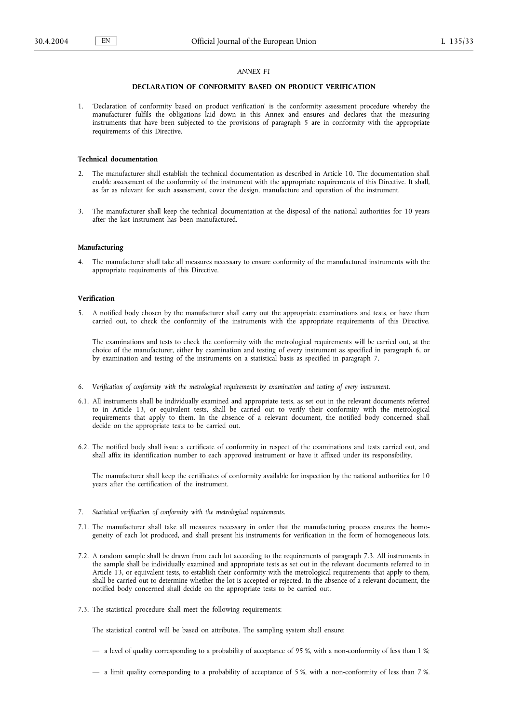# *ANNEX F1*

# **DECLARATION OF CONFORMITY BASED ON PRODUCT VERIFICATION**

1. 'Declaration of conformity based on product verification' is the conformity assessment procedure whereby the manufacturer fulfils the obligations laid down in this Annex and ensures and declares that the measuring instruments that have been subjected to the provisions of paragraph 5 are in conformity with the appropriate requirements of this Directive.

### **Technical documentation**

- 2. The manufacturer shall establish the technical documentation as described in Article 10. The documentation shall enable assessment of the conformity of the instrument with the appropriate requirements of this Directive. It shall, as far as relevant for such assessment, cover the design, manufacture and operation of the instrument.
- 3. The manufacturer shall keep the technical documentation at the disposal of the national authorities for 10 years after the last instrument has been manufactured.

#### **Manufacturing**

4. The manufacturer shall take all measures necessary to ensure conformity of the manufactured instruments with the appropriate requirements of this Directive.

# **Verification**

5. A notified body chosen by the manufacturer shall carry out the appropriate examinations and tests, or have them carried out, to check the conformity of the instruments with the appropriate requirements of this Directive.

The examinations and tests to check the conformity with the metrological requirements will be carried out, at the choice of the manufacturer, either by examination and testing of every instrument as specified in paragraph 6, or by examination and testing of the instruments on a statistical basis as specified in paragraph 7.

- 6. *Verification of conformity with the metrological requirements by examination and testing of every instrument.*
- 6.1. All instruments shall be individually examined and appropriate tests, as set out in the relevant documents referred to in Article 13, or equivalent tests, shall be carried out to verify their conformity with the metrological requirements that apply to them. In the absence of a relevant document, the notified body concerned shall decide on the appropriate tests to be carried out.
- 6.2. The notified body shall issue a certificate of conformity in respect of the examinations and tests carried out, and shall affix its identification number to each approved instrument or have it affixed under its responsibility.

The manufacturer shall keep the certificates of conformity available for inspection by the national authorities for 10 years after the certification of the instrument.

- 7. *Statistical verification of conformity with the metrological requirements.*
- 7.1. The manufacturer shall take all measures necessary in order that the manufacturing process ensures the homogeneity of each lot produced, and shall present his instruments for verification in the form of homogeneous lots.
- 7.2. A random sample shall be drawn from each lot according to the requirements of paragraph 7.3. All instruments in the sample shall be individually examined and appropriate tests as set out in the relevant documents referred to in Article 13, or equivalent tests, to establish their conformity with the metrological requirements that apply to them, shall be carried out to determine whether the lot is accepted or rejected. In the absence of a relevant document, the notified body concerned shall decide on the appropriate tests to be carried out.
- 7.3. The statistical procedure shall meet the following requirements:

The statistical control will be based on attributes. The sampling system shall ensure:

- a level of quality corresponding to a probability of acceptance of 95 %, with a non-conformity of less than 1 %;
- a limit quality corresponding to a probability of acceptance of 5 %, with a non-conformity of less than 7 %.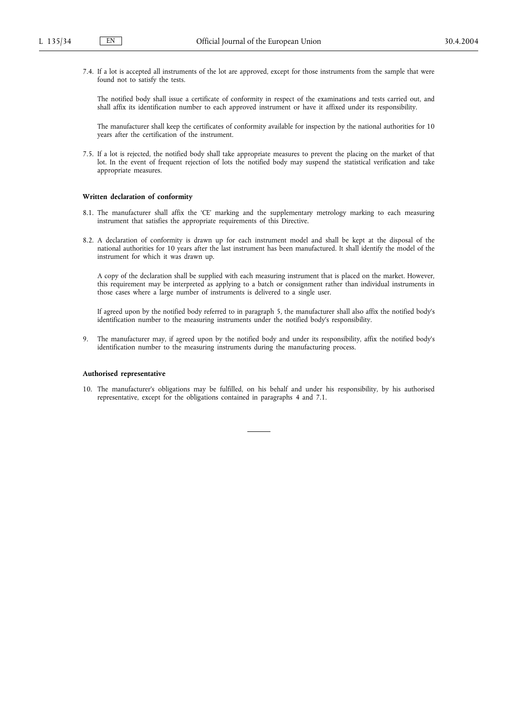7.4. If a lot is accepted all instruments of the lot are approved, except for those instruments from the sample that were found not to satisfy the tests.

The notified body shall issue a certificate of conformity in respect of the examinations and tests carried out, and shall affix its identification number to each approved instrument or have it affixed under its responsibility.

The manufacturer shall keep the certificates of conformity available for inspection by the national authorities for 10 years after the certification of the instrument.

7.5. If a lot is rejected, the notified body shall take appropriate measures to prevent the placing on the market of that lot. In the event of frequent rejection of lots the notified body may suspend the statistical verification and take appropriate measures.

#### **Written declaration of conformity**

- 8.1. The manufacturer shall affix the 'CE' marking and the supplementary metrology marking to each measuring instrument that satisfies the appropriate requirements of this Directive.
- 8.2. A declaration of conformity is drawn up for each instrument model and shall be kept at the disposal of the national authorities for 10 years after the last instrument has been manufactured. It shall identify the model of the instrument for which it was drawn up.

A copy of the declaration shall be supplied with each measuring instrument that is placed on the market. However, this requirement may be interpreted as applying to a batch or consignment rather than individual instruments in those cases where a large number of instruments is delivered to a single user.

If agreed upon by the notified body referred to in paragraph 5, the manufacturer shall also affix the notified body's identification number to the measuring instruments under the notified body's responsibility.

9. The manufacturer may, if agreed upon by the notified body and under its responsibility, affix the notified body's identification number to the measuring instruments during the manufacturing process.

### **Authorised representative**

10. The manufacturer's obligations may be fulfilled, on his behalf and under his responsibility, by his authorised representative, except for the obligations contained in paragraphs 4 and 7.1.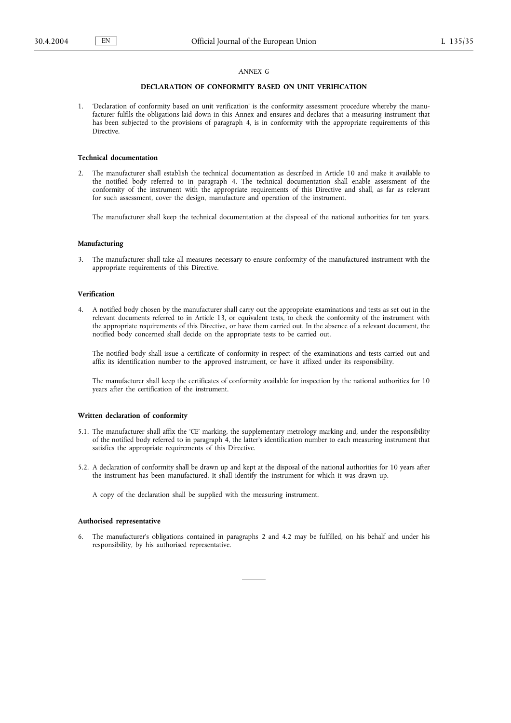### *ANNEX G*

# **DECLARATION OF CONFORMITY BASED ON UNIT VERIFICATION**

1. 'Declaration of conformity based on unit verification' is the conformity assessment procedure whereby the manufacturer fulfils the obligations laid down in this Annex and ensures and declares that a measuring instrument that has been subjected to the provisions of paragraph 4, is in conformity with the appropriate requirements of this **Directive** 

### **Technical documentation**

2. The manufacturer shall establish the technical documentation as described in Article 10 and make it available to the notified body referred to in paragraph 4. The technical documentation shall enable assessment of the conformity of the instrument with the appropriate requirements of this Directive and shall, as far as relevant for such assessment, cover the design, manufacture and operation of the instrument.

The manufacturer shall keep the technical documentation at the disposal of the national authorities for ten years.

#### **Manufacturing**

3. The manufacturer shall take all measures necessary to ensure conformity of the manufactured instrument with the appropriate requirements of this Directive.

### **Verification**

4. A notified body chosen by the manufacturer shall carry out the appropriate examinations and tests as set out in the relevant documents referred to in Article 13, or equivalent tests, to check the conformity of the instrument with the appropriate requirements of this Directive, or have them carried out. In the absence of a relevant document, the notified body concerned shall decide on the appropriate tests to be carried out.

The notified body shall issue a certificate of conformity in respect of the examinations and tests carried out and affix its identification number to the approved instrument, or have it affixed under its responsibility.

The manufacturer shall keep the certificates of conformity available for inspection by the national authorities for 10 years after the certification of the instrument.

#### **Written declaration of conformity**

- 5.1. The manufacturer shall affix the 'CE' marking, the supplementary metrology marking and, under the responsibility of the notified body referred to in paragraph 4, the latter's identification number to each measuring instrument that satisfies the appropriate requirements of this Directive.
- 5.2. A declaration of conformity shall be drawn up and kept at the disposal of the national authorities for 10 years after the instrument has been manufactured. It shall identify the instrument for which it was drawn up.

A copy of the declaration shall be supplied with the measuring instrument.

### **Authorised representative**

6. The manufacturer's obligations contained in paragraphs 2 and 4.2 may be fulfilled, on his behalf and under his responsibility, by his authorised representative.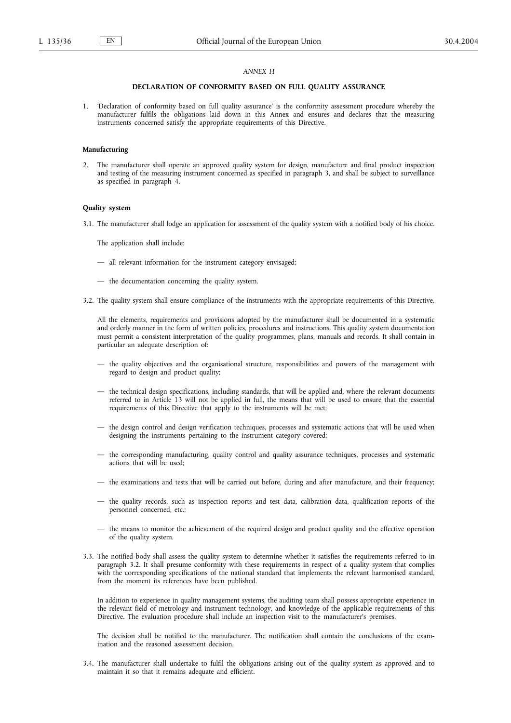### *ANNEX H*

### **DECLARATION OF CONFORMITY BASED ON FULL QUALITY ASSURANCE**

1. 'Declaration of conformity based on full quality assurance' is the conformity assessment procedure whereby the manufacturer fulfils the obligations laid down in this Annex and ensures and declares that the measuring instruments concerned satisfy the appropriate requirements of this Directive.

# **Manufacturing**

2. The manufacturer shall operate an approved quality system for design, manufacture and final product inspection and testing of the measuring instrument concerned as specified in paragraph 3, and shall be subject to surveillance as specified in paragraph 4.

# **Quality system**

3.1. The manufacturer shall lodge an application for assessment of the quality system with a notified body of his choice.

The application shall include:

- all relevant information for the instrument category envisaged;
- the documentation concerning the quality system.
- 3.2. The quality system shall ensure compliance of the instruments with the appropriate requirements of this Directive.

All the elements, requirements and provisions adopted by the manufacturer shall be documented in a systematic and orderly manner in the form of written policies, procedures and instructions. This quality system documentation must permit a consistent interpretation of the quality programmes, plans, manuals and records. It shall contain in particular an adequate description of:

- the quality objectives and the organisational structure, responsibilities and powers of the management with regard to design and product quality;
- the technical design specifications, including standards, that will be applied and, where the relevant documents referred to in Article 13 will not be applied in full, the means that will be used to ensure that the essential requirements of this Directive that apply to the instruments will be met;
- the design control and design verification techniques, processes and systematic actions that will be used when designing the instruments pertaining to the instrument category covered;
- the corresponding manufacturing, quality control and quality assurance techniques, processes and systematic actions that will be used;
- the examinations and tests that will be carried out before, during and after manufacture, and their frequency;
- the quality records, such as inspection reports and test data, calibration data, qualification reports of the personnel concerned, etc.;
- the means to monitor the achievement of the required design and product quality and the effective operation of the quality system.
- 3.3. The notified body shall assess the quality system to determine whether it satisfies the requirements referred to in paragraph 3.2. It shall presume conformity with these requirements in respect of a quality system that complies with the corresponding specifications of the national standard that implements the relevant harmonised standard, from the moment its references have been published.

In addition to experience in quality management systems, the auditing team shall possess appropriate experience in the relevant field of metrology and instrument technology, and knowledge of the applicable requirements of this Directive. The evaluation procedure shall include an inspection visit to the manufacturer's premises.

The decision shall be notified to the manufacturer. The notification shall contain the conclusions of the examination and the reasoned assessment decision.

3.4. The manufacturer shall undertake to fulfil the obligations arising out of the quality system as approved and to maintain it so that it remains adequate and efficient.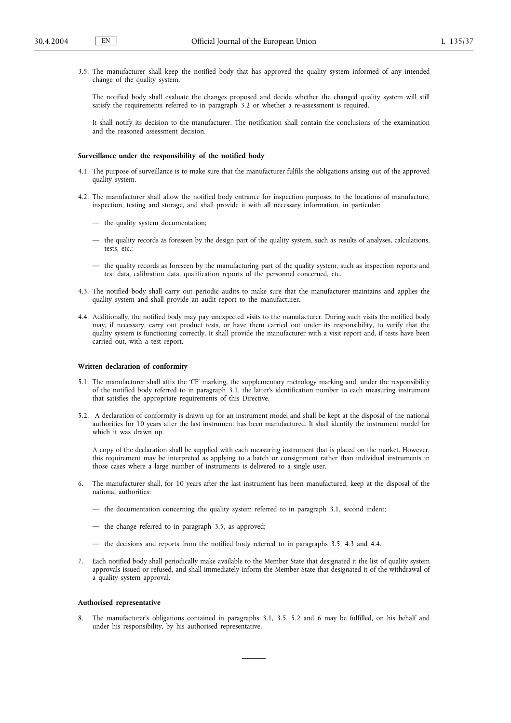3.5. The manufacturer shall keep the notified body that has approved the quality system informed of any intended change of the quality system.

The notified body shall evaluate the changes proposed and decide whether the changed quality system will still satisfy the requirements referred to in paragraph 3.2 or whether a re-assessment is required.

It shall notify its decision to the manufacturer. The notification shall contain the conclusions of the examination and the reasoned assessment decision.

### **Surveillance under the responsibility of the notified body**

- 4.1. The purpose of surveillance is to make sure that the manufacturer fulfils the obligations arising out of the approved quality system.
- 4.2. The manufacturer shall allow the notified body entrance for inspection purposes to the locations of manufacture, inspection, testing and storage, and shall provide it with all necessary information, in particular:
	- the quality system documentation;
	- the quality records as foreseen by the design part of the quality system, such as results of analyses, calculations, tests, etc.;
	- the quality records as foreseen by the manufacturing part of the quality system, such as inspection reports and test data, calibration data, qualification reports of the personnel concerned, etc.
- 4.3. The notified body shall carry out periodic audits to make sure that the manufacturer maintains and applies the quality system and shall provide an audit report to the manufacturer.
- 4.4. Additionally, the notified body may pay unexpected visits to the manufacturer. During such visits the notified body may, if necessary, carry out product tests, or have them carried out under its responsibility, to verify that the quality system is functioning correctly. It shall provide the manufacturer with a visit report and, if tests have been carried out, with a test report.

#### **Written declaration of conformity**

- 5.1. The manufacturer shall affix the 'CE' marking, the supplementary metrology marking and, under the responsibility of the notified body referred to in paragraph 3.1, the latter's identification number to each measuring instrument that satisfies the appropriate requirements of this Directive.
- 5.2. A declaration of conformity is drawn up for an instrument model and shall be kept at the disposal of the national authorities for 10 years after the last instrument has been manufactured. It shall identify the instrument model for which it was drawn up.

A copy of the declaration shall be supplied with each measuring instrument that is placed on the market. However, this requirement may be interpreted as applying to a batch or consignment rather than individual instruments in those cases where a large number of instruments is delivered to a single user.

- 6. The manufacturer shall, for 10 years after the last instrument has been manufactured, keep at the disposal of the national authorities:
	- the documentation concerning the quality system referred to in paragraph 3.1, second indent;
	- the change referred to in paragraph 3.5, as approved;
	- the decisions and reports from the notified body referred to in paragraphs 3.5, 4.3 and 4.4.
- 7. Each notified body shall periodically make available to the Member State that designated it the list of quality system approvals issued or refused, and shall immediately inform the Member State that designated it of the withdrawal of a quality system approval.

# **Authorised representative**

8. The manufacturer's obligations contained in paragraphs 3.1, 3.5, 5.2 and 6 may be fulfilled, on his behalf and under his responsibility, by his authorised representative.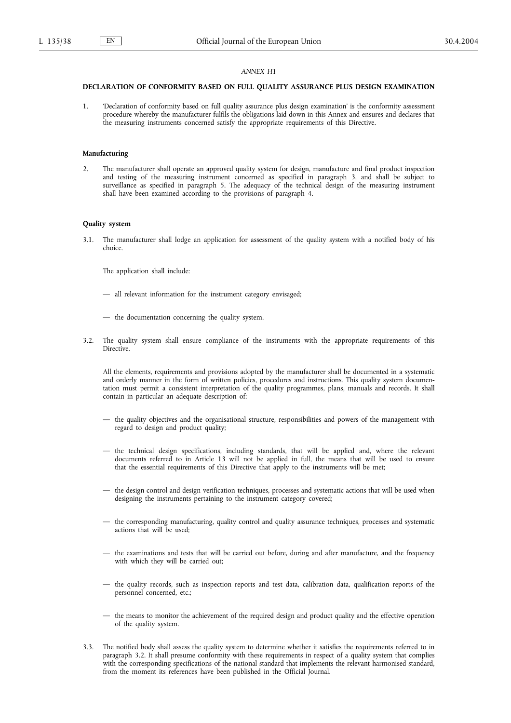# *ANNEX H1*

# **DECLARATION OF CONFORMITY BASED ON FULL QUALITY ASSURANCE PLUS DESIGN EXAMINATION**

1. 'Declaration of conformity based on full quality assurance plus design examination' is the conformity assessment procedure whereby the manufacturer fulfils the obligations laid down in this Annex and ensures and declares that the measuring instruments concerned satisfy the appropriate requirements of this Directive.

### **Manufacturing**

2. The manufacturer shall operate an approved quality system for design, manufacture and final product inspection and testing of the measuring instrument concerned as specified in paragraph 3, and shall be subject to surveillance as specified in paragraph 5. The adequacy of the technical design of the measuring instrument shall have been examined according to the provisions of paragraph 4.

# **Quality system**

3.1. The manufacturer shall lodge an application for assessment of the quality system with a notified body of his choice.

The application shall include:

- all relevant information for the instrument category envisaged;
- the documentation concerning the quality system.
- 3.2. The quality system shall ensure compliance of the instruments with the appropriate requirements of this Directive.

All the elements, requirements and provisions adopted by the manufacturer shall be documented in a systematic and orderly manner in the form of written policies, procedures and instructions. This quality system documentation must permit a consistent interpretation of the quality programmes, plans, manuals and records. It shall contain in particular an adequate description of:

- the quality objectives and the organisational structure, responsibilities and powers of the management with regard to design and product quality;
- the technical design specifications, including standards, that will be applied and, where the relevant documents referred to in Article 13 will not be applied in full, the means that will be used to ensure that the essential requirements of this Directive that apply to the instruments will be met;
- the design control and design verification techniques, processes and systematic actions that will be used when designing the instruments pertaining to the instrument category covered;
- the corresponding manufacturing, quality control and quality assurance techniques, processes and systematic actions that will be used;
- the examinations and tests that will be carried out before, during and after manufacture, and the frequency with which they will be carried out;
- the quality records, such as inspection reports and test data, calibration data, qualification reports of the personnel concerned, etc.;
- the means to monitor the achievement of the required design and product quality and the effective operation of the quality system.
- 3.3. The notified body shall assess the quality system to determine whether it satisfies the requirements referred to in paragraph 3.2. It shall presume conformity with these requirements in respect of a quality system that complies with the corresponding specifications of the national standard that implements the relevant harmonised standard, from the moment its references have been published in the Official Journal.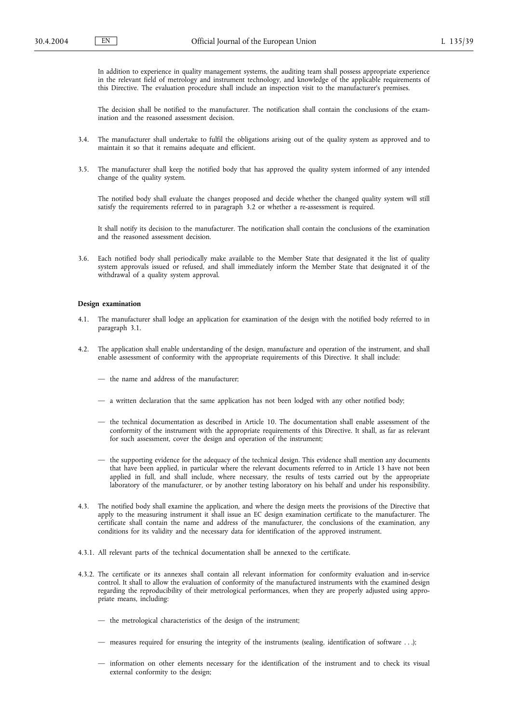In addition to experience in quality management systems, the auditing team shall possess appropriate experience in the relevant field of metrology and instrument technology, and knowledge of the applicable requirements of this Directive. The evaluation procedure shall include an inspection visit to the manufacturer's premises.

The decision shall be notified to the manufacturer. The notification shall contain the conclusions of the examination and the reasoned assessment decision.

- 3.4. The manufacturer shall undertake to fulfil the obligations arising out of the quality system as approved and to maintain it so that it remains adequate and efficient.
- 3.5. The manufacturer shall keep the notified body that has approved the quality system informed of any intended change of the quality system.

The notified body shall evaluate the changes proposed and decide whether the changed quality system will still satisfy the requirements referred to in paragraph 3.2 or whether a re-assessment is required.

It shall notify its decision to the manufacturer. The notification shall contain the conclusions of the examination and the reasoned assessment decision.

3.6. Each notified body shall periodically make available to the Member State that designated it the list of quality system approvals issued or refused, and shall immediately inform the Member State that designated it of the withdrawal of a quality system approval.

# **Design examination**

- 4.1. The manufacturer shall lodge an application for examination of the design with the notified body referred to in paragraph 3.1.
- 4.2. The application shall enable understanding of the design, manufacture and operation of the instrument, and shall enable assessment of conformity with the appropriate requirements of this Directive. It shall include:
	- the name and address of the manufacturer;
	- a written declaration that the same application has not been lodged with any other notified body;
	- the technical documentation as described in Article 10. The documentation shall enable assessment of the conformity of the instrument with the appropriate requirements of this Directive. It shall, as far as relevant for such assessment, cover the design and operation of the instrument;
	- the supporting evidence for the adequacy of the technical design. This evidence shall mention any documents that have been applied, in particular where the relevant documents referred to in Article 13 have not been applied in full, and shall include, where necessary, the results of tests carried out by the appropriate laboratory of the manufacturer, or by another testing laboratory on his behalf and under his responsibility.
- 4.3. The notified body shall examine the application, and where the design meets the provisions of the Directive that apply to the measuring instrument it shall issue an EC design examination certificate to the manufacturer. The certificate shall contain the name and address of the manufacturer, the conclusions of the examination, any conditions for its validity and the necessary data for identification of the approved instrument.
- 4.3.1. All relevant parts of the technical documentation shall be annexed to the certificate.
- 4.3.2. The certificate or its annexes shall contain all relevant information for conformity evaluation and in-service control. It shall to allow the evaluation of conformity of the manufactured instruments with the examined design regarding the reproducibility of their metrological performances, when they are properly adjusted using appropriate means, including:
	- the metrological characteristics of the design of the instrument;
	- measures required for ensuring the integrity of the instruments (sealing, identification of software . . .);
	- information on other elements necessary for the identification of the instrument and to check its visual external conformity to the design;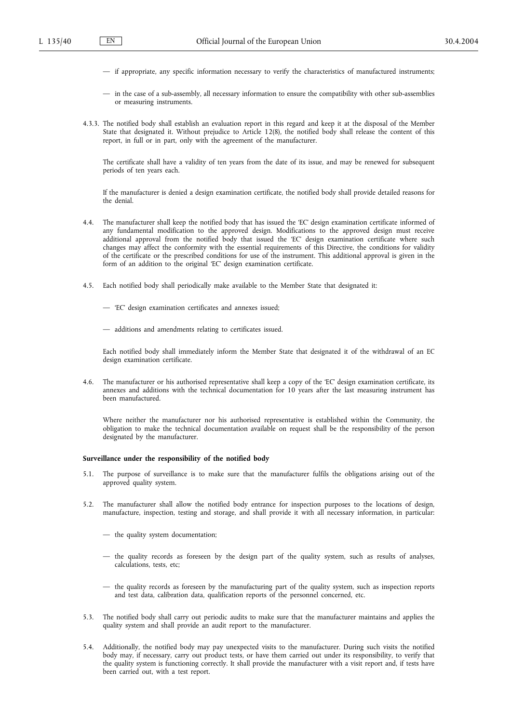- if appropriate, any specific information necessary to verify the characteristics of manufactured instruments;
- in the case of a sub-assembly, all necessary information to ensure the compatibility with other sub-assemblies or measuring instruments.
- 4.3.3. The notified body shall establish an evaluation report in this regard and keep it at the disposal of the Member State that designated it. Without prejudice to Article 12(8), the notified body shall release the content of this report, in full or in part, only with the agreement of the manufacturer.

The certificate shall have a validity of ten years from the date of its issue, and may be renewed for subsequent periods of ten years each.

If the manufacturer is denied a design examination certificate, the notified body shall provide detailed reasons for the denial.

- 4.4. The manufacturer shall keep the notified body that has issued the 'EC' design examination certificate informed of any fundamental modification to the approved design. Modifications to the approved design must receive additional approval from the notified body that issued the 'EC' design examination certificate where such changes may affect the conformity with the essential requirements of this Directive, the conditions for validity of the certificate or the prescribed conditions for use of the instrument. This additional approval is given in the form of an addition to the original 'EC' design examination certificate.
- 4.5. Each notified body shall periodically make available to the Member State that designated it:
	- 'EC' design examination certificates and annexes issued;
	- additions and amendments relating to certificates issued.

Each notified body shall immediately inform the Member State that designated it of the withdrawal of an EC design examination certificate.

4.6. The manufacturer or his authorised representative shall keep a copy of the 'EC' design examination certificate, its annexes and additions with the technical documentation for 10 years after the last measuring instrument has been manufactured.

Where neither the manufacturer nor his authorised representative is established within the Community, the obligation to make the technical documentation available on request shall be the responsibility of the person designated by the manufacturer.

# **Surveillance under the responsibility of the notified body**

- 5.1. The purpose of surveillance is to make sure that the manufacturer fulfils the obligations arising out of the approved quality system.
- 5.2. The manufacturer shall allow the notified body entrance for inspection purposes to the locations of design, manufacture, inspection, testing and storage, and shall provide it with all necessary information, in particular:
	- the quality system documentation;
	- the quality records as foreseen by the design part of the quality system, such as results of analyses, calculations, tests, etc;
	- the quality records as foreseen by the manufacturing part of the quality system, such as inspection reports and test data, calibration data, qualification reports of the personnel concerned, etc.
- 5.3. The notified body shall carry out periodic audits to make sure that the manufacturer maintains and applies the quality system and shall provide an audit report to the manufacturer.
- 5.4. Additionally, the notified body may pay unexpected visits to the manufacturer. During such visits the notified body may, if necessary, carry out product tests, or have them carried out under its responsibility, to verify that the quality system is functioning correctly. It shall provide the manufacturer with a visit report and, if tests have been carried out, with a test report.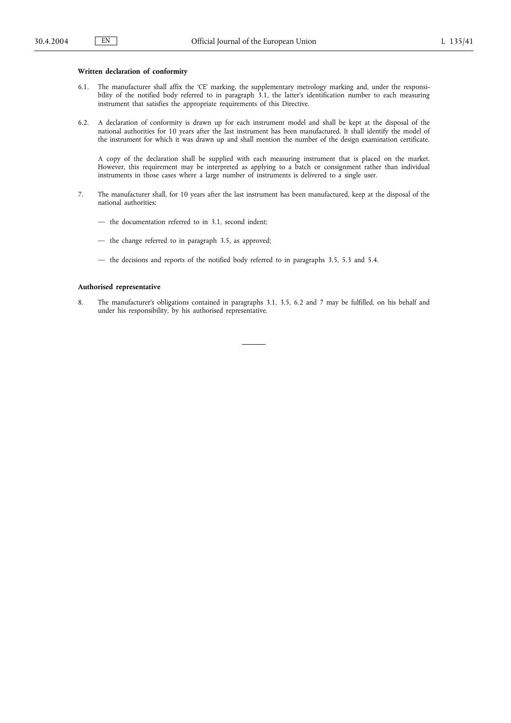# **Written declaration of conformity**

- 6.1. The manufacturer shall affix the 'CE' marking, the supplementary metrology marking and, under the responsibility of the notified body referred to in paragraph 3.1, the latter's identification number to each measuring instrument that satisfies the appropriate requirements of this Directive.
- 6.2. A declaration of conformity is drawn up for each instrument model and shall be kept at the disposal of the national authorities for 10 years after the last instrument has been manufactured. It shall identify the model of the instrument for which it was drawn up and shall mention the number of the design examination certificate.

A copy of the declaration shall be supplied with each measuring instrument that is placed on the market. However, this requirement may be interpreted as applying to a batch or consignment rather than individual instruments in those cases where a large number of instruments is delivered to a single user.

- 7. The manufacturer shall, for 10 years after the last instrument has been manufactured, keep at the disposal of the national authorities:
	- the documentation referred to in 3.1, second indent;
	- the change referred to in paragraph 3.5, as approved;
	- the decisions and reports of the notified body referred to in paragraphs 3.5, 5.3 and 5.4.

# **Authorised representative**

8. The manufacturer's obligations contained in paragraphs 3.1, 3.5, 6.2 and 7 may be fulfilled, on his behalf and under his responsibility, by his authorised representative.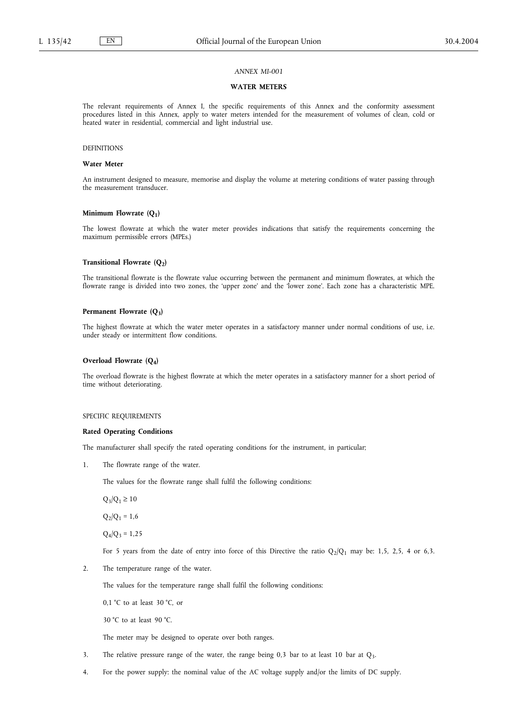# **WATER METERS**

The relevant requirements of Annex I, the specific requirements of this Annex and the conformity assessment procedures listed in this Annex, apply to water meters intended for the measurement of volumes of clean, cold or heated water in residential, commercial and light industrial use.

# **DEFINITIONS**

# **Water Meter**

An instrument designed to measure, memorise and display the volume at metering conditions of water passing through the measurement transducer.

#### **Minimum Flowrate (Q<sub>1</sub>)**

The lowest flowrate at which the water meter provides indications that satisfy the requirements concerning the maximum permissible errors (MPEs.)

# **Transitional Flowrate (Q2)**

The transitional flowrate is the flowrate value occurring between the permanent and minimum flowrates, at which the flowrate range is divided into two zones, the 'upper zone' and the 'lower zone'. Each zone has a characteristic MPE.

# Permanent Flowrate (Q<sub>3</sub>)

The highest flowrate at which the water meter operates in a satisfactory manner under normal conditions of use, i.e. under steady or intermittent flow conditions.

#### **Overload Flowrate (Q4)**

The overload flowrate is the highest flowrate at which the meter operates in a satisfactory manner for a short period of time without deteriorating.

#### SPECIFIC REQUIREMENTS

#### **Rated Operating Conditions**

The manufacturer shall specify the rated operating conditions for the instrument, in particular;

1. The flowrate range of the water.

The values for the flowrate range shall fulfil the following conditions:

 $Q_3/Q_1 \ge 10$ 

 $Q_2/Q_1 = 1,6$ 

 $Q_4/Q_3 = 1,25$ 

For 5 years from the date of entry into force of this Directive the ratio  $Q_2/Q_1$  may be: 1,5, 2,5, 4 or 6,3.

2. The temperature range of the water.

The values for the temperature range shall fulfil the following conditions:

0,1 °C to at least 30 °C, or

30 °C to at least 90 °C.

The meter may be designed to operate over both ranges.

- 3. The relative pressure range of the water, the range being 0,3 bar to at least 10 bar at  $Q_3$ .
- 4. For the power supply: the nominal value of the AC voltage supply and/or the limits of DC supply.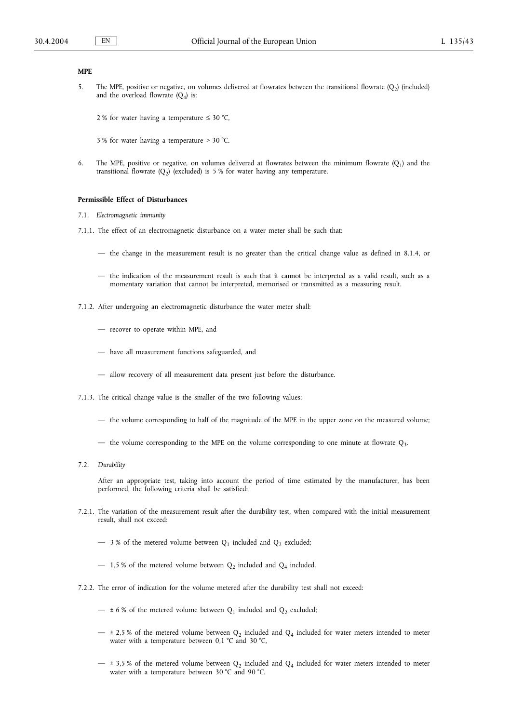#### **MPE**

5. The MPE, positive or negative, on volumes delivered at flowrates between the transitional flowrate  $(Q_2)$  (included) and the overload flowrate  $(Q_4)$  is:

2 % for water having a temperature  $\leq 30$  °C,

3 % for water having a temperature > 30 °C.

6. The MPE, positive or negative, on volumes delivered at flowrates between the minimum flowrate  $(Q_1)$  and the transitional flowrate  $(Q_2)$  (excluded) is 5 % for water having any temperature.

#### **Permissible Effect of Disturbances**

- 7.1. *Electromagnetic immunity*
- 7.1.1. The effect of an electromagnetic disturbance on a water meter shall be such that:
	- the change in the measurement result is no greater than the critical change value as defined in 8.1.4, or
	- the indication of the measurement result is such that it cannot be interpreted as a valid result, such as a momentary variation that cannot be interpreted, memorised or transmitted as a measuring result.
- 7.1.2. After undergoing an electromagnetic disturbance the water meter shall:
	- recover to operate within MPE, and
	- have all measurement functions safeguarded, and
	- allow recovery of all measurement data present just before the disturbance.
- 7.1.3. The critical change value is the smaller of the two following values:
	- the volume corresponding to half of the magnitude of the MPE in the upper zone on the measured volume;
	- the volume corresponding to the MPE on the volume corresponding to one minute at flowrate  $Q_3$ .
- 7.2. *Durability*

After an appropriate test, taking into account the period of time estimated by the manufacturer, has been performed, the following criteria shall be satisfied:

- 7.2.1. The variation of the measurement result after the durability test, when compared with the initial measurement result, shall not exceed:
	- $-$  3 % of the metered volume between  $Q_1$  included and  $Q_2$  excluded;
	- $-$  1,5 % of the metered volume between  $Q_2$  included and  $Q_4$  included.
- 7.2.2. The error of indication for the volume metered after the durability test shall not exceed:
	- $-$  ± 6 % of the metered volume between  $Q_1$  included and  $Q_2$  excluded;
	- $\pm$  2,5 % of the metered volume between Q<sub>2</sub> included and Q<sub>4</sub> included for water meters intended to meter water with a temperature between 0,1 °C and 30 °C,
	- $-$  ± 3,5 % of the metered volume between  $Q_2$  included and  $Q_4$  included for water meters intended to meter water with a temperature between 30 °C and 90 °C.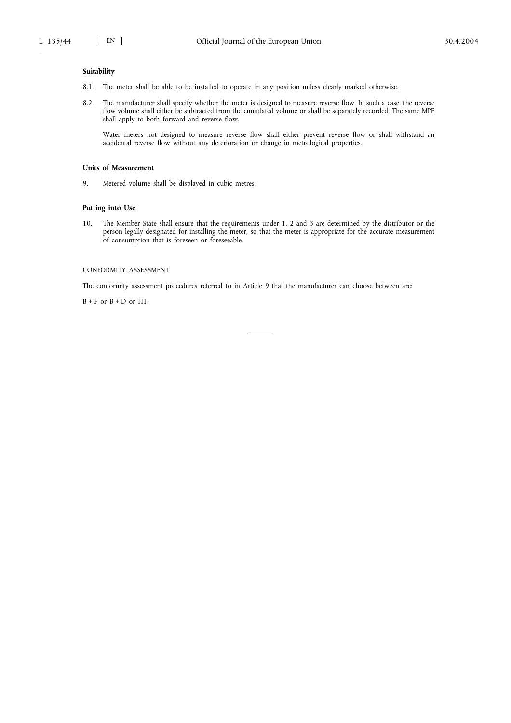# **Suitability**

- 8.1. The meter shall be able to be installed to operate in any position unless clearly marked otherwise.
- 8.2. The manufacturer shall specify whether the meter is designed to measure reverse flow. In such a case, the reverse flow volume shall either be subtracted from the cumulated volume or shall be separately recorded. The same MPE shall apply to both forward and reverse flow.

Water meters not designed to measure reverse flow shall either prevent reverse flow or shall withstand an accidental reverse flow without any deterioration or change in metrological properties.

# **Units of Measurement**

9. Metered volume shall be displayed in cubic metres.

# **Putting into Use**

10. The Member State shall ensure that the requirements under 1, 2 and 3 are determined by the distributor or the person legally designated for installing the meter, so that the meter is appropriate for the accurate measurement of consumption that is foreseen or foreseeable.

# CONFORMITY ASSESSMENT

The conformity assessment procedures referred to in Article 9 that the manufacturer can choose between are:

 $B + F$  or  $B + D$  or  $H1$ .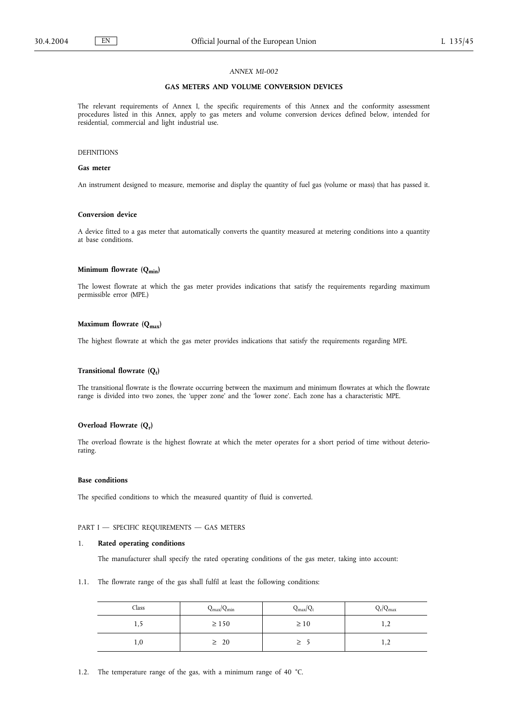# **GAS METERS AND VOLUME CONVERSION DEVICES**

The relevant requirements of Annex I, the specific requirements of this Annex and the conformity assessment procedures listed in this Annex, apply to gas meters and volume conversion devices defined below, intended for residential, commercial and light industrial use.

# DEFINITIONS

# **Gas meter**

An instrument designed to measure, memorise and display the quantity of fuel gas (volume or mass) that has passed it.

# **Conversion device**

A device fitted to a gas meter that automatically converts the quantity measured at metering conditions into a quantity at base conditions.

# **Minimum flowrate (Qmin)**

The lowest flowrate at which the gas meter provides indications that satisfy the requirements regarding maximum permissible error (MPE.)

# Maximum flowrate (Q<sub>max</sub>)

The highest flowrate at which the gas meter provides indications that satisfy the requirements regarding MPE.

# **Transitional flowrate (Qt)**

The transitional flowrate is the flowrate occurring between the maximum and minimum flowrates at which the flowrate range is divided into two zones, the 'upper zone' and the 'lower zone'. Each zone has a characteristic MPE.

# **Overload Flowrate (Qr)**

The overload flowrate is the highest flowrate at which the meter operates for a short period of time without deteriorating.

# **Base conditions**

The specified conditions to which the measured quantity of fluid is converted.

### PART I - SPECIFIC REQUIREMENTS - GAS METERS

# 1. **Rated operating conditions**

The manufacturer shall specify the rated operating conditions of the gas meter, taking into account:

1.1. The flowrate range of the gas shall fulfil at least the following conditions:

| Class | $Q_{\text{max}}/Q_{\text{min}}$ | $Q_{max}/Q_t$ | $Q_{r}/Q_{\text{max}}$ |
|-------|---------------------------------|---------------|------------------------|
| 1, 2  | $\geq 150$                      | $\geq 10$     | 1,4                    |
| 1,0   | $\geq 20$                       |               | 1,4                    |

1.2. The temperature range of the gas, with a minimum range of 40 °C.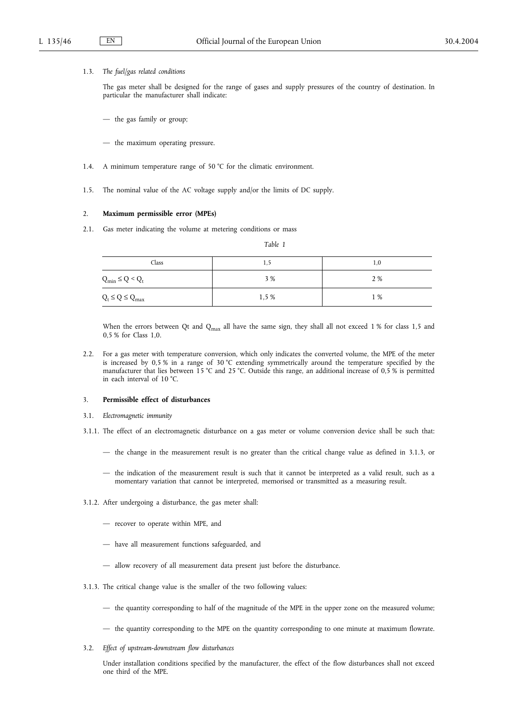# 1.3. *The fuel/gas related conditions*

The gas meter shall be designed for the range of gases and supply pressures of the country of destination. In particular the manufacturer shall indicate:

- the gas family or group;
- the maximum operating pressure.
- 1.4. A minimum temperature range of 50 °C for the climatic environment.
- 1.5. The nominal value of the AC voltage supply and/or the limits of DC supply.

#### 2. **Maximum permissible error (MPEs)**

2.1. Gas meter indicating the volume at metering conditions or mass

| 7D<br>, |  |
|---------|--|
|---------|--|

| Class                   | 1.5   | 1,0 |
|-------------------------|-------|-----|
| $Q_{\min} \leq Q < Q_t$ | 3 %   | 2 % |
| $Q_t \le Q \le Q_{max}$ | 1,5 % | 1 % |

When the errors between Qt and  $Q<sub>max</sub>$  all have the same sign, they shall all not exceed 1 % for class 1,5 and 0,5 % for Class 1,0.

2.2. For a gas meter with temperature conversion, which only indicates the converted volume, the MPE of the meter is increased by 0,5 % in a range of 30 °C extending symmetrically around the temperature specified by the manufacturer that lies between 15 °C and 25 °C. Outside this range, an additional increase of 0,5 % is permitted in each interval of 10 °C.

# 3. **Permissible effect of disturbances**

- 3.1. *Electromagnetic immunity*
- 3.1.1. The effect of an electromagnetic disturbance on a gas meter or volume conversion device shall be such that:
	- the change in the measurement result is no greater than the critical change value as defined in 3.1.3, or
	- the indication of the measurement result is such that it cannot be interpreted as a valid result, such as a momentary variation that cannot be interpreted, memorised or transmitted as a measuring result.
- 3.1.2. After undergoing a disturbance, the gas meter shall:
	- recover to operate within MPE, and
	- have all measurement functions safeguarded, and
	- allow recovery of all measurement data present just before the disturbance.
- 3.1.3. The critical change value is the smaller of the two following values:
	- the quantity corresponding to half of the magnitude of the MPE in the upper zone on the measured volume;
	- the quantity corresponding to the MPE on the quantity corresponding to one minute at maximum flowrate.
- 3.2. *Effect of upstream-downstream flow disturbances*

Under installation conditions specified by the manufacturer, the effect of the flow disturbances shall not exceed one third of the MPE.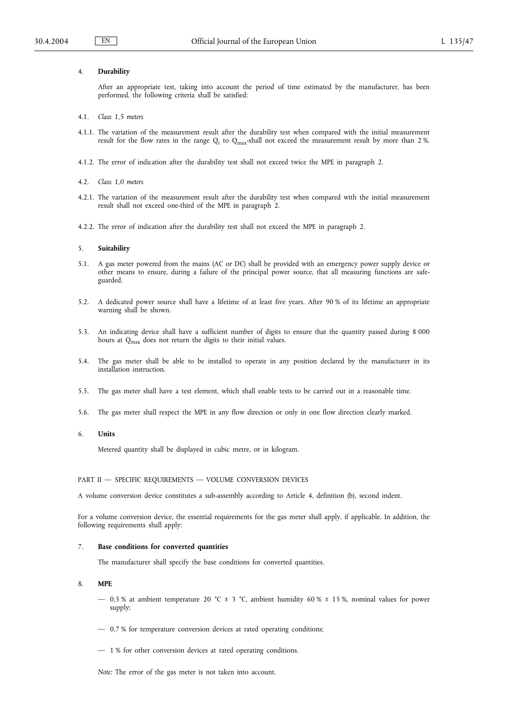### 4. **Durability**

After an appropriate test, taking into account the period of time estimated by the manufacturer, has been performed, the following criteria shall be satisfied:

- 4.1. *Class 1,5 meters*
- 4.1.1. The variation of the measurement result after the durability test when compared with the initial measurement result for the flow rates in the range  $Q_t$  to  $Q_{max}$ -shall not exceed the measurement result by more than 2 %.
- 4.1.2. The error of indication after the durability test shall not exceed twice the MPE in paragraph 2.
- 4.2. *Class 1,0 meters*
- 4.2.1. The variation of the measurement result after the durability test when compared with the initial measurement result shall not exceed one-third of the MPE in paragraph 2.
- 4.2.2. The error of indication after the durability test shall not exceed the MPE in paragraph 2.

# 5. **Suitability**

- 5.1. A gas meter powered from the mains (AC or DC) shall be provided with an emergency power supply device or other means to ensure, during a failure of the principal power source, that all measuring functions are safeguarded.
- 5.2. A dedicated power source shall have a lifetime of at least five years. After 90 % of its lifetime an appropriate warning shall be shown.
- 5.3. An indicating device shall have a sufficient number of digits to ensure that the quantity passed during 8 000 hours at Q<sub>max</sub> does not return the digits to their initial values.
- 5.4. The gas meter shall be able to be installed to operate in any position declared by the manufacturer in its installation instruction.
- 5.5. The gas meter shall have a test element, which shall enable tests to be carried out in a reasonable time.
- 5.6. The gas meter shall respect the MPE in any flow direction or only in one flow direction clearly marked.
- 6. **Units**

Metered quantity shall be displayed in cubic metre, or in kilogram.

### PART II - SPECIFIC REQUIREMENTS - VOLUME CONVERSION DEVICES

A volume conversion device constitutes a sub-assembly according to Article 4, definition (b), second indent.

For a volume conversion device, the essential requirements for the gas meter shall apply, if applicable. In addition, the following requirements shall apply:

#### 7. **Base conditions for converted quantities**

The manufacturer shall specify the base conditions for converted quantities.

# 8. **MPE**

- 0,5 % at ambient temperature 20 °C  $\pm$  3 °C, ambient humidity 60 %  $\pm$  15 %, nominal values for power supply;
- 0,7 % for temperature conversion devices at rated operating conditions;
- 1 % for other conversion devices at rated operating conditions.

*Note:* The error of the gas meter is not taken into account.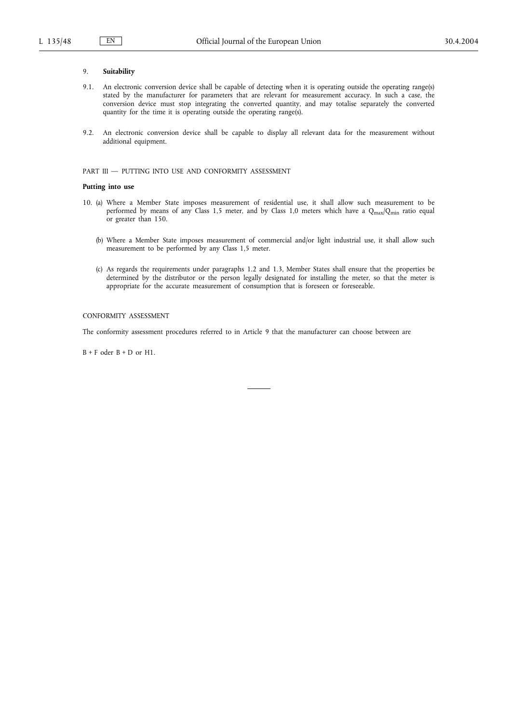### 9. **Suitability**

- 9.1. An electronic conversion device shall be capable of detecting when it is operating outside the operating range(s) stated by the manufacturer for parameters that are relevant for measurement accuracy. In such a case, the conversion device must stop integrating the converted quantity, and may totalise separately the converted quantity for the time it is operating outside the operating range(s).
- 9.2. An electronic conversion device shall be capable to display all relevant data for the measurement without additional equipment.

# PART III - PUTTING INTO USE AND CONFORMITY ASSESSMENT

### **Putting into use**

- 10. (a) Where a Member State imposes measurement of residential use, it shall allow such measurement to be performed by means of any Class 1,5 meter, and by Class 1,0 meters which have a  $Q_{max}/Q_{min}$  ratio equal or greater than 150.
	- (b) Where a Member State imposes measurement of commercial and/or light industrial use, it shall allow such measurement to be performed by any Class 1,5 meter.
	- (c) As regards the requirements under paragraphs 1.2 and 1.3, Member States shall ensure that the properties be determined by the distributor or the person legally designated for installing the meter, so that the meter is appropriate for the accurate measurement of consumption that is foreseen or foreseeable.

# CONFORMITY ASSESSMENT

The conformity assessment procedures referred to in Article 9 that the manufacturer can choose between are

 $B + F$  oder  $B + D$  or  $H1$ .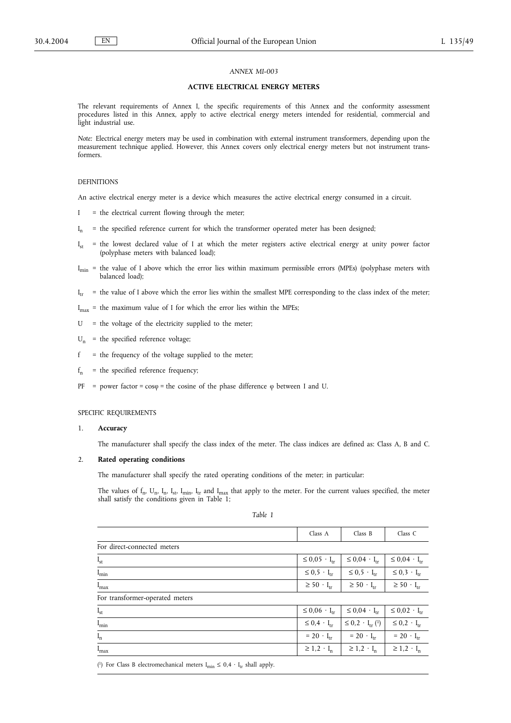# **ACTIVE ELECTRICAL ENERGY METERS**

The relevant requirements of Annex I, the specific requirements of this Annex and the conformity assessment procedures listed in this Annex, apply to active electrical energy meters intended for residential, commercial and light industrial use.

*Note:* Electrical energy meters may be used in combination with external instrument transformers, depending upon the measurement technique applied. However, this Annex covers only electrical energy meters but not instrument transformers.

#### DEFINITIONS

An active electrical energy meter is a device which measures the active electrical energy consumed in a circuit.

- I = the electrical current flowing through the meter;
- $I_n$  = the specified reference current for which the transformer operated meter has been designed;
- $I_{st}$  = the lowest declared value of I at which the meter registers active electrical energy at unity power factor (polyphase meters with balanced load);
- $I_{min}$  = the value of I above which the error lies within maximum permissible errors (MPEs) (polyphase meters with balanced load);
- $I_{tr}$  = the value of I above which the error lies within the smallest MPE corresponding to the class index of the meter;
- $I_{\text{max}}$  = the maximum value of I for which the error lies within the MPEs;
- U = the voltage of the electricity supplied to the meter;
- $U_n$  = the specified reference voltage;
- $f =$  the frequency of the voltage supplied to the meter;
- $f_n$  = the specified reference frequency;
- PF = power factor =  $cosφ$  = the cosine of the phase difference  $φ$  between I and U.

# SPECIFIC REQUIREMENTS

### 1. **Accuracy**

The manufacturer shall specify the class index of the meter. The class indices are defined as: Class A, B and C.

### 2. **Rated operating conditions**

The manufacturer shall specify the rated operating conditions of the meter; in particular:

The values of  $f_n$ ,  $U_n$ ,  $I_n$ ,  $I_{sv}$   $I_{min}$ ,  $I_{tr}$  and  $I_{max}$  that apply to the meter. For the current values specified, the meter shall satisfy the conditions given in Table 1;

*Table 1*

|                                                                                                                                                                                                                                                                                                         | Class A                  | Class B                     | Class C                  |
|---------------------------------------------------------------------------------------------------------------------------------------------------------------------------------------------------------------------------------------------------------------------------------------------------------|--------------------------|-----------------------------|--------------------------|
| For direct-connected meters                                                                                                                                                                                                                                                                             |                          |                             |                          |
| $I_{st}$                                                                                                                                                                                                                                                                                                | $\leq 0.05 \cdot I_{tr}$ | $\leq 0.04 \cdot I_{tr}$    | $\leq 0.04 \cdot I_{tr}$ |
| $I_{\min}$                                                                                                                                                                                                                                                                                              | $\leq 0.5 \cdot I_{tr}$  | $\leq 0.5 \cdot I_{tr}$     | $\leq 0.3 \cdot I_{tr}$  |
| $I_{max}$                                                                                                                                                                                                                                                                                               | $\geq 50 \cdot I_{tr}$   | $\geq 50 \cdot I_{tr}$      | $\geq 50 \cdot I_{rr}$   |
| For transformer-operated meters                                                                                                                                                                                                                                                                         |                          |                             |                          |
| $I_{st}$                                                                                                                                                                                                                                                                                                | $\leq 0.06 \cdot I_{tr}$ | $\leq 0.04 \cdot I_{tr}$    | $\leq 0.02 \cdot I_{tr}$ |
| I <sub>min</sub>                                                                                                                                                                                                                                                                                        | $\leq 0.4 \cdot I_{tr}$  | $\leq 0.2 \cdot I_{tr}$ (1) | $\leq 0.2 \cdot I_{rr}$  |
| $I_n$                                                                                                                                                                                                                                                                                                   | $= 20 \cdot I_{tr}$      | $= 20 \cdot I_{tr}$         | $= 20 \cdot I_{tr}$      |
| I <sub>max</sub>                                                                                                                                                                                                                                                                                        | $\geq 1.2 \cdot I_n$     | $\geq 1.2 \cdot I_n$        | $\geq 1.2 \cdot I_n$     |
| $\pi$ , $\pi$ , $\pi$ , $\pi$ , $\pi$ , $\pi$ , $\pi$ , $\pi$ , $\pi$ , $\pi$ , $\pi$ , $\pi$ , $\pi$ , $\pi$ , $\pi$ , $\pi$ , $\pi$ , $\pi$ , $\pi$ , $\pi$ , $\pi$ , $\pi$ , $\pi$ , $\pi$ , $\pi$ , $\pi$ , $\pi$ , $\pi$ , $\pi$ , $\pi$ , $\pi$ , $\pi$ , $\pi$ , $\pi$ , $\pi$ , $\pi$ , $\pi$ , |                          |                             |                          |

(<sup>1</sup>) For Class B electromechanical meters  $I_{\min} \leq 0.4 \cdot I_{tr}$  shall apply.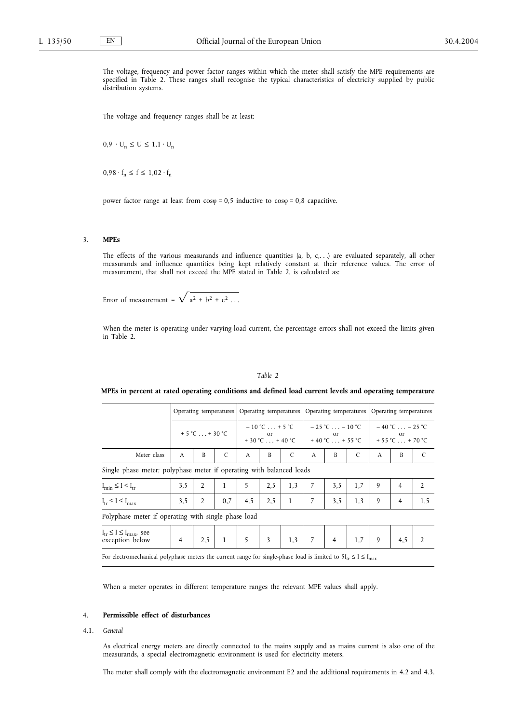The voltage, frequency and power factor ranges within which the meter shall satisfy the MPE requirements are specified in Table 2. These ranges shall recognise the typical characteristics of electricity supplied by public distribution systems.

The voltage and frequency ranges shall be at least:

 $0.9 \cdot U_n \leq U \leq 1.1 \cdot U_n$ 

 $0.98 \cdot f_n \le f \le 1.02 \cdot f_n$ 

power factor range at least from  $cos\varphi = 0.5$  inductive to  $cos\varphi = 0.8$  capacitive.

# 3. **MPEs**

The effects of the various measurands and influence quantities (a, b, c,. . .) are evaluated separately, all other measurands and influence quantities being kept relatively constant at their reference values. The error of measurement, that shall not exceed the MPE stated in Table 2, is calculated as:

Error of measurement =  $\sqrt{a^2 + b^2 + c^2 \dots}$ 

When the meter is operating under varying-load current, the percentage errors shall not exceed the limits given in Table 2.

# *Table 2*

# **MPEs in percent at rated operating conditions and defined load current levels and operating temperature**

|                                                                      | Operating temperatures |                                   | Operating temperatures |                                                                                      | Operating temperatures |                                                         | Operating temperatures |                |                                                            |   |                |                |
|----------------------------------------------------------------------|------------------------|-----------------------------------|------------------------|--------------------------------------------------------------------------------------|------------------------|---------------------------------------------------------|------------------------|----------------|------------------------------------------------------------|---|----------------|----------------|
|                                                                      |                        | $+5^{\circ}$ C  + 30 $^{\circ}$ C |                        | $-10^{\circ}$ C + 5 $^{\circ}$ C<br><sub>or</sub><br>$+30^{\circ}$ C $+40^{\circ}$ C |                        | $-25 °C$ $-10 °C$<br><sub>or</sub><br>$+40 °C$ $+55 °C$ |                        |                | $-40 °C$ $-25 °C$<br>or<br>$+55^{\circ}$ C $+70^{\circ}$ C |   |                |                |
| Meter class                                                          | A                      | B                                 | C                      | A                                                                                    | B                      | C                                                       | A                      | B              | C                                                          | A | B              | C              |
| Single phase meter; polyphase meter if operating with balanced loads |                        |                                   |                        |                                                                                      |                        |                                                         |                        |                |                                                            |   |                |                |
| $I_{\min} \leq I \leq I_{tr}$                                        | 3,5                    | $\overline{2}$                    | 1                      | 5                                                                                    | 2,5                    | 1,3                                                     | 7                      | 3,5            | 1,7                                                        | 9 | $\overline{4}$ | $\overline{2}$ |
| $I_{tr} \leq I \leq I_{max}$                                         | 3,5                    | 2                                 | 0,7                    | 4,5                                                                                  | 2,5                    | 1                                                       | 7                      | 3,5            | 1,3                                                        | 9 | $\overline{4}$ | 1,5            |
| Polyphase meter if operating with single phase load                  |                        |                                   |                        |                                                                                      |                        |                                                         |                        |                |                                                            |   |                |                |
| $I_{tr} \leq I \leq I_{max}$ , see<br>exception below                | $\overline{4}$         | 2,5                               | $\mathbf{1}$           | 5                                                                                    | 3                      | 1,3                                                     | $\overline{7}$         | $\overline{4}$ | 1,7                                                        | 9 | 4,5            | $\overline{2}$ |
|                                                                      |                        |                                   |                        |                                                                                      |                        |                                                         |                        |                |                                                            |   |                |                |

For electromechanical polyphase meters the current range for single-phase load is limited to  $5I_{tr} \le I \le I_{max}$ 

When a meter operates in different temperature ranges the relevant MPE values shall apply.

# 4. **Permissible effect of disturbances**

# 4.1. *General*

As electrical energy meters are directly connected to the mains supply and as mains current is also one of the measurands, a special electromagnetic environment is used for electricity meters.

The meter shall comply with the electromagnetic environment E2 and the additional requirements in 4.2 and 4.3.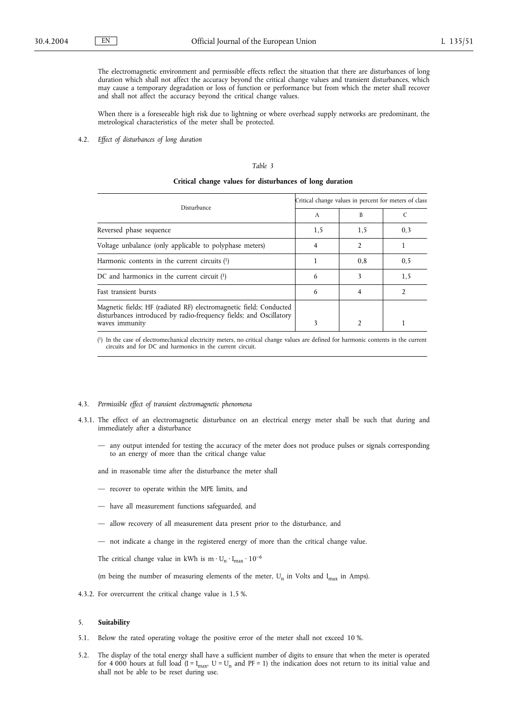The electromagnetic environment and permissible effects reflect the situation that there are disturbances of long duration which shall not affect the accuracy beyond the critical change values and transient disturbances, which may cause a temporary degradation or loss of function or performance but from which the meter shall recover and shall not affect the accuracy beyond the critical change values.

When there is a foreseeable high risk due to lightning or where overhead supply networks are predominant, the metrological characteristics of the meter shall be protected.

4.2. *Effect of disturbances of long duration*

# *Table 3*

# **Critical change values for disturbances of long duration**

| Disturbance                                                                                                                                                | Critical change values in percent for meters of class |     |                |  |
|------------------------------------------------------------------------------------------------------------------------------------------------------------|-------------------------------------------------------|-----|----------------|--|
|                                                                                                                                                            | $\mathsf{A}$                                          | B   |                |  |
| Reversed phase sequence                                                                                                                                    | 1,5                                                   | 1,5 | 0,3            |  |
| Voltage unbalance (only applicable to polyphase meters)                                                                                                    | 4                                                     |     |                |  |
| Harmonic contents in the current circuits $(1)$                                                                                                            |                                                       | 0,8 | 0, 5           |  |
| DC and harmonics in the current circuit $(1)$                                                                                                              | 6                                                     |     | 1,5            |  |
| Fast transient bursts                                                                                                                                      | 6                                                     |     | $\mathfrak{D}$ |  |
| Magnetic fields; HF (radiated RF) electromagnetic field; Conducted<br>disturbances introduced by radio-frequency fields; and Oscillatory<br>waves immunity | 3                                                     |     |                |  |

( 1) In the case of electromechanical electricity meters, no critical change values are defined for harmonic contents in the current circuits and for DC and harmonics in the current circuit.

#### 4.3. *Permissible effect of transient electromagnetic phenomena*

- 4.3.1. The effect of an electromagnetic disturbance on an electrical energy meter shall be such that during and immediately after a disturbance
	- any output intended for testing the accuracy of the meter does not produce pulses or signals corresponding to an energy of more than the critical change value

and in reasonable time after the disturbance the meter shall

- recover to operate within the MPE limits, and
- have all measurement functions safeguarded, and
- allow recovery of all measurement data present prior to the disturbance, and
- not indicate a change in the registered energy of more than the critical change value.

The critical change value in kWh is  $m \cdot U_n \cdot I_{max} \cdot 10^{-6}$ 

(m being the number of measuring elements of the meter,  $U_n$  in Volts and  $I_{max}$  in Amps).

4.3.2. For overcurrent the critical change value is 1,5 %.

#### 5. **Suitability**

- 5.1. Below the rated operating voltage the positive error of the meter shall not exceed 10 %.
- 5.2. The display of the total energy shall have a sufficient number of digits to ensure that when the meter is operated for 4 000 hours at full load (I = I<sub>max</sub>, U = U<sub>n</sub> and PF = 1) the indication does not return to its initial value and shall not be able to be reset during use.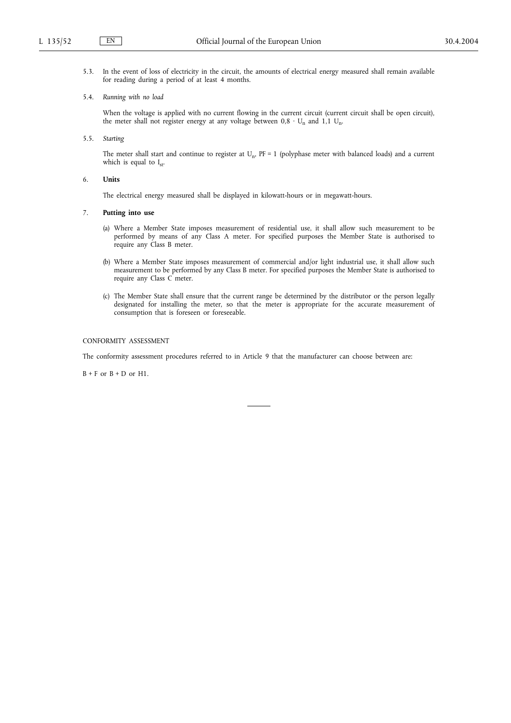5.3. In the event of loss of electricity in the circuit, the amounts of electrical energy measured shall remain available for reading during a period of at least 4 months.

# 5.4. *Running with no load*

When the voltage is applied with no current flowing in the current circuit (current circuit shall be open circuit), the meter shall not register energy at any voltage between  $0.8 \cdot U_n$  and  $1.1 U_n$ .

5.5. *Starting*

The meter shall start and continue to register at  $U_n$ ,  $PF = 1$  (polyphase meter with balanced loads) and a current which is equal to  $I_{st}$ .

# 6. **Units**

The electrical energy measured shall be displayed in kilowatt-hours or in megawatt-hours.

# 7. **Putting into use**

- (a) Where a Member State imposes measurement of residential use, it shall allow such measurement to be performed by means of any Class A meter. For specified purposes the Member State is authorised to require any Class B meter.
- (b) Where a Member State imposes measurement of commercial and/or light industrial use, it shall allow such measurement to be performed by any Class B meter. For specified purposes the Member State is authorised to require any Class C meter.
- (c) The Member State shall ensure that the current range be determined by the distributor or the person legally designated for installing the meter, so that the meter is appropriate for the accurate measurement of consumption that is foreseen or foreseeable.

# CONFORMITY ASSESSMENT

The conformity assessment procedures referred to in Article 9 that the manufacturer can choose between are:

 $B + F$  or  $B + D$  or H1.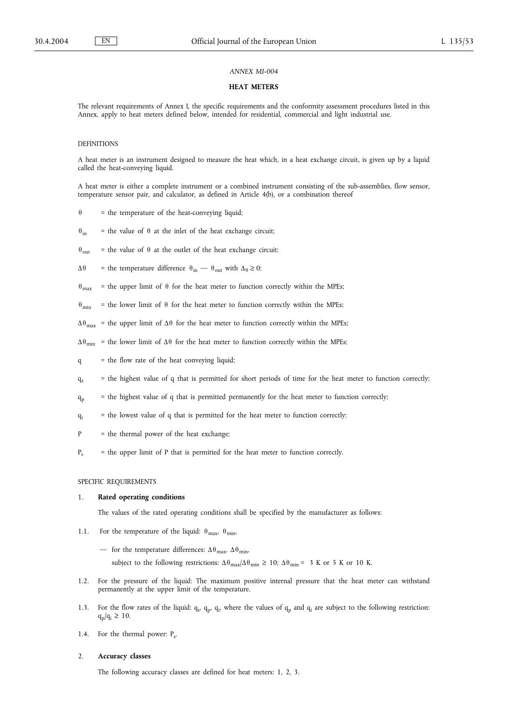### **HEAT METERS**

The relevant requirements of Annex I, the specific requirements and the conformity assessment procedures listed in this Annex, apply to heat meters defined below, intended for residential, commercial and light industrial use.

# DEFINITIONS

A heat meter is an instrument designed to measure the heat which, in a heat exchange circuit, is given up by a liquid called the heat-conveying liquid.

A heat meter is either a complete instrument or a combined instrument consisting of the sub-assemblies, flow sensor, temperature sensor pair, and calculator, as defined in Article 4(b), or a combination thereof

- $\theta$  = the temperature of the heat-conveying liquid;
- $\theta_{in}$  = the value of  $\theta$  at the inlet of the heat exchange circuit;
- $\theta_{\text{out}}$  = the value of  $\theta$  at the outlet of the heat exchange circuit;
- $\Delta \theta$  = the temperature difference  $\theta_{\text{in}}$   $\theta_{\text{out}}$  with  $\Delta_{\theta} \ge 0$ ;
- $\theta_{\text{max}}$  = the upper limit of  $\theta$  for the heat meter to function correctly within the MPEs;
- $\theta_{\text{min}}$  = the lower limit of  $\theta$  for the heat meter to function correctly within the MPEs;
- $\Delta\theta_{\text{max}}$  = the upper limit of  $\Delta\theta$  for the heat meter to function correctly within the MPEs;
- $\Delta\theta_{\text{min}}$  = the lower limit of  $\Delta\theta$  for the heat meter to function correctly within the MPEs;
- q = the flow rate of the heat conveying liquid;
- $q_s$  = the highest value of q that is permitted for short periods of time for the heat meter to function correctly;
- $q_p$  = the highest value of q that is permitted permanently for the heat meter to function correctly;
- $q_i$  = the lowest value of q that is permitted for the heat meter to function correctly;
- P = the thermal power of the heat exchange;
- $P_s$  = the upper limit of P that is permitted for the heat meter to function correctly.

SPECIFIC REQUIREMENTS

### 1. **Rated operating conditions**

The values of the rated operating conditions shall be specified by the manufacturer as follows:

- 1.1. For the temperature of the liquid:  $\theta_{\text{max}}$ ,  $\theta_{\text{min}}$ ,
	- for the temperature differences:  $\Delta\theta_{\text{max}}$ ,  $\Delta\theta_{\text{min}}$ ,

subject to the following restrictions:  $\Delta\theta_{max}/\Delta\theta_{min} \ge 10$ ;  $\Delta\theta_{min} = 3$  K or 5 K or 10 K.

- 1.2. For the pressure of the liquid: The maximum positive internal pressure that the heat meter can withstand permanently at the upper limit of the temperature.
- 1.3. For the flow rates of the liquid:  $q_s$ ,  $q_p$ ,  $q_i$ , where the values of  $q_p$  and  $q_i$  are subject to the following restriction:  $q_p/q_i \geq 10$ .
- 1.4. For the thermal power:  $P_s$ .

# 2. **Accuracy classes**

The following accuracy classes are defined for heat meters: 1, 2, 3.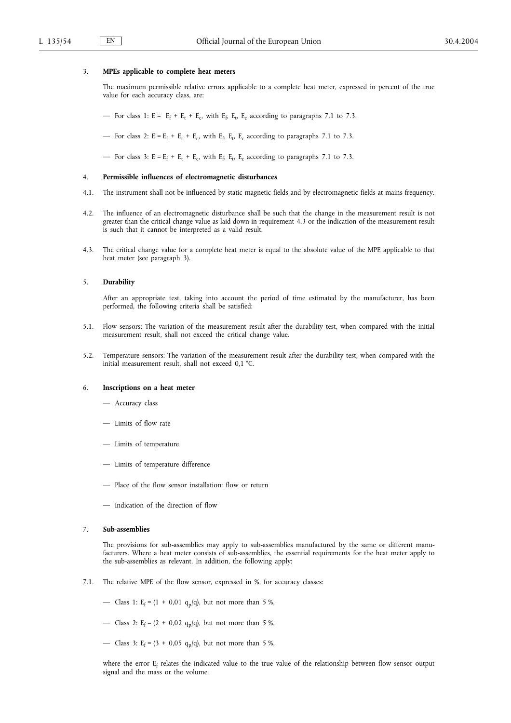### 3. **MPEs applicable to complete heat meters**

The maximum permissible relative errors applicable to a complete heat meter, expressed in percent of the true value for each accuracy class, are:

— For class 1:  $E = E_f + E_t + E_c$ , with  $E_f$ ,  $E_t$ ,  $E_c$  according to paragraphs 7.1 to 7.3.

— For class 2:  $E = E_f + E_t + E_c$ , with  $E_f$ ,  $E_t$ ,  $E_c$  according to paragraphs 7.1 to 7.3.

— For class 3:  $E = E_f + E_t + E_c$ , with  $E_f$ ,  $E_t$ ,  $E_c$  according to paragraphs 7.1 to 7.3.

# 4. **Permissible influences of electromagnetic disturbances**

- 4.1. The instrument shall not be influenced by static magnetic fields and by electromagnetic fields at mains frequency.
- 4.2. The influence of an electromagnetic disturbance shall be such that the change in the measurement result is not greater than the critical change value as laid down in requirement 4.3 or the indication of the measurement result is such that it cannot be interpreted as a valid result.
- 4.3. The critical change value for a complete heat meter is equal to the absolute value of the MPE applicable to that heat meter (see paragraph 3).

#### 5. **Durability**

After an appropriate test, taking into account the period of time estimated by the manufacturer, has been performed, the following criteria shall be satisfied:

- 5.1. Flow sensors: The variation of the measurement result after the durability test, when compared with the initial measurement result, shall not exceed the critical change value.
- 5.2. Temperature sensors: The variation of the measurement result after the durability test, when compared with the initial measurement result, shall not exceed 0,1 °C.

### 6. **Inscriptions on a heat meter**

- Accuracy class
- Limits of flow rate
- Limits of temperature
- Limits of temperature difference
- Place of the flow sensor installation: flow or return
- Indication of the direction of flow

# 7. **Sub-assemblies**

The provisions for sub-assemblies may apply to sub-assemblies manufactured by the same or different manufacturers. Where a heat meter consists of sub-assemblies, the essential requirements for the heat meter apply to the sub-assemblies as relevant. In addition, the following apply:

7.1. The relative MPE of the flow sensor, expressed in %, for accuracy classes:

— Class 1:  $E_f = (1 + 0.01 \, q_p/q)$ , but not more than 5 %,

- Class 2: E<sub>f</sub> =  $(2 + 0.02 q_p/q)$ , but not more than 5 %,
- Class 3: E<sub>f</sub> =  $(3 + 0.05 q_p/q)$ , but not more than 5 %,

where the error E<sub>f</sub> relates the indicated value to the true value of the relationship between flow sensor output signal and the mass or the volume.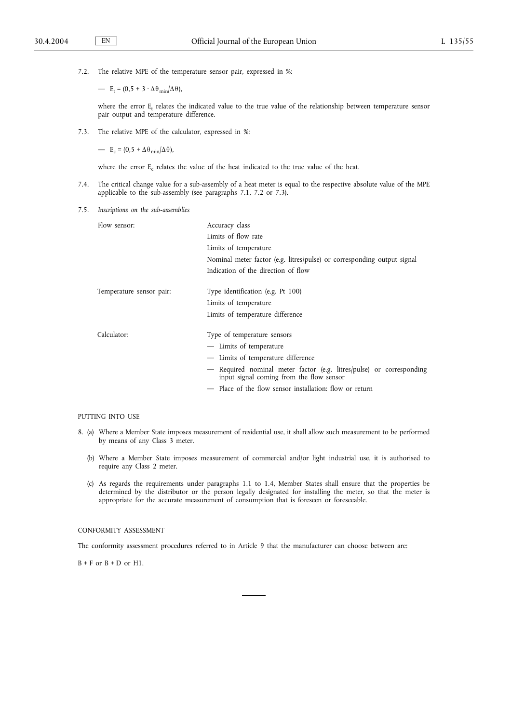7.2. The relative MPE of the temperature sensor pair, expressed in %:

—  $E_t = (0.5 + 3 \cdot \Delta \theta_{min} / \Delta \theta),$ 

where the error  $E_t$  relates the indicated value to the true value of the relationship between temperature sensor pair output and temperature difference.

7.3. The relative MPE of the calculator, expressed in %:

— E<sub>c</sub> = (0,5 +  $\Delta \theta_{min}/\Delta \theta$ ),

where the error E<sub>c</sub> relates the value of the heat indicated to the true value of the heat.

- 7.4. The critical change value for a sub-assembly of a heat meter is equal to the respective absolute value of the MPE applicable to the sub-assembly (see paragraphs 7.1, 7.2 or 7.3).
- 7.5. *Inscriptions on the sub-assemblies*

| Flow sensor:             | Accuracy class                                                                                                   |  |  |  |  |  |
|--------------------------|------------------------------------------------------------------------------------------------------------------|--|--|--|--|--|
|                          | Limits of flow rate                                                                                              |  |  |  |  |  |
|                          | Limits of temperature                                                                                            |  |  |  |  |  |
|                          | Nominal meter factor (e.g. litres/pulse) or corresponding output signal                                          |  |  |  |  |  |
|                          | Indication of the direction of flow                                                                              |  |  |  |  |  |
| Temperature sensor pair: | Type identification (e.g. Pt 100)                                                                                |  |  |  |  |  |
|                          | Limits of temperature                                                                                            |  |  |  |  |  |
|                          | Limits of temperature difference                                                                                 |  |  |  |  |  |
| Calculator:              | Type of temperature sensors                                                                                      |  |  |  |  |  |
|                          | - Limits of temperature                                                                                          |  |  |  |  |  |
|                          | - Limits of temperature difference                                                                               |  |  |  |  |  |
|                          | — Required nominal meter factor (e.g. litres/pulse) or corresponding<br>input signal coming from the flow sensor |  |  |  |  |  |
|                          | - Place of the flow sensor installation: flow or return                                                          |  |  |  |  |  |
|                          |                                                                                                                  |  |  |  |  |  |

### PUTTING INTO USE

- 8. (a) Where a Member State imposes measurement of residential use, it shall allow such measurement to be performed by means of any Class 3 meter.
	- (b) Where a Member State imposes measurement of commercial and/or light industrial use, it is authorised to require any Class 2 meter.
	- (c) As regards the requirements under paragraphs 1.1 to 1.4, Member States shall ensure that the properties be determined by the distributor or the person legally designated for installing the meter, so that the meter is appropriate for the accurate measurement of consumption that is foreseen or foreseeable.

# CONFORMITY ASSESSMENT

The conformity assessment procedures referred to in Article 9 that the manufacturer can choose between are:

 $B + F$  or  $B + D$  or  $H1$ .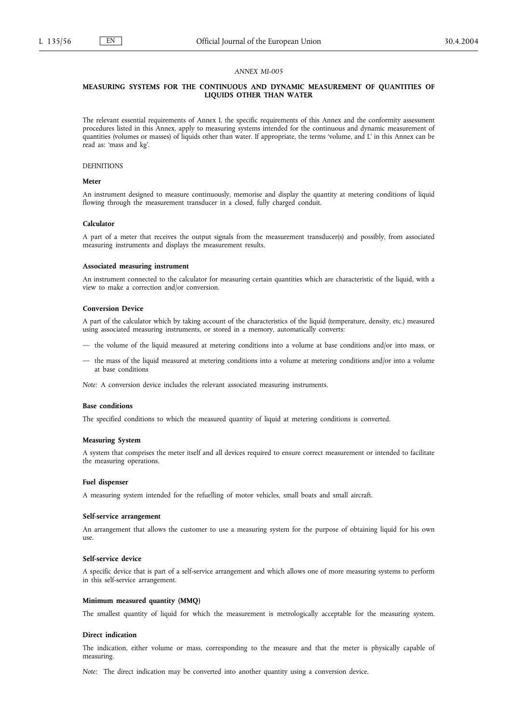# **MEASURING SYSTEMS FOR THE CONTINUOUS AND DYNAMIC MEASUREMENT OF QUANTITIES OF LIQUIDS OTHER THAN WATER**

The relevant essential requirements of Annex I, the specific requirements of this Annex and the conformity assessment procedures listed in this Annex, apply to measuring systems intended for the continuous and dynamic measurement of quantities (volumes or masses) of liquids other than water. If appropriate, the terms 'volume, and L' in this Annex can be read as: 'mass and kg'.

#### DEFINITIONS

# **Meter**

An instrument designed to measure continuously, memorise and display the quantity at metering conditions of liquid flowing through the measurement transducer in a closed, fully charged conduit.

### **Calculator**

A part of a meter that receives the output signals from the measurement transducer(s) and possibly, from associated measuring instruments and displays the measurement results.

# **Associated measuring instrument**

An instrument connected to the calculator for measuring certain quantities which are characteristic of the liquid, with a view to make a correction and/or conversion.

#### **Conversion Device**

A part of the calculator which by taking account of the characteristics of the liquid (temperature, density, etc.) measured using associated measuring instruments, or stored in a memory, automatically converts:

- the volume of the liquid measured at metering conditions into a volume at base conditions and/or into mass, or
- the mass of the liquid measured at metering conditions into a volume at metering conditions and/or into a volume at base conditions

*Note:* A conversion device includes the relevant associated measuring instruments.

#### **Base conditions**

The specified conditions to which the measured quantity of liquid at metering conditions is converted.

#### **Measuring System**

A system that comprises the meter itself and all devices required to ensure correct measurement or intended to facilitate the measuring operations.

# **Fuel dispenser**

A measuring system intended for the refuelling of motor vehicles, small boats and small aircraft.

#### **Self-service arrangement**

An arrangement that allows the customer to use a measuring system for the purpose of obtaining liquid for his own use.

#### **Self-service device**

A specific device that is part of a self-service arrangement and which allows one of more measuring systems to perform in this self-service arrangement.

# **Minimum measured quantity (MMQ)**

The smallest quantity of liquid for which the measurement is metrologically acceptable for the measuring system.

#### **Direct indication**

The indication, either volume or mass, corresponding to the measure and that the meter is physically capable of measuring.

*Note:* The direct indication may be converted into another quantity using a conversion device.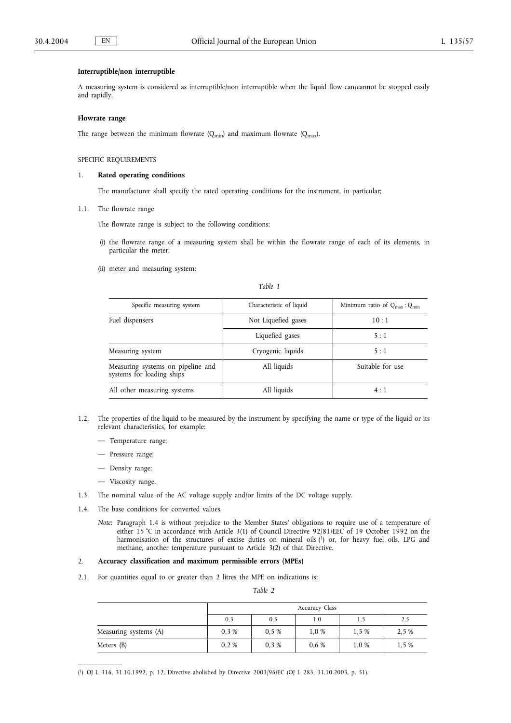# **Interruptible/non interruptible**

A measuring system is considered as interruptible/non interruptible when the liquid flow can/cannot be stopped easily and rapidly.

# **Flowrate range**

The range between the minimum flowrate  $(Q_{min})$  and maximum flowrate  $(Q_{max})$ .

# SPECIFIC REQUIREMENTS

### 1. **Rated operating conditions**

The manufacturer shall specify the rated operating conditions for the instrument, in particular;

1.1. The flowrate range

The flowrate range is subject to the following conditions:

- (i) the flowrate range of a measuring system shall be within the flowrate range of each of its elements, in particular the meter.
- (ii) meter and measuring system:

| aт |  |
|----|--|
|    |  |

| Specific measuring system                                      | Characteristic of liquid | Minimum ratio of $Q_{\text{max}}$ : $Q_{\text{min}}$ |  |  |
|----------------------------------------------------------------|--------------------------|------------------------------------------------------|--|--|
| Fuel dispensers                                                | Not Liquefied gases      | 10:1                                                 |  |  |
|                                                                | Liquefied gases          | 5:1                                                  |  |  |
| Measuring system                                               | Cryogenic liquids        | 5:1                                                  |  |  |
| Measuring systems on pipeline and<br>systems for loading ships | All liquids              | Suitable for use                                     |  |  |
| All other measuring systems                                    | All liquids              | 4:1                                                  |  |  |

- 1.2. The properties of the liquid to be measured by the instrument by specifying the name or type of the liquid or its relevant characteristics, for example:
	- Temperature range;
	- Pressure range;
	- Density range;
	- Viscosity range.
- 1.3. The nominal value of the AC voltage supply and/or limits of the DC voltage supply.
- 1.4. The base conditions for converted values.
	- *Note:* Paragraph 1.4 is without prejudice to the Member States' obligations to require use of a temperature of either 15 °C in accordance with Article 3(1) of Council Directive 92/81/EEC of 19 October 1992 on the harmonisation of the structures of excise duties on mineral oils (1) or, for heavy fuel oils, LPG and methane, another temperature pursuant to Article 3(2) of that Directive.

# 2. **Accuracy classification and maximum permissible errors (MPEs)**

2.1. For quantities equal to or greater than 2 litres the MPE on indications is:

*Table 2*

|                       | Accuracy Class |      |      |       |       |
|-----------------------|----------------|------|------|-------|-------|
|                       | 0,3            | 0, 5 | 1,0  | 1,5   | 2,5   |
| Measuring systems (A) | 0.3%           | 0.5% | 1.0% | 1.5 % | 2.5 % |
| Meters $(B)$          | 0.2%           | 0.3% | 0.6% | 1,0 % | 1,5 % |

( 1) OJ L 316, 31.10.1992, p. 12. Directive abolished by Directive 2003/96/EC (OJ L 283, 31.10.2003, p. 51).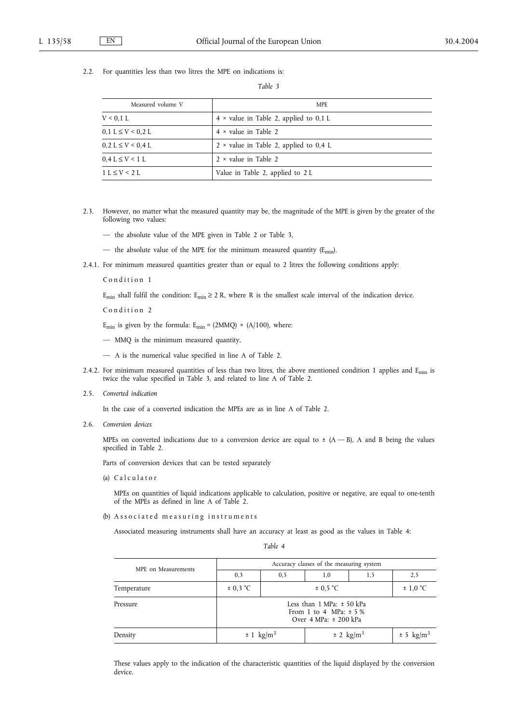2.2. For quantities less than two litres the MPE on indications is:

*Table 3*

| Measured volume V       | <b>MPE</b>                                    |
|-------------------------|-----------------------------------------------|
| V < 0.1 L               | $4 \times$ value in Table 2, applied to 0,1 L |
| $0.1 L \le V < 0.2 L$   | $4 \times$ value in Table 2                   |
| $0.2 L \le V < 0.4 L$   | $2 \times$ value in Table 2, applied to 0,4 L |
| $0.4 L \leq V \leq 1 L$ | $2 \times$ value in Table 2                   |
| $1 L \le V < 2 L$       | Value in Table 2, applied to 2 L              |

- 2.3. However, no matter what the measured quantity may be, the magnitude of the MPE is given by the greater of the following two values:
	- the absolute value of the MPE given in Table 2 or Table 3,
	- the absolute value of the MPE for the minimum measured quantity ( $E_{min}$ ).
- 2.4.1. For minimum measured quantities greater than or equal to 2 litres the following conditions apply:

Condition 1

E<sub>min</sub> shall fulfil the condition: E<sub>min</sub>  $\geq$  2 R, where R is the smallest scale interval of the indication device.

Condition 2

 $E_{\text{min}}$  is given by the formula:  $E_{\text{min}} = (2MMQ) \times (A/100)$ , where:

- MMQ is the minimum measured quantity,
- A is the numerical value specified in line A of Table 2.
- 2.4.2. For minimum measured quantities of less than two litres, the above mentioned condition 1 applies and  $E_{min}$  is twice the value specified in Table 3, and related to line A of Table 2.
- 2.5. *Converted indication*

In the case of a converted indication the MPEs are as in line A of Table 2.

2.6. *Conversion devices*

MPEs on converted indications due to a conversion device are equal to  $\pm$  (A - B), A and B being the values specified in Table 2.

Parts of conversion devices that can be tested separately

(a) Calculator

MPEs on quantities of liquid indications applicable to calculation, positive or negative, are equal to one-tenth of the MPEs as defined in line A of Table 2.

(b) Associated measuring instruments

Associated measuring instruments shall have an accuracy at least as good as the values in Table 4:

| MPE on Measurements | Accuracy classes of the measuring system                                                      |     |                       |     |     |  |
|---------------------|-----------------------------------------------------------------------------------------------|-----|-----------------------|-----|-----|--|
|                     | 0,3                                                                                           | 0,5 | 1,0                   | 1,5 | 2,5 |  |
| Temperature         | $\pm$ 0.3 °C<br>$\pm$ 0.5 °C                                                                  |     | $\pm$ 1,0 °C          |     |     |  |
| Pressure            | Less than $1$ MPa: $\pm$ 50 kPa<br>From 1 to 4 MPa: $\pm$ 5 %<br>Over $4 MPa$ : $\pm 200$ kPa |     |                       |     |     |  |
| Density             | $\pm 1$ kg/m <sup>3</sup><br>$\pm$ 2 kg/m <sup>3</sup>                                        |     | ± 5 kg/m <sup>3</sup> |     |     |  |

These values apply to the indication of the characteristic quantities of the liquid displayed by the conversion device.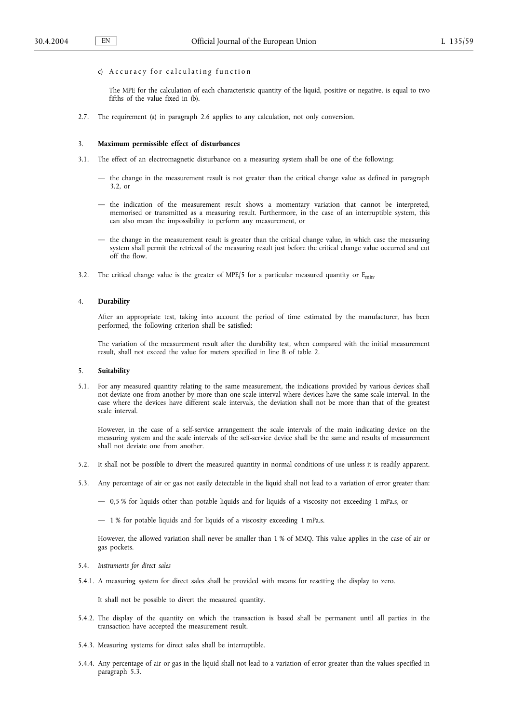# c) A c c u r a c y for cal culating function

The MPE for the calculation of each characteristic quantity of the liquid, positive or negative, is equal to two fifths of the value fixed in (b).

2.7. The requirement (a) in paragraph 2.6 applies to any calculation, not only conversion.

### 3. **Maximum permissible effect of disturbances**

- 3.1. The effect of an electromagnetic disturbance on a measuring system shall be one of the following;
	- the change in the measurement result is not greater than the critical change value as defined in paragraph  $3.2$  or
	- the indication of the measurement result shows a momentary variation that cannot be interpreted, memorised or transmitted as a measuring result. Furthermore, in the case of an interruptible system, this can also mean the impossibility to perform any measurement, or
	- the change in the measurement result is greater than the critical change value, in which case the measuring system shall permit the retrieval of the measuring result just before the critical change value occurred and cut off the flow.
- 3.2. The critical change value is the greater of MPE/5 for a particular measured quantity or  $E_{min}$ .

# 4. **Durability**

After an appropriate test, taking into account the period of time estimated by the manufacturer, has been performed, the following criterion shall be satisfied:

The variation of the measurement result after the durability test, when compared with the initial measurement result, shall not exceed the value for meters specified in line B of table 2.

# 5. **Suitability**

5.1. For any measured quantity relating to the same measurement, the indications provided by various devices shall not deviate one from another by more than one scale interval where devices have the same scale interval. In the case where the devices have different scale intervals, the deviation shall not be more than that of the greatest scale interval.

However, in the case of a self-service arrangement the scale intervals of the main indicating device on the measuring system and the scale intervals of the self-service device shall be the same and results of measurement shall not deviate one from another.

- 5.2. It shall not be possible to divert the measured quantity in normal conditions of use unless it is readily apparent.
- 5.3. Any percentage of air or gas not easily detectable in the liquid shall not lead to a variation of error greater than:
	- 0,5 % for liquids other than potable liquids and for liquids of a viscosity not exceeding 1 mPa.s, or
	- 1 % for potable liquids and for liquids of a viscosity exceeding 1 mPa.s.

However, the allowed variation shall never be smaller than 1 % of MMQ. This value applies in the case of air or gas pockets.

- 5.4. *Instruments for direct sales*
- 5.4.1. A measuring system for direct sales shall be provided with means for resetting the display to zero.

It shall not be possible to divert the measured quantity.

- 5.4.2. The display of the quantity on which the transaction is based shall be permanent until all parties in the transaction have accepted the measurement result.
- 5.4.3. Measuring systems for direct sales shall be interruptible.
- 5.4.4. Any percentage of air or gas in the liquid shall not lead to a variation of error greater than the values specified in paragraph 5.3.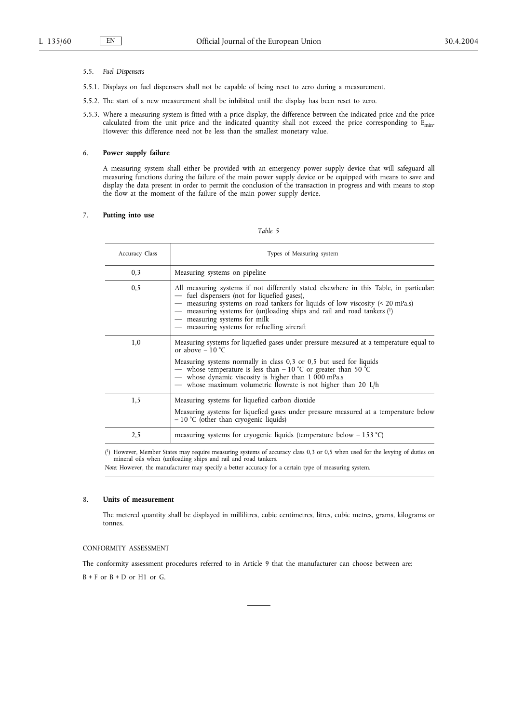### 5.5. *Fuel Dispensers*

- 5.5.1. Displays on fuel dispensers shall not be capable of being reset to zero during a measurement.
- 5.5.2. The start of a new measurement shall be inhibited until the display has been reset to zero.
- 5.5.3. Where a measuring system is fitted with a price display, the difference between the indicated price and the price calculated from the unit price and the indicated quantity shall not exceed the price corresponding to Emin. However this difference need not be less than the smallest monetary value.

# 6. **Power supply failure**

A measuring system shall either be provided with an emergency power supply device that will safeguard all measuring functions during the failure of the main power supply device or be equipped with means to save and display the data present in order to permit the conclusion of the transaction in progress and with means to stop the flow at the moment of the failure of the main power supply device.

# 7. **Putting into use**

# *Table 5*

| Accuracy Class | Types of Measuring system                                                                                                                                                                                                                                                                                                                                                              |
|----------------|----------------------------------------------------------------------------------------------------------------------------------------------------------------------------------------------------------------------------------------------------------------------------------------------------------------------------------------------------------------------------------------|
| 0,3            | Measuring systems on pipeline                                                                                                                                                                                                                                                                                                                                                          |
| 0, 5           | All measuring systems if not differently stated elsewhere in this Table, in particular:<br>- fuel dispensers (not for liquefied gases),<br>- measuring systems on road tankers for liquids of low viscosity (< 20 mPa.s)<br>measuring systems for (un)loading ships and rail and road tankers (1)<br>- measuring systems for milk<br>- measuring systems for refuelling aircraft       |
| 1,0            | Measuring systems for liquefied gases under pressure measured at a temperature equal to<br>or above $-10$ °C<br>Measuring systems normally in class $0,3$ or $0,5$ but used for liquids<br>— whose temperature is less than $-10$ °C or greater than 50 °C<br>- whose dynamic viscosity is higher than $1\,000$ mPa.s<br>— whose maximum volumetric flowrate is not higher than 20 L/h |
| 1,5            | Measuring systems for liquefied carbon dioxide<br>Measuring systems for liquefied gases under pressure measured at a temperature below<br>$-10$ °C (other than cryogenic liquids)                                                                                                                                                                                                      |
| 2,5            | measuring systems for cryogenic liquids (temperature below $-153$ °C)                                                                                                                                                                                                                                                                                                                  |

( 1) However, Member States may require measuring systems of accuracy class 0,3 or 0,5 when used for the levying of duties on mineral oils when (un)loading ships and rail and road tankers.

*Note:* However, the manufacturer may specify a better accuracy for a certain type of measuring system.

# 8. **Units of measurement**

The metered quantity shall be displayed in millilitres, cubic centimetres, litres, cubic metres, grams, kilograms or tonnes.

# CONFORMITY ASSESSMENT

The conformity assessment procedures referred to in Article 9 that the manufacturer can choose between are:

 $B + F$  or  $B + D$  or  $H1$  or  $G$ .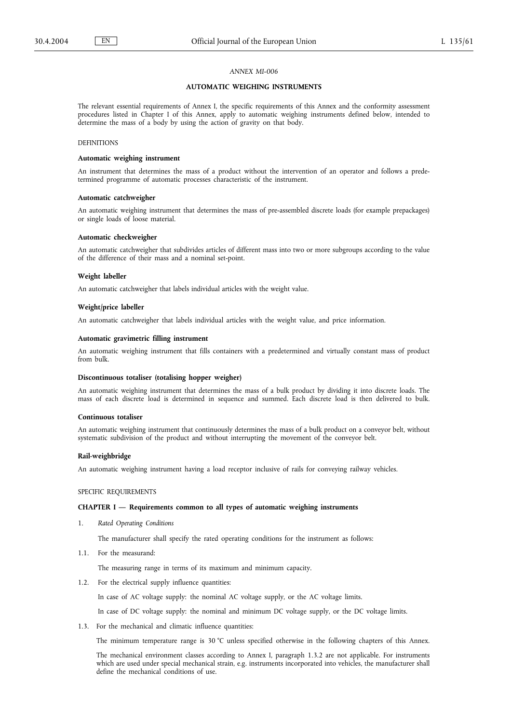# **AUTOMATIC WEIGHING INSTRUMENTS**

The relevant essential requirements of Annex I, the specific requirements of this Annex and the conformity assessment procedures listed in Chapter I of this Annex, apply to automatic weighing instruments defined below, intended to determine the mass of a body by using the action of gravity on that body.

# DEFINITIONS

#### **Automatic weighing instrument**

An instrument that determines the mass of a product without the intervention of an operator and follows a predetermined programme of automatic processes characteristic of the instrument.

#### **Automatic catchweigher**

An automatic weighing instrument that determines the mass of pre-assembled discrete loads (for example prepackages) or single loads of loose material.

#### **Automatic checkweigher**

An automatic catchweigher that subdivides articles of different mass into two or more subgroups according to the value of the difference of their mass and a nominal set-point.

#### **Weight labeller**

An automatic catchweigher that labels individual articles with the weight value.

#### **Weight/price labeller**

An automatic catchweigher that labels individual articles with the weight value, and price information.

#### **Automatic gravimetric filling instrument**

An automatic weighing instrument that fills containers with a predetermined and virtually constant mass of product from bulk.

#### **Discontinuous totaliser (totalising hopper weigher)**

An automatic weighing instrument that determines the mass of a bulk product by dividing it into discrete loads. The mass of each discrete load is determined in sequence and summed. Each discrete load is then delivered to bulk.

#### **Continuous totaliser**

An automatic weighing instrument that continuously determines the mass of a bulk product on a conveyor belt, without systematic subdivision of the product and without interrupting the movement of the conveyor belt.

### **Rail-weighbridge**

An automatic weighing instrument having a load receptor inclusive of rails for conveying railway vehicles.

# SPECIFIC REQUIREMENTS

### **CHAPTER I — Requirements common to all types of automatic weighing instruments**

1. *Rated Operating Conditions*

The manufacturer shall specify the rated operating conditions for the instrument as follows:

1.1. For the measurand:

The measuring range in terms of its maximum and minimum capacity.

1.2. For the electrical supply influence quantities:

In case of AC voltage supply: the nominal AC voltage supply, or the AC voltage limits.

In case of DC voltage supply: the nominal and minimum DC voltage supply, or the DC voltage limits.

1.3. For the mechanical and climatic influence quantities:

The minimum temperature range is 30 °C unless specified otherwise in the following chapters of this Annex.

The mechanical environment classes according to Annex I, paragraph 1.3.2 are not applicable. For instruments which are used under special mechanical strain, e.g. instruments incorporated into vehicles, the manufacturer shall define the mechanical conditions of use.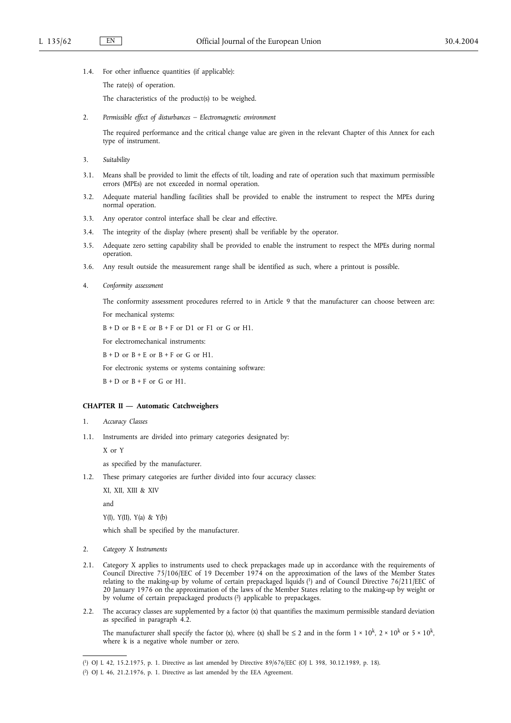- 1.4. For other influence quantities (if applicable):
	- The rate(s) of operation.

The characteristics of the product(s) to be weighed.

2. *Permissible effect of disturbances – Electromagnetic environment*

The required performance and the critical change value are given in the relevant Chapter of this Annex for each type of instrument.

- 3. *Suitability*
- 3.1. Means shall be provided to limit the effects of tilt, loading and rate of operation such that maximum permissible errors (MPEs) are not exceeded in normal operation.
- 3.2. Adequate material handling facilities shall be provided to enable the instrument to respect the MPEs during normal operation.
- 3.3. Any operator control interface shall be clear and effective.
- 3.4. The integrity of the display (where present) shall be verifiable by the operator.
- 3.5. Adequate zero setting capability shall be provided to enable the instrument to respect the MPEs during normal operation.
- 3.6. Any result outside the measurement range shall be identified as such, where a printout is possible.
- 4. *Conformity assessment*

The conformity assessment procedures referred to in Article 9 that the manufacturer can choose between are: For mechanical systems:

 $B + D$  or  $B + E$  or  $B + F$  or D1 or F1 or G or H1.

For electromechanical instruments:

 $B + D$  or  $B + E$  or  $B + F$  or  $G$  or  $H1$ .

For electronic systems or systems containing software:

 $B + D$  or  $B + F$  or G or H1.

# **CHAPTER II — Automatic Catchweighers**

- 1. *Accuracy Classes*
- 1.1. Instruments are divided into primary categories designated by:

X or Y

as specified by the manufacturer.

1.2. These primary categories are further divided into four accuracy classes:

XI, XII, XIII & XIV

and

Y(I), Y(II), Y(a) & Y(b)

which shall be specified by the manufacturer.

- 2. *Category X Instruments*
- 2.1. Category X applies to instruments used to check prepackages made up in accordance with the requirements of Council Directive 75/106/EEC of 19 December 1974 on the approximation of the laws of the Member States relating to the making-up by volume of certain prepackaged liquids (1) and of Council Directive 76/211/EEC of 20 January 1976 on the approximation of the laws of the Member States relating to the making-up by weight or by volume of certain prepackaged products (2) applicable to prepackages.
- 2.2. The accuracy classes are supplemented by a factor (x) that quantifies the maximum permissible standard deviation as specified in paragraph 4.2.

The manufacturer shall specify the factor (x), where (x) shall be  $\leq 2$  and in the form  $1 \times 10^k$ ,  $2 \times 10^k$  or  $5 \times 10^k$ , where k is a negative whole number or zero.

<sup>(</sup> 1) OJ L 42, 15.2.1975, p. 1. Directive as last amended by Directive 89/676/EEC (OJ L 398, 30.12.1989, p. 18).

<sup>(</sup> 2) OJ L 46, 21.2.1976, p. 1. Directive as last amended by the EEA Agreement.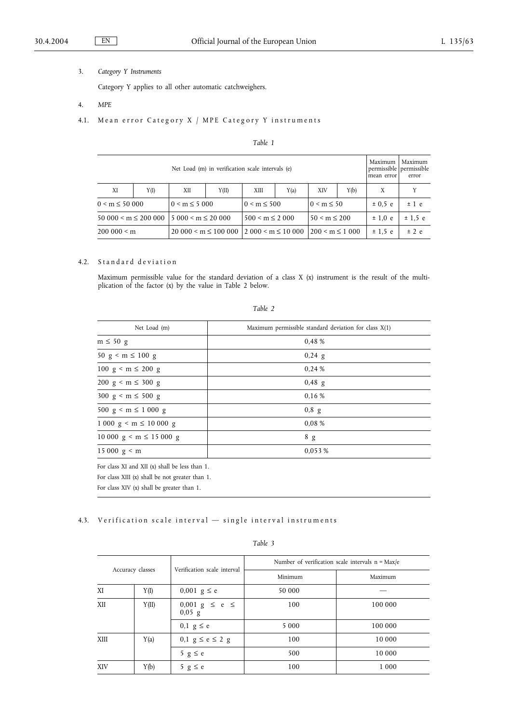3. *Category Y Instruments*

Category Y applies to all other automatic catchweighers.

- 4. *MPE*
- 4.1. Mean error Category X / MPE Category Y instruments

# *Table 1*

| Net Load (m) in verification scale intervals (e)            |      |                                           |       |                      | Maximum<br>mean error | Maximum<br>permissible permissible<br>error |       |   |  |
|-------------------------------------------------------------|------|-------------------------------------------|-------|----------------------|-----------------------|---------------------------------------------|-------|---|--|
| XI                                                          | Y(I) | XII                                       | Y(II) | XШ                   | Y(a)                  | XIV                                         | Y(b)  | Χ |  |
| $0 \le m \le 5000$<br>$0 \le m \le 50000$                   |      | $0 \le m \le 500$                         |       | $0 < m \leq 50$      |                       | $\pm 0.5$ e                                 | ±1 e  |   |  |
| $50000 \le m \le 20000015000 \le m \le 20000$               |      | $500 \le m \le 2000$<br>$50 < m \leq 200$ |       |                      | $\pm 1.0$ e           | ± 1.5 e                                     |       |   |  |
| $20000 \le m \le 10000012000 \le m \le 10000$<br>200000 < m |      |                                           |       | $200 \le m \le 1000$ |                       | ± 1.5e                                      | ± 2 e |   |  |

# 4.2. Standard deviation

Maximum permissible value for the standard deviation of a class X (x) instrument is the result of the multiplication of the factor (x) by the value in Table 2 below.

# *Table 2*

| Maximum permissible standard deviation for class $X(1)$ |  |  |
|---------------------------------------------------------|--|--|
| 0,48 %                                                  |  |  |
| $0,24$ g                                                |  |  |
| 0.24%                                                   |  |  |
| $0,48$ g                                                |  |  |
| 0.16 %                                                  |  |  |
| $0,8$ g                                                 |  |  |
| 0.08%                                                   |  |  |
| 8 g                                                     |  |  |
| 0.053 %                                                 |  |  |
|                                                         |  |  |

For class XI and XII (x) shall be less than 1. For class XIII (x) shall be not greater than 1.

For class XIV (x) shall be greater than 1.

# 4.3. Verification scale interval — single interval instruments

| Accuracy classes |       | Verification scale interval                         | Number of verification scale intervals $n = Max/e$ |         |  |
|------------------|-------|-----------------------------------------------------|----------------------------------------------------|---------|--|
|                  |       |                                                     | Minimum                                            | Maximum |  |
| ΧI               | Y(I)  | 0,001 $g \le e$                                     | 50 000                                             |         |  |
| XII              | Y(II) | $0,001 \text{ g } \leq \text{ e } \leq$<br>$0,05$ g | 100                                                | 100 000 |  |
|                  |       | $0,1 \text{ } g \leq e$                             | 5 0 0 0                                            | 100 000 |  |
| XIII             | Y(a)  | 0,1 $g \le e \le 2$ g                               | 100                                                | 10 000  |  |
|                  |       | 5 $g \le e$                                         | 500                                                | 10 000  |  |
| XIV              | Y(b)  | 5 $g \le e$                                         | 100                                                | 1 0 0 0 |  |

*Table 3*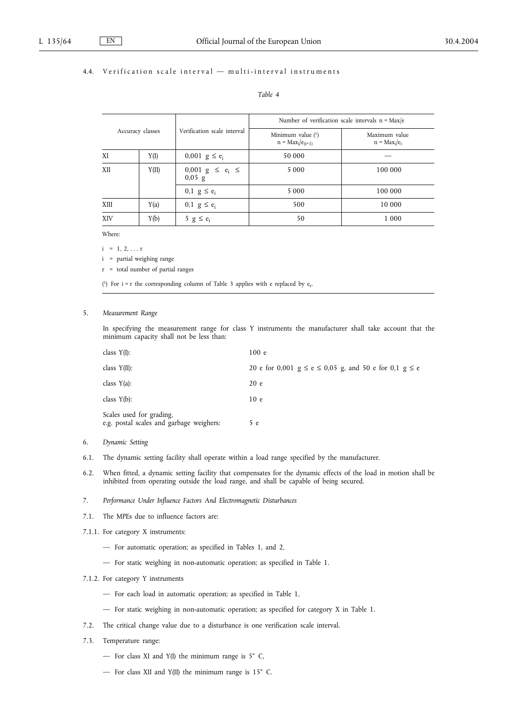# 4.4. Verification scale interval — multi-interval instruments

| ante |  |
|------|--|
|------|--|

| Accuracy classes |       |                                   | Number of verification scale intervals $n = Max/e$ |                                  |  |
|------------------|-------|-----------------------------------|----------------------------------------------------|----------------------------------|--|
|                  |       | Verification scale interval       | Minimum value (1)<br>$n = Max_i/e_{(i+1)}$         | Maximum value<br>$n = Max_i/e_i$ |  |
| ΧI               | Y(I)  | 0,001 $g \le e_i$                 | 50 000                                             |                                  |  |
| XII              | Y(II) | 0,001 $g \le e_i \le$<br>$0,05$ g | 5 0 0 0                                            | 100 000                          |  |
|                  |       | 0,1 $g \leq e_i$                  | 5 0 0 0                                            | 100 000                          |  |
| XIII             | Y(a)  | $0, 1 \text{ g} \leq e_i$         | 500                                                | 10 000                           |  |
| XIV              | Y(b)  | 5 $g \le e_i$                     | 50                                                 | 1 0 0 0                          |  |

Where:

 $i = 1, 2, \ldots r$ 

i = partial weighing range

r = total number of partial ranges

( $\text{!}$ ) For i = r the corresponding column of Table 3 applies with e replaced by  $\text{e}_r$ .

### 5. *Measurement Range*

In specifying the measurement range for class Y instruments the manufacturer shall take account that the minimum capacity shall not be less than:

| class $Y(I)$ :                                                       | 100e                                                            |
|----------------------------------------------------------------------|-----------------------------------------------------------------|
| class $Y(II)$ :                                                      | 20 e for 0,001 $g \le e \le 0.05$ g, and 50 e for 0,1 $g \le e$ |
| class $Y(a)$ :                                                       | 20e                                                             |
| class $Y(b)$ :                                                       | 10e                                                             |
| Scales used for grading,<br>e.g. postal scales and garbage weighers: | 5 e                                                             |

- 6. *Dynamic Setting*
- 6.1. The dynamic setting facility shall operate within a load range specified by the manufacturer.
- 6.2. When fitted, a dynamic setting facility that compensates for the dynamic effects of the load in motion shall be inhibited from operating outside the load range, and shall be capable of being secured.
- 7. *Performance Under Influence Factors And Electromagnetic Disturbances*
- 7.1. The MPEs due to influence factors are:
- 7.1.1. For category X instruments:
	- For automatic operation; as specified in Tables 1, and 2,
	- For static weighing in non-automatic operation; as specified in Table 1.
- 7.1.2. For category Y instruments
	- For each load in automatic operation; as specified in Table 1,
	- For static weighing in non-automatic operation; as specified for category X in Table 1.
- 7.2. The critical change value due to a disturbance is one verification scale interval.
- 7.3. Temperature range:
	- For class XI and Y(I) the minimum range is  $5^{\circ}$  C,
	- For class XII and Y(II) the minimum range is 15° C.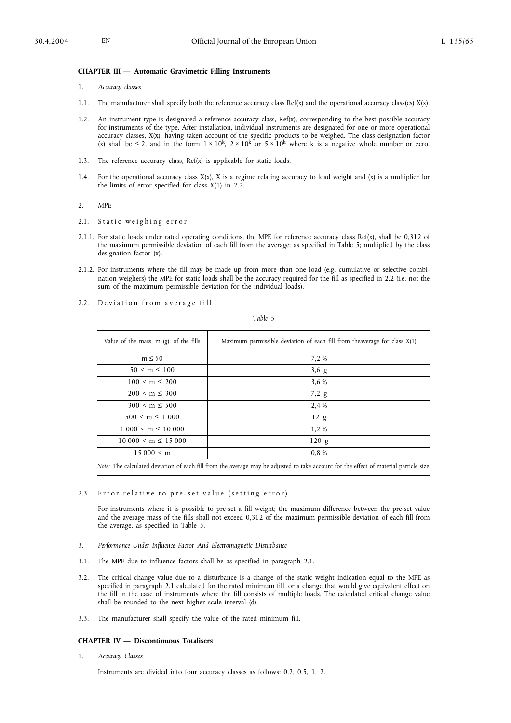# **CHAPTER III — Automatic Gravimetric Filling Instruments**

- 1. *Accuracy classes*
- 1.1. The manufacturer shall specify both the reference accuracy class Ref(x) and the operational accuracy class(es) X(x).
- 1.2. An instrument type is designated a reference accuracy class, Ref(x), corresponding to the best possible accuracy for instruments of the type. After installation, individual instruments are designated for one or more operational accuracy classes, X(x), having taken account of the specific products to be weighed. The class designation factor (x) shall be  $\leq 2$ , and in the form  $1 \times 10^k$ ,  $2 \times 10^k$  or  $5 \times 10^k$  where k is a negative whole number or zero.
- 1.3. The reference accuracy class, Ref(x) is applicable for static loads.
- 1.4. For the operational accuracy class  $X(x)$ ,  $X$  is a regime relating accuracy to load weight and  $(x)$  is a multiplier for the limits of error specified for class  $X(1)$  in 2.2.
- 2. *MPE*
- 2.1. Static weighing error
- 2.1.1. For static loads under rated operating conditions, the MPE for reference accuracy class Ref(x), shall be 0,312 of the maximum permissible deviation of each fill from the average; as specified in Table 5; multiplied by the class designation factor (x).
- 2.1.2. For instruments where the fill may be made up from more than one load (e.g. cumulative or selective combination weighers) the MPE for static loads shall be the accuracy required for the fill as specified in 2.2 (i.e. not the sum of the maximum permissible deviation for the individual loads).
- 2.2. Deviation from average fill

*Table 5*

| Value of the mass, $m$ (g), of the fills | Maximum permissible deviation of each fill from the average for class $X(1)$ |
|------------------------------------------|------------------------------------------------------------------------------|
| $m \leq 50$                              | 7.2%                                                                         |
| $50 < m \leq 100$                        | $3,6$ g                                                                      |
| $100 \le m \le 200$                      | 3.6 %                                                                        |
| $200 \le m \le 300$                      | $7,2 \text{ g}$                                                              |
| $300 < m \leq 500$                       | 2.4 %                                                                        |
| $500 \le m \le 1000$                     | 12 g                                                                         |
| $1000 \le m \le 10000$                   | 1,2%                                                                         |
| $10000 \le m \le 15000$                  | 120 g                                                                        |
| 15000 < m                                | 0.8%                                                                         |
|                                          |                                                                              |

*Note:* The calculated deviation of each fill from the average may be adjusted to take account for the effect of material particle size.

### 2.3. Error relative to pre-set value (setting error)

For instruments where it is possible to pre-set a fill weight; the maximum difference between the pre-set value and the average mass of the fills shall not exceed 0,312 of the maximum permissible deviation of each fill from the average, as specified in Table 5.

- 3. *Performance Under Influence Factor And Electromagnetic Disturbance*
- 3.1. The MPE due to influence factors shall be as specified in paragraph 2.1.
- 3.2. The critical change value due to a disturbance is a change of the static weight indication equal to the MPE as specified in paragraph 2.1 calculated for the rated minimum fill, or a change that would give equivalent effect on the fill in the case of instruments where the fill consists of multiple loads. The calculated critical change value shall be rounded to the next higher scale interval (d).
- 3.3. The manufacturer shall specify the value of the rated minimum fill.

#### **CHAPTER IV — Discontinuous Totalisers**

1. *Accuracy Classes*

Instruments are divided into four accuracy classes as follows: 0,2, 0,5, 1, 2.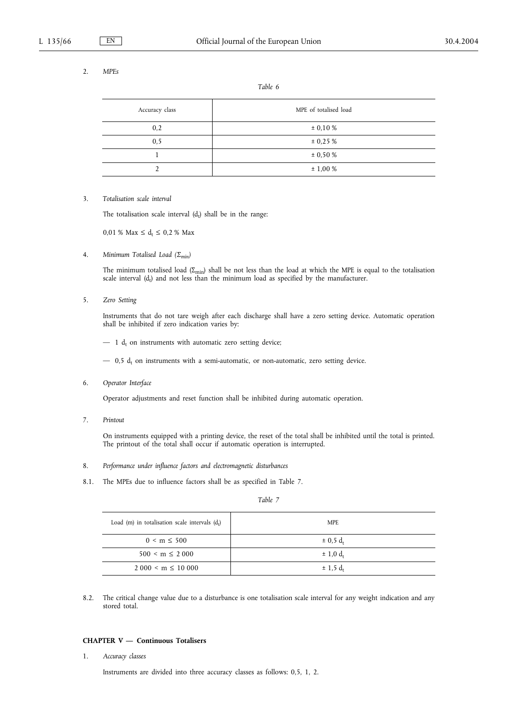# 2. *MPEs*

*Table 6*

| Accuracy class    | MPE of totalised load |
|-------------------|-----------------------|
| 0,2               | $\pm$ 0,10 %          |
| 0, 5              | ± 0,25%               |
|                   | $\pm 0.50 \%$         |
| $\mathbf{\hat{}}$ | ± 1,00%               |

# 3. *Totalisation scale interval*

The totalisation scale interval  $(d_t)$  shall be in the range:

 $0.01 \%$  Max  $\leq d_t \leq 0.2 \%$  Max

4. *Minimum Totalised Load (Σmin)*

The minimum totalised load ( $\Sigma_{min}$ ) shall be not less than the load at which the MPE is equal to the totalisation scale interval  $(d_t)$  and not less than the minimum load as specified by the manufacturer.

5. *Zero Setting*

Instruments that do not tare weigh after each discharge shall have a zero setting device. Automatic operation shall be inhibited if zero indication varies by:

 $-1$  d<sub>t</sub> on instruments with automatic zero setting device;

 $-$  0,5  $d_t$  on instruments with a semi-automatic, or non-automatic, zero setting device.

6. *Operator Interface*

Operator adjustments and reset function shall be inhibited during automatic operation.

7. *Printout*

On instruments equipped with a printing device, the reset of the total shall be inhibited until the total is printed. The printout of the total shall occur if automatic operation is interrupted.

- 8. *Performance under influence factors and electromagnetic disturbances*
- 8.1. The MPEs due to influence factors shall be as specified in Table 7.

*Table 7*

| Load (m) in totalisation scale intervals $(dt)$ | MPE.                     |
|-------------------------------------------------|--------------------------|
| $0 \le m \le 500$                               | $\pm$ 0.5 d <sub>t</sub> |
| $500 \le m \le 2000$                            | $\pm$ 1,0 d <sub>t</sub> |
| $2.000 \le m \le 10.000$                        | $± 1,5 d_t$              |

8.2. The critical change value due to a disturbance is one totalisation scale interval for any weight indication and any stored total.

#### **CHAPTER V — Continuous Totalisers**

1. *Accuracy classes*

Instruments are divided into three accuracy classes as follows: 0,5, 1, 2.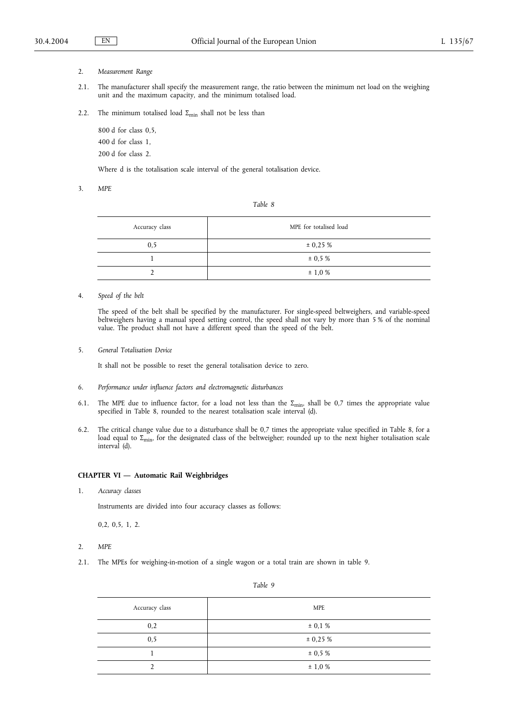- 2. *Measurement Range*
- 2.1. The manufacturer shall specify the measurement range, the ratio between the minimum net load on the weighing unit and the maximum capacity, and the minimum totalised load.
- 2.2. The minimum totalised load  $\Sigma_{\text{min}}$  shall not be less than

800 d for class 0,5, 400 d for class 1, 200 d for class 2.

Where d is the totalisation scale interval of the general totalisation device.

3. *MPE*

*Table 8*

| Accuracy class | MPE for totalised load |
|----------------|------------------------|
| 0, 5           | $\pm$ 0,25 %           |
|                | $\pm 0.5 \%$           |
|                | ± 1,0%                 |

4. *Speed of the belt*

The speed of the belt shall be specified by the manufacturer. For single-speed beltweighers, and variable-speed beltweighers having a manual speed setting control, the speed shall not vary by more than 5 % of the nominal value. The product shall not have a different speed than the speed of the belt.

5. *General Totalisation Device*

It shall not be possible to reset the general totalisation device to zero.

- 6. *Performance under influence factors and electromagnetic disturbances*
- 6.1. The MPE due to influence factor, for a load not less than the  $\Sigma_{\text{min}}$ , shall be 0,7 times the appropriate value specified in Table 8, rounded to the nearest totalisation scale interval (d).
- 6.2. The critical change value due to a disturbance shall be 0,7 times the appropriate value specified in Table 8, for a load equal to  $\Sigma_{\rm min}$ , for the designated class of the beltweigher; rounded up to the next higher totalisation scale interval (d).

# **CHAPTER VI — Automatic Rail Weighbridges**

1. *Accuracy classes*

Instruments are divided into four accuracy classes as follows:

0,2, 0,5, 1, 2.

- 2. *MPE*
- 2.1. The MPEs for weighing-in-motion of a single wagon or a total train are shown in table 9.

| Accuracy class | <b>MPE</b>  |
|----------------|-------------|
| 0,2            | $\pm$ 0,1 % |
| 0, 5           | ± 0,25%     |
|                | ± 0,5 %     |
|                | $\pm$ 1,0 % |

*Table 9*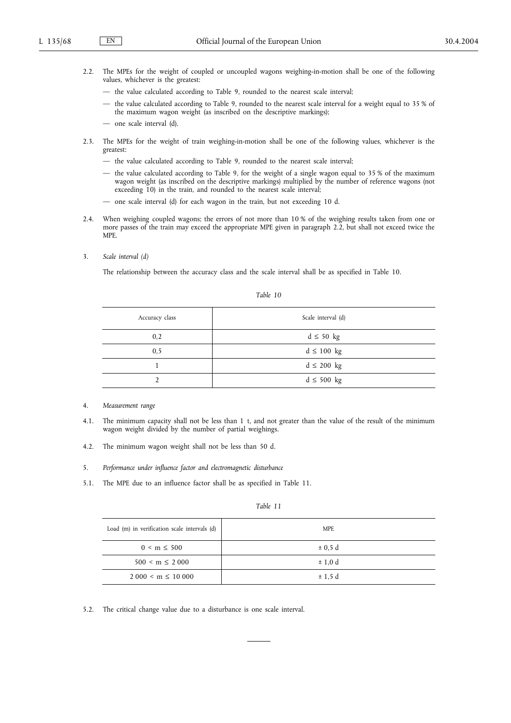- 2.2. The MPEs for the weight of coupled or uncoupled wagons weighing-in-motion shall be one of the following values, whichever is the greatest:
	- the value calculated according to Table 9, rounded to the nearest scale interval;
	- the value calculated according to Table 9, rounded to the nearest scale interval for a weight equal to 35 % of the maximum wagon weight (as inscribed on the descriptive markings);
	- one scale interval (d).
- 2.3. The MPEs for the weight of train weighing-in-motion shall be one of the following values, whichever is the greatest:
	- the value calculated according to Table 9, rounded to the nearest scale interval;
	- the value calculated according to Table 9, for the weight of a single wagon equal to 35 % of the maximum wagon weight (as inscribed on the descriptive markings) multiplied by the number of reference wagons (not exceeding 10) in the train, and rounded to the nearest scale interval;
	- one scale interval (d) for each wagon in the train, but not exceeding 10 d.
- 2.4. When weighing coupled wagons; the errors of not more than 10 % of the weighing results taken from one or more passes of the train may exceed the appropriate MPE given in paragraph 2.2, but shall not exceed twice the MPE.
- 3. *Scale interval (d)*

The relationship between the accuracy class and the scale interval shall be as specified in Table 10.

| Accuracy class | Scale interval (d) |
|----------------|--------------------|
| 0,2            | $d \leq 50$ kg     |
| 0, 5           | $d \leq 100$ kg    |
|                | $d \leq 200$ kg    |
|                | $d \leq 500$ kg    |

- 4. *Measurement range*
- 4.1. The minimum capacity shall not be less than 1 t, and not greater than the value of the result of the minimum wagon weight divided by the number of partial weighings.
- 4.2. The minimum wagon weight shall not be less than 50 d.
- 5. *Performance under influence factor and electromagnetic disturbance*
- 5.1. The MPE due to an influence factor shall be as specified in Table 11.

| 70 D |  |
|------|--|
|      |  |

| Load (m) in verification scale intervals (d) | <b>MPE</b> |
|----------------------------------------------|------------|
| $0 \le m \le 500$                            | ± 0.5 d    |
| $500 \le m \le 2000$                         | ± 1.0 d    |
| $2.000 \le m \le 10.000$                     | ± 1,5d     |

5.2. The critical change value due to a disturbance is one scale interval.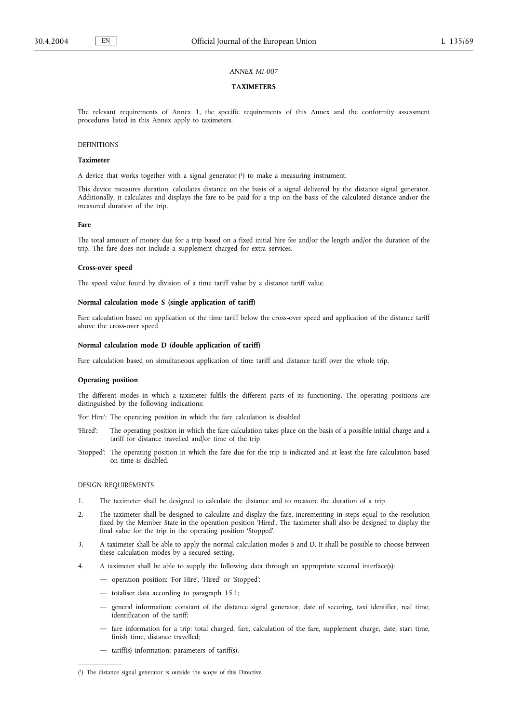#### **TAXIMETERS**

The relevant requirements of Annex 1, the specific requirements of this Annex and the conformity assessment procedures listed in this Annex apply to taximeters.

# DEFINITIONS

#### **Taximeter**

A device that works together with a signal generator  $(1)$  to make a measuring instrument.

This device measures duration, calculates distance on the basis of a signal delivered by the distance signal generator. Additionally, it calculates and displays the fare to be paid for a trip on the basis of the calculated distance and/or the measured duration of the trip.

### **Fare**

The total amount of money due for a trip based on a fixed initial hire fee and/or the length and/or the duration of the trip. The fare does not include a supplement charged for extra services.

#### **Cross-over speed**

The speed value found by division of a time tariff value by a distance tariff value.

# **Normal calculation mode S (single application of tariff)**

Fare calculation based on application of the time tariff below the cross-over speed and application of the distance tariff above the cross-over speed.

# **Normal calculation mode D (double application of tariff)**

Fare calculation based on simultaneous application of time tariff and distance tariff over the whole trip.

#### **Operating position**

The different modes in which a taximeter fulfils the different parts of its functioning. The operating positions are distinguished by the following indications:

'For Hire': The operating position in which the fare calculation is disabled

- 'Hired': The operating position in which the fare calculation takes place on the basis of a possible initial charge and a tariff for distance travelled and/or time of the trip
- 'Stopped': The operating position in which the fare due for the trip is indicated and at least the fare calculation based on time is disabled.

# DESIGN REQUIREMENTS

- 1. The taximeter shall be designed to calculate the distance and to measure the duration of a trip.
- 2. The taximeter shall be designed to calculate and display the fare, incrementing in steps equal to the resolution fixed by the Member State in the operation position 'Hired'. The taximeter shall also be designed to display the final value for the trip in the operating position 'Stopped'.
- 3. A taximeter shall be able to apply the normal calculation modes S and D. It shall be possible to choose between these calculation modes by a secured setting.
- 4. A taximeter shall be able to supply the following data through an appropriate secured interface(s):
	- operation position: 'For Hire', 'Hired' or 'Stopped';
	- totaliser data according to paragraph 15.1;
	- general information: constant of the distance signal generator, date of securing, taxi identifier, real time, identification of the tariff;
	- fare information for a trip: total charged, fare, calculation of the fare, supplement charge, date, start time, finish time, distance travelled;
	- tariff(s) information: parameters of tariff(s).

<sup>(</sup> 1) The distance signal generator is outside the scope of this Directive.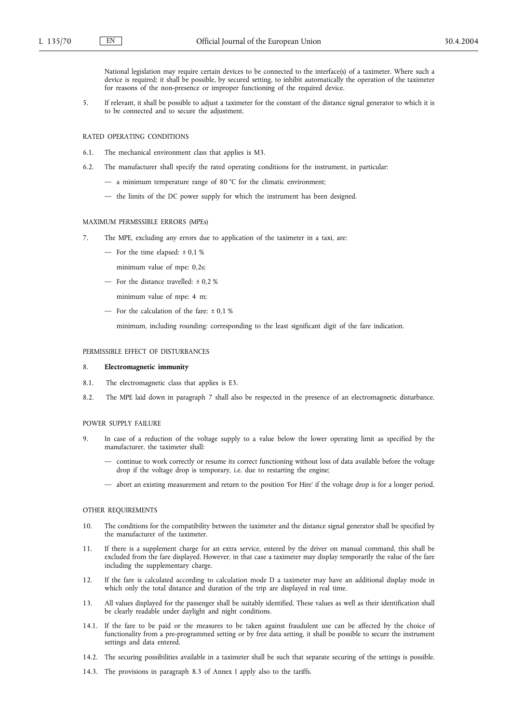National legislation may require certain devices to be connected to the interface(s) of a taximeter. Where such a device is required; it shall be possible, by secured setting, to inhibit automatically the operation of the taximeter for reasons of the non-presence or improper functioning of the required device.

5. If relevant, it shall be possible to adjust a taximeter for the constant of the distance signal generator to which it is to be connected and to secure the adjustment.

#### RATED OPERATING CONDITIONS

- 6.1. The mechanical environment class that applies is M3.
- 6.2. The manufacturer shall specify the rated operating conditions for the instrument, in particular:
	- a minimum temperature range of 80 °C for the climatic environment;
	- the limits of the DC power supply for which the instrument has been designed.

# MAXIMUM PERMISSIBLE ERRORS (MPEs)

- 7. The MPE, excluding any errors due to application of the taximeter in a taxi, are:
	- For the time elapsed:  $\pm 0.1$  %
		- minimum value of mpe: 0,2s;
	- For the distance travelled: ± 0,2 %
		- minimum value of mpe: 4 m;
	- For the calculation of the fare:  $\pm$  0,1 %

minimum, including rounding: corresponding to the least significant digit of the fare indication.

#### PERMISSIBLE EFFECT OF DISTURBANCES

#### 8. **Electromagnetic immunity**

- 8.1. The electromagnetic class that applies is E3.
- 8.2. The MPE laid down in paragraph 7 shall also be respected in the presence of an electromagnetic disturbance.

#### POWER SUPPLY FAILURE

- 9. In case of a reduction of the voltage supply to a value below the lower operating limit as specified by the manufacturer, the taximeter shall:
	- continue to work correctly or resume its correct functioning without loss of data available before the voltage drop if the voltage drop is temporary, i.e. due to restarting the engine;
	- abort an existing measurement and return to the position 'For Hire' if the voltage drop is for a longer period.

#### OTHER REQUIREMENTS

- 10. The conditions for the compatibility between the taximeter and the distance signal generator shall be specified by the manufacturer of the taximeter.
- 11. If there is a supplement charge for an extra service, entered by the driver on manual command, this shall be excluded from the fare displayed. However, in that case a taximeter may display temporarily the value of the fare including the supplementary charge.
- 12. If the fare is calculated according to calculation mode D a taximeter may have an additional display mode in which only the total distance and duration of the trip are displayed in real time.
- 13. All values displayed for the passenger shall be suitably identified. These values as well as their identification shall be clearly readable under daylight and night conditions.
- 14.1. If the fare to be paid or the measures to be taken against fraudulent use can be affected by the choice of functionality from a pre-programmed setting or by free data setting, it shall be possible to secure the instrument settings and data entered.
- 14.2. The securing possibilities available in a taximeter shall be such that separate securing of the settings is possible.
- 14.3. The provisions in paragraph 8.3 of Annex I apply also to the tariffs.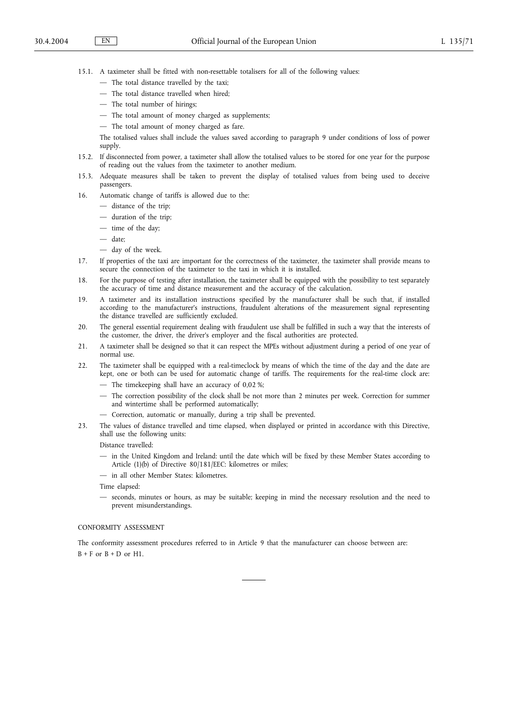- 15.1. A taximeter shall be fitted with non-resettable totalisers for all of the following values:
	- The total distance travelled by the taxi;
	- The total distance travelled when hired;
	- The total number of hirings;
	- The total amount of money charged as supplements;
	- The total amount of money charged as fare.

The totalised values shall include the values saved according to paragraph 9 under conditions of loss of power supply.

- 15.2. If disconnected from power, a taximeter shall allow the totalised values to be stored for one year for the purpose of reading out the values from the taximeter to another medium.
- 15.3. Adequate measures shall be taken to prevent the display of totalised values from being used to deceive passengers.
- 16. Automatic change of tariffs is allowed due to the:
	- distance of the trip;
	- duration of the trip;
	- time of the day;
	- date;
	- day of the week.
- 17. If properties of the taxi are important for the correctness of the taximeter, the taximeter shall provide means to secure the connection of the taximeter to the taxi in which it is installed.
- 18. For the purpose of testing after installation, the taximeter shall be equipped with the possibility to test separately the accuracy of time and distance measurement and the accuracy of the calculation.
- 19. A taximeter and its installation instructions specified by the manufacturer shall be such that, if installed according to the manufacturer's instructions, fraudulent alterations of the measurement signal representing the distance travelled are sufficiently excluded.
- 20. The general essential requirement dealing with fraudulent use shall be fulfilled in such a way that the interests of the customer, the driver, the driver's employer and the fiscal authorities are protected.
- 21. A taximeter shall be designed so that it can respect the MPEs without adjustment during a period of one year of normal use.
- 22. The taximeter shall be equipped with a real-timeclock by means of which the time of the day and the date are kept, one or both can be used for automatic change of tariffs. The requirements for the real-time clock are:
	- The timekeeping shall have an accuracy of 0,02 %;
	- The correction possibility of the clock shall be not more than 2 minutes per week. Correction for summer and wintertime shall be performed automatically;
	- Correction, automatic or manually, during a trip shall be prevented.
- 23. The values of distance travelled and time elapsed, when displayed or printed in accordance with this Directive, shall use the following units:

Distance travelled:

- in the United Kingdom and Ireland: until the date which will be fixed by these Member States according to Article (1)(b) of Directive 80/181/EEC: kilometres or miles;
- in all other Member States: kilometres.

Time elapsed:

— seconds, minutes or hours, as may be suitable; keeping in mind the necessary resolution and the need to prevent misunderstandings.

#### CONFORMITY ASSESSMENT

The conformity assessment procedures referred to in Article 9 that the manufacturer can choose between are:  $B + F$  or  $B + D$  or H1.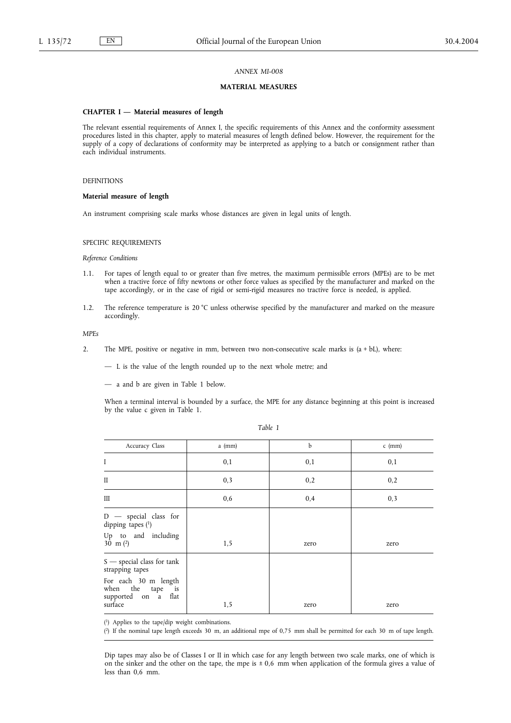# **MATERIAL MEASURES**

#### **CHAPTER I — Material measures of length**

The relevant essential requirements of Annex I, the specific requirements of this Annex and the conformity assessment procedures listed in this chapter, apply to material measures of length defined below. However, the requirement for the supply of a copy of declarations of conformity may be interpreted as applying to a batch or consignment rather than each individual instruments.

### DEFINITIONS

### **Material measure of length**

An instrument comprising scale marks whose distances are given in legal units of length.

SPECIFIC REQUIREMENTS

# *Reference Conditions*

- 1.1. For tapes of length equal to or greater than five metres, the maximum permissible errors (MPEs) are to be met when a tractive force of fifty newtons or other force values as specified by the manufacturer and marked on the tape accordingly, or in the case of rigid or semi-rigid measures no tractive force is needed, is applied.
- 1.2. The reference temperature is 20 °C unless otherwise specified by the manufacturer and marked on the measure accordingly.

# *MPEs*

- 2. The MPE, positive or negative in mm, between two non-consecutive scale marks is (a + bL), where:
	- L is the value of the length rounded up to the next whole metre; and
	- a and b are given in Table 1 below.

When a terminal interval is bounded by a surface, the MPE for any distance beginning at this point is increased by the value c given in Table 1.

| Accuracy Class                                                                                                     | $a$ (mm) | $\mathbf{h}$ | $c$ (mm) |
|--------------------------------------------------------------------------------------------------------------------|----------|--------------|----------|
| I                                                                                                                  | 0,1      | 0,1          | 0,1      |
| $\mathbf{I}$                                                                                                       | 0,3      | 0,2          | 0,2      |
| Ш                                                                                                                  | 0,6      | 0,4          | 0,3      |
| $D -$ special class for<br>dipping tapes $(1)$<br>Up to and including<br>30 m $(2)$                                | 1,5      | zero         | zero     |
| $S$ — special class for tank<br>strapping tapes<br>For each 30 m length<br>when the tape is<br>supported on a flat |          |              |          |
| surface                                                                                                            | 1,5      | zero         | zero     |

( 1) Applies to the tape/dip weight combinations.

( 2) If the nominal tape length exceeds 30 m, an additional mpe of 0,75 mm shall be permitted for each 30 m of tape length.

Dip tapes may also be of Classes I or II in which case for any length between two scale marks, one of which is on the sinker and the other on the tape, the mpe is  $\pm 0.6$  mm when application of the formula gives a value of less than 0,6 mm.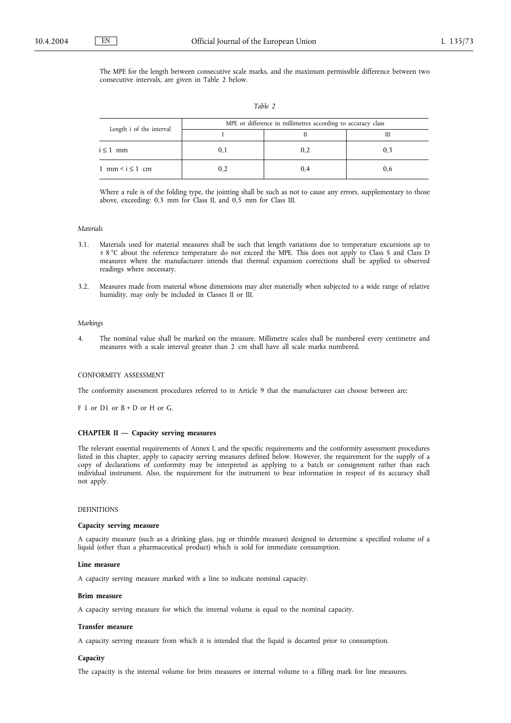The MPE for the length between consecutive scale marks, and the maximum permissible difference between two consecutive intervals, are given in Table 2 below.

| Length i of the interval             | MPE or difference in millimetres according to accuracy class |     |     |  |
|--------------------------------------|--------------------------------------------------------------|-----|-----|--|
|                                      |                                                              |     |     |  |
| $i \leq 1$ mm                        | U, I                                                         | 0,2 |     |  |
| $1 \text{ mm} < i \leq 1 \text{ cm}$ |                                                              | 0.4 | V.O |  |

Where a rule is of the folding type, the jointing shall be such as not to cause any errors, supplementary to those above, exceeding: 0,3 mm for Class II, and 0,5 mm for Class III.

#### *Materials*

- 3.1. Materials used for material measures shall be such that length variations due to temperature excursions up to ± 8 °C about the reference temperature do not exceed the MPE. This does not apply to Class S and Class D measures where the manufacturer intends that thermal expansion corrections shall be applied to observed readings where necessary.
- 3.2. Measures made from material whose dimensions may alter materially when subjected to a wide range of relative humidity, may only be included in Classes II or III.

## *Markings*

4. The nominal value shall be marked on the measure. Millimetre scales shall be numbered every centimetre and measures with a scale interval greater than 2 cm shall have all scale marks numbered.

#### CONFORMITY ASSESSMENT

The conformity assessment procedures referred to in Article 9 that the manufacturer can choose between are:

 $F 1$  or  $D1$  or  $B + D$  or  $H$  or  $G$ .

#### **CHAPTER II — Capacity serving measures**

The relevant essential requirements of Annex I, and the specific requirements and the conformity assessment procedures listed in this chapter, apply to capacity serving measures defined below. However, the requirement for the supply of a copy of declarations of conformity may be interpreted as applying to a batch or consignment rather than each individual instrument. Also, the requirement for the instrument to bear information in respect of its accuracy shall not apply.

#### DEFINITIONS

#### **Capacity serving measure**

A capacity measure (such as a drinking glass, jug or thimble measure) designed to determine a specified volume of a liquid (other than a pharmaceutical product) which is sold for immediate consumption.

#### **Line measure**

A capacity serving measure marked with a line to indicate nominal capacity.

## **Brim measure**

A capacity serving measure for which the internal volume is equal to the nominal capacity.

### **Transfer measure**

A capacity serving measure from which it is intended that the liquid is decanted prior to consumption.

## **Capacity**

The capacity is the internal volume for brim measures or internal volume to a filling mark for line measures.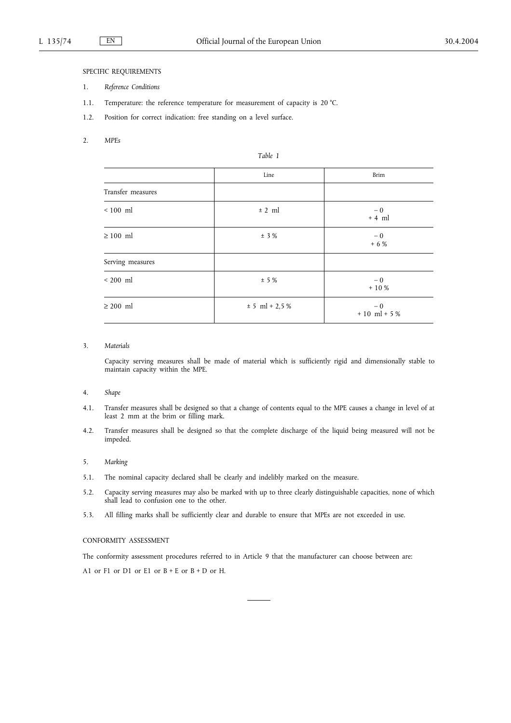## SPECIFIC REQUIREMENTS

- 1. *Reference Conditions*
- 1.1. Temperature: the reference temperature for measurement of capacity is 20 °C.
- 1.2. Position for correct indication: free standing on a level surface.
- 2. *MPEs*

|                   | Line             | Brim                   |
|-------------------|------------------|------------------------|
| Transfer measures |                  |                        |
| $< 100$ ml        | ± 2 ml           | $-0$<br>$+4$ ml        |
| $\geq 100$ ml     | ± 3%             | $-0$<br>$+ 6 %$        |
| Serving measures  |                  |                        |
| $< 200$ ml        | ± 5%             | $-0$<br>$+10%$         |
| $\geq 200$ ml     | $± 5 ml + 2,5 %$ | $-0$<br>$+10$ ml $+5%$ |

*Table 1*

## 3. *Materials*

Capacity serving measures shall be made of material which is sufficiently rigid and dimensionally stable to maintain capacity within the MPE.

### 4. *Shape*

- 4.1. Transfer measures shall be designed so that a change of contents equal to the MPE causes a change in level of at least 2 mm at the brim or filling mark.
- 4.2. Transfer measures shall be designed so that the complete discharge of the liquid being measured will not be impeded.

### 5. *Marking*

- 5.1. The nominal capacity declared shall be clearly and indelibly marked on the measure.
- 5.2. Capacity serving measures may also be marked with up to three clearly distinguishable capacities, none of which shall lead to confusion one to the other.
- 5.3. All filling marks shall be sufficiently clear and durable to ensure that MPEs are not exceeded in use.

## CONFORMITY ASSESSMENT

The conformity assessment procedures referred to in Article 9 that the manufacturer can choose between are:

A1 or  $F1$  or  $D1$  or  $E1$  or  $B + E$  or  $B + D$  or H.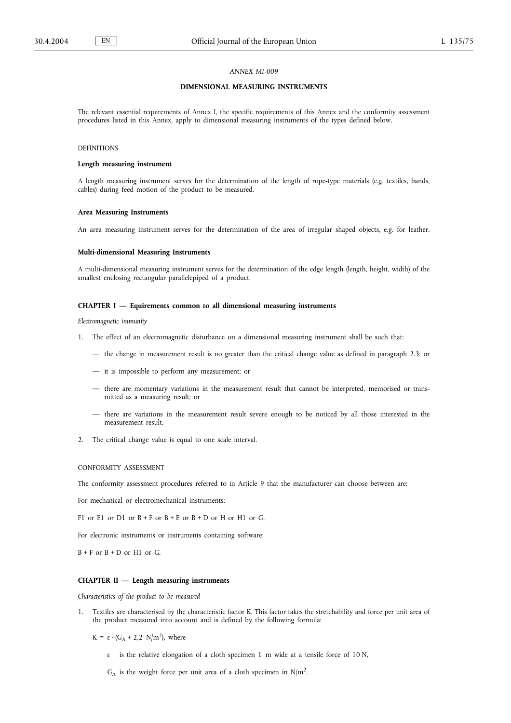## *ANNEX MI-009*

## **DIMENSIONAL MEASURING INSTRUMENTS**

The relevant essential requirements of Annex I, the specific requirements of this Annex and the conformity assessment procedures listed in this Annex, apply to dimensional measuring instruments of the types defined below.

## DEFINITIONS

## **Length measuring instrument**

A length measuring instrument serves for the determination of the length of rope-type materials (e.g. textiles, bands, cables) during feed motion of the product to be measured.

#### **Area Measuring Instruments**

An area measuring instrument serves for the determination of the area of irregular shaped objects, e.g. for leather.

#### **Multi-dimensional Measuring Instruments**

A multi-dimensional measuring instrument serves for the determination of the edge length (length, height, width) of the smallest enclosing rectangular parallelepiped of a product.

## **CHAPTER I — Equirements common to all dimensional measuring instruments**

*Electromagnetic immunity*

- 1. The effect of an electromagnetic disturbance on a dimensional measuring instrument shall be such that:
	- the change in measurement result is no greater than the critical change value as defined in paragraph 2.3; or
	- it is impossible to perform any measurement; or
	- there are momentary variations in the measurement result that cannot be interpreted, memorised or transmitted as a measuring result; or
	- there are variations in the measurement result severe enough to be noticed by all those interested in the measurement result.
- 2. The critical change value is equal to one scale interval.

CONFORMITY ASSESSMENT

The conformity assessment procedures referred to in Article 9 that the manufacturer can choose between are:

For mechanical or electromechanical instruments:

F1 or E1 or D1 or  $B + F$  or  $B + E$  or  $B + D$  or H or H1 or G.

For electronic instruments or instruments containing software:

 $B + F$  or  $B + D$  or H1 or G.

### **CHAPTER II — Length measuring instruments**

*Characteristics of the product to be measured*

Textiles are characterised by the characteristic factor K. This factor takes the stretchability and force per unit area of the product measured into account and is defined by the following formula:

K =  $\varepsilon \cdot (G_A + 2.2 \text{ N/m}^2)$ , where

ε is the relative elongation of a cloth specimen 1 m wide at a tensile force of 10 N,

 $G_A$  is the weight force per unit area of a cloth specimen in N/m<sup>2</sup>.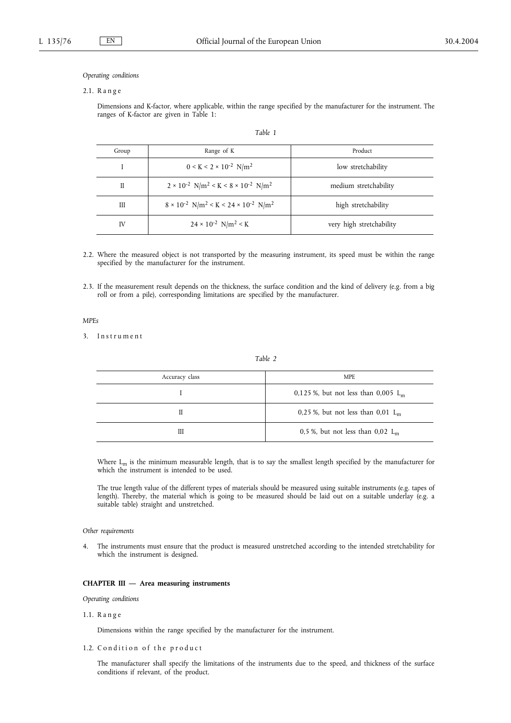### *Operating conditions*

#### 2.1. R a n g e

Dimensions and K-factor, where applicable, within the range specified by the manufacturer for the instrument. The ranges of K-factor are given in Table 1:

*Table 1*

| Group | Range of K                                                                       | Product                  |
|-------|----------------------------------------------------------------------------------|--------------------------|
|       | $0 \le K \le 2 \times 10^{-2} \text{ N/m}^2$                                     | low stretchability       |
| П     | $2 \times 10^{-2}$ N/m <sup>2</sup> < K < 8 × 10 <sup>-2</sup> N/m <sup>2</sup>  | medium stretchability    |
| Ш     | $8 \times 10^{-2}$ N/m <sup>2</sup> < K < 24 × 10 <sup>-2</sup> N/m <sup>2</sup> | high stretchability      |
| IV    | $24 \times 10^{-2}$ N/m <sup>2</sup> < K                                         | very high stretchability |

- 2.2. Where the measured object is not transported by the measuring instrument, its speed must be within the range specified by the manufacturer for the instrument.
- 2.3. If the measurement result depends on the thickness, the surface condition and the kind of delivery (e.g. from a big roll or from a pile), corresponding limitations are specified by the manufacturer.

## *MPEs*

3. Instrument

*Table 2*

| Accuracy class | <b>MPE</b>                             |
|----------------|----------------------------------------|
|                | 0,125 %, but not less than 0,005 $L_m$ |
| Н              | 0,25 %, but not less than 0,01 $L_m$   |
| Ш              | 0,5 %, but not less than 0,02 $L_m$    |
|                |                                        |

Where  $L_m$  is the minimum measurable length, that is to say the smallest length specified by the manufacturer for which the instrument is intended to be used.

The true length value of the different types of materials should be measured using suitable instruments (e.g. tapes of length). Thereby, the material which is going to be measured should be laid out on a suitable underlay (e.g. a suitable table) straight and unstretched.

## *Other requirements*

4. The instruments must ensure that the product is measured unstretched according to the intended stretchability for which the instrument is designed.

#### **CHAPTER III — Area measuring instruments**

*Operating conditions*

## 1.1. R a n g e

Dimensions within the range specified by the manufacturer for the instrument.

1.2. Condition of the product

The manufacturer shall specify the limitations of the instruments due to the speed, and thickness of the surface conditions if relevant, of the product.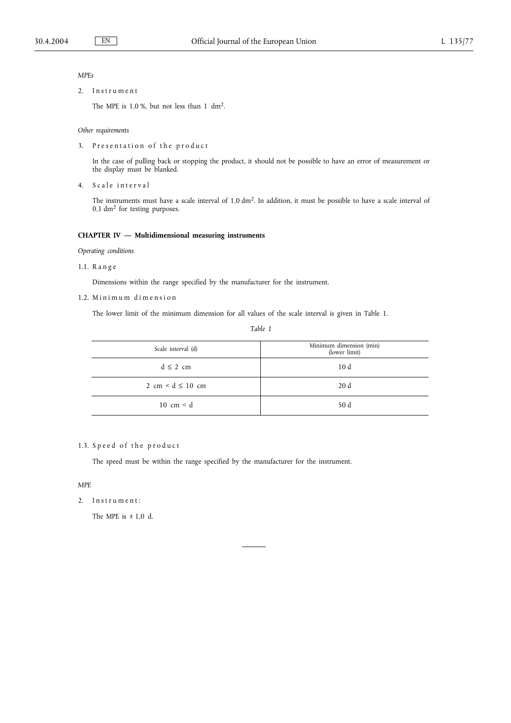## *MPEs*

2. Instrument

The MPE is 1,0 %, but not less than 1 dm2.

### *Other requirements*

3. Presentation of the product

In the case of pulling back or stopping the product, it should not be possible to have an error of measurement or the display must be blanked.

4. Scale interval

The instruments must have a scale interval of 1,0 dm2. In addition, it must be possible to have a scale interval of  $0,1$  dm<sup>2</sup> for testing purposes.

## **CHAPTER IV — Multidimensional measuring instruments**

*Operating conditions*

1.1. R a n g e

Dimensions within the range specified by the manufacturer for the instrument.

1.2. Minimum dimension

The lower limit of the minimum dimension for all values of the scale interval is given in Table 1.

*Table 1*

| Scale interval (d)                    | Minimum dimension (min)<br>(lower limit) |
|---------------------------------------|------------------------------------------|
| $d \leq 2$ cm                         | 10d                                      |
| $2 \text{ cm} < d \leq 10 \text{ cm}$ | 20d                                      |
| $10 \text{ cm} < d$                   | 50 d                                     |

## 1.3. Speed of the product

The speed must be within the range specified by the manufacturer for the instrument.

*MPE*

2. Instrument:

The MPE is  $\pm$  1,0 d.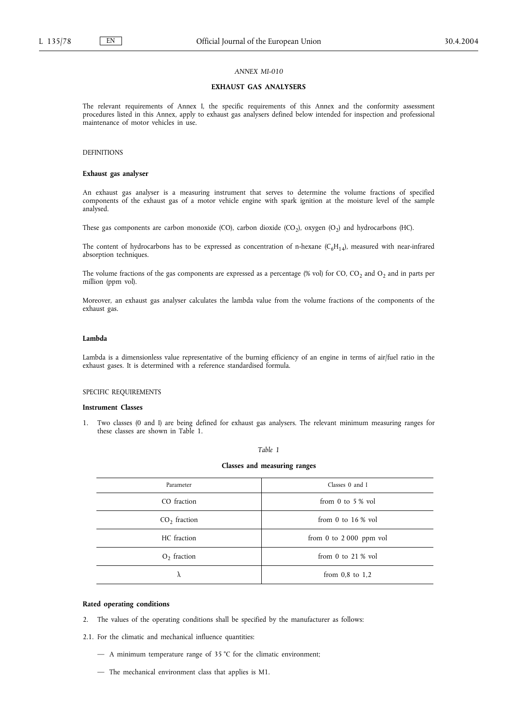## *ANNEX MI-010*

## **EXHAUST GAS ANALYSERS**

The relevant requirements of Annex I, the specific requirements of this Annex and the conformity assessment procedures listed in this Annex, apply to exhaust gas analysers defined below intended for inspection and professional maintenance of motor vehicles in use.

## DEFINITIONS

## **Exhaust gas analyser**

An exhaust gas analyser is a measuring instrument that serves to determine the volume fractions of specified components of the exhaust gas of a motor vehicle engine with spark ignition at the moisture level of the sample analysed.

These gas components are carbon monoxide (CO), carbon dioxide (CO<sub>2</sub>), oxygen (O<sub>2</sub>) and hydrocarbons (HC).

The content of hydrocarbons has to be expressed as concentration of n-hexane ( $C_6H_{14}$ ), measured with near-infrared absorption techniques.

The volume fractions of the gas components are expressed as a percentage (% vol) for CO,  $CO_2$  and  $O_2$  and in parts per million (ppm vol).

Moreover, an exhaust gas analyser calculates the lambda value from the volume fractions of the components of the exhaust gas.

#### **Lambda**

Lambda is a dimensionless value representative of the burning efficiency of an engine in terms of air/fuel ratio in the exhaust gases. It is determined with a reference standardised formula.

## SPECIFIC REQUIREMENTS

#### **Instrument Classes**

1. Two classes (0 and I) are being defined for exhaust gas analysers. The relevant minimum measuring ranges for these classes are shown in Table 1.

#### *Table 1*

## **Classes and measuring ranges**

| Parameter      | Classes 0 and I            |
|----------------|----------------------------|
| CO fraction    | from 0 to 5 $\%$ vol       |
| $CO2$ fraction | from 0 to $16\%$ vol       |
| HC fraction    | from $0$ to $2000$ ppm vol |
| $O2$ fraction  | from 0 to $21\%$ vol       |
| λ              | from $0.8$ to $1.2$        |

### **Rated operating conditions**

2. The values of the operating conditions shall be specified by the manufacturer as follows:

2.1. For the climatic and mechanical influence quantities:

- A minimum temperature range of 35 °C for the climatic environment;
- The mechanical environment class that applies is M1.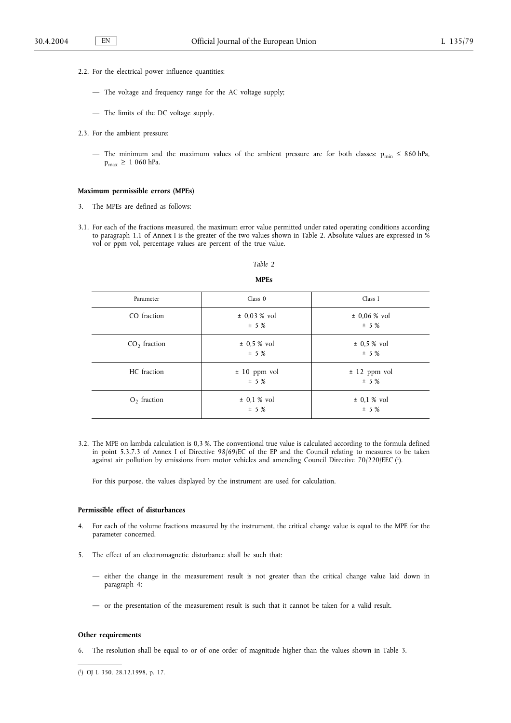- 2.2. For the electrical power influence quantities:
	- The voltage and frequency range for the AC voltage supply;
	- The limits of the DC voltage supply.
- 2.3. For the ambient pressure:
	- The minimum and the maximum values of the ambient pressure are for both classes:  $p_{min} \le 860$  hPa,  $p_{max} \ge 1060$  hPa.

## **Maximum permissible errors (MPEs)**

- 3. The MPEs are defined as follows:
- 3.1. For each of the fractions measured, the maximum error value permitted under rated operating conditions according to paragraph 1.1 of Annex I is the greater of the two values shown in Table 2. Absolute values are expressed in % vol or ppm vol, percentage values are percent of the true value.

# *Table 2* **MPEs**

| Parameter      | Class 0                | Class I                |
|----------------|------------------------|------------------------|
| CO fraction    | $± 0.03 %$ vol<br>± 5% | $± 0.06 %$ vol<br>± 5% |
| $CO2$ fraction | ± 0,5 % vol<br>± 5%    | ± 0,5 % vol<br>± 5%    |
| HC fraction    | $± 10$ ppm vol<br>± 5% | ± 12 ppm vol<br>± 5%   |
| $O2$ fraction  | $± 0,1 %$ vol<br>± 5%  | $± 0,1 %$ vol<br>± 5%  |

3.2. The MPE on lambda calculation is 0,3 %. The conventional true value is calculated according to the formula defined in point 5.3.7.3 of Annex I of Directive 98/69/EC of the EP and the Council relating to measures to be taken against air pollution by emissions from motor vehicles and amending Council Directive 70/220/EEC (1).

For this purpose, the values displayed by the instrument are used for calculation.

## **Permissible effect of disturbances**

- 4. For each of the volume fractions measured by the instrument, the critical change value is equal to the MPE for the parameter concerned.
- 5. The effect of an electromagnetic disturbance shall be such that:
	- either the change in the measurement result is not greater than the critical change value laid down in paragraph 4;
	- or the presentation of the measurement result is such that it cannot be taken for a valid result.

#### **Other requirements**

6. The resolution shall be equal to or of one order of magnitude higher than the values shown in Table 3.